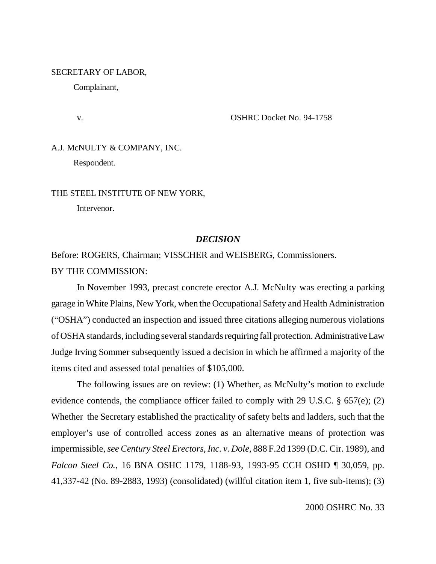#### SECRETARY OF LABOR,

Complainant,

#### v. OSHRC Docket No. 94-1758

# A.J. McNULTY & COMPANY, INC.

Respondent.

# THE STEEL INSTITUTE OF NEW YORK,

Intervenor.

## *DECISION*

Before: ROGERS, Chairman; VISSCHER and WEISBERG, Commissioners. BY THE COMMISSION:

In November 1993, precast concrete erector A.J. McNulty was erecting a parking garage in White Plains, New York, when the Occupational Safety and Health Administration ("OSHA") conducted an inspection and issued three citations alleging numerous violations of OSHA standards, including several standards requiring fall protection. Administrative Law Judge Irving Sommer subsequently issued a decision in which he affirmed a majority of the items cited and assessed total penalties of \$105,000.

The following issues are on review: (1) Whether, as McNulty's motion to exclude evidence contends, the compliance officer failed to comply with 29 U.S.C. § 657(e); (2) Whether the Secretary established the practicality of safety belts and ladders, such that the employer's use of controlled access zones as an alternative means of protection was impermissible, *see Century Steel Erectors, Inc. v. Dole,* 888 F.2d 1399 (D.C. Cir. 1989), and *Falcon Steel Co.,* 16 BNA OSHC 1179, 1188-93, 1993-95 CCH OSHD ¶ 30,059, pp. 41,337-42 (No. 89-2883, 1993) (consolidated) (willful citation item 1, five sub-items); (3)

2000 OSHRC No. 33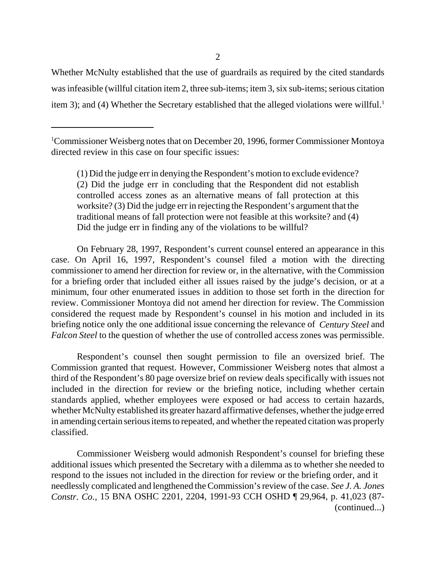Whether McNulty established that the use of guardrails as required by the cited standards was infeasible (willful citation item 2, three sub-items; item 3, six sub-items; serious citation item 3); and (4) Whether the Secretary established that the alleged violations were willful.<sup>1</sup>

1 Commissioner Weisberg notes that on December 20, 1996, former Commissioner Montoya directed review in this case on four specific issues:

(1) Did the judge err in denying the Respondent's motion to exclude evidence? (2) Did the judge err in concluding that the Respondent did not establish controlled access zones as an alternative means of fall protection at this worksite? (3) Did the judge err in rejecting the Respondent's argument that the traditional means of fall protection were not feasible at this worksite? and (4) Did the judge err in finding any of the violations to be willful?

On February 28, 1997, Respondent's current counsel entered an appearance in this case. On April 16, 1997, Respondent's counsel filed a motion with the directing commissioner to amend her direction for review or, in the alternative, with the Commission for a briefing order that included either all issues raised by the judge's decision, or at a minimum, four other enumerated issues in addition to those set forth in the direction for review. Commissioner Montoya did not amend her direction for review. The Commission considered the request made by Respondent's counsel in his motion and included in its briefing notice only the one additional issue concerning the relevance of *Century Steel* and *Falcon Steel* to the question of whether the use of controlled access zones was permissible.

Respondent's counsel then sought permission to file an oversized brief. The Commission granted that request. However, Commissioner Weisberg notes that almost a third of the Respondent's 80 page oversize brief on review deals specifically with issues not included in the direction for review or the briefing notice, including whether certain standards applied, whether employees were exposed or had access to certain hazards, whether McNulty established its greater hazard affirmative defenses, whether the judge erred in amending certain serious items to repeated, and whether the repeated citation was properly classified.

Commissioner Weisberg would admonish Respondent's counsel for briefing these additional issues which presented the Secretary with a dilemma as to whether she needed to respond to the issues not included in the direction for review or the briefing order, and it needlessly complicated and lengthened the Commission's review of the case. *See J. A. Jones Constr. Co.,* 15 BNA OSHC 2201, 2204, 1991-93 CCH OSHD ¶ 29,964, p. 41,023 (87- (continued...)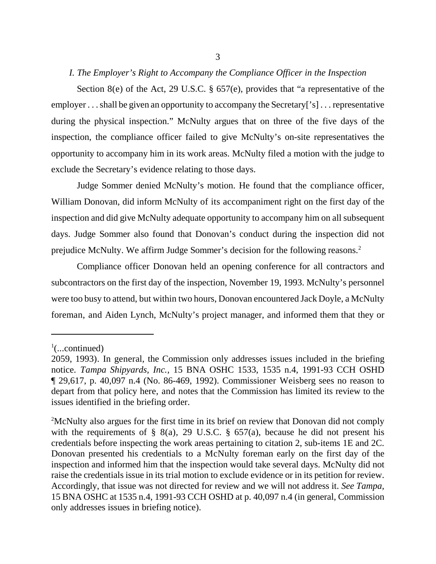# *I. The Employer's Right to Accompany the Compliance Officer in the Inspection*

Section 8(e) of the Act, 29 U.S.C. § 657(e), provides that "a representative of the employer . . . shall be given an opportunity to accompany the Secretary['s] . . . representative during the physical inspection." McNulty argues that on three of the five days of the inspection, the compliance officer failed to give McNulty's on-site representatives the opportunity to accompany him in its work areas. McNulty filed a motion with the judge to exclude the Secretary's evidence relating to those days.

Judge Sommer denied McNulty's motion. He found that the compliance officer, William Donovan, did inform McNulty of its accompaniment right on the first day of the inspection and did give McNulty adequate opportunity to accompany him on all subsequent days. Judge Sommer also found that Donovan's conduct during the inspection did not prejudice McNulty. We affirm Judge Sommer's decision for the following reasons.2

Compliance officer Donovan held an opening conference for all contractors and subcontractors on the first day of the inspection, November 19, 1993. McNulty's personnel were too busy to attend, but within two hours, Donovan encountered Jack Doyle, a McNulty foreman, and Aiden Lynch, McNulty's project manager, and informed them that they or

 $\frac{1}{2}$ (...continued)

<sup>2059, 1993).</sup> In general, the Commission only addresses issues included in the briefing notice. *Tampa Shipyards, Inc.,* 15 BNA OSHC 1533, 1535 n.4, 1991-93 CCH OSHD ¶ 29,617, p. 40,097 n.4 (No. 86-469, 1992). Commissioner Weisberg sees no reason to depart from that policy here, and notes that the Commission has limited its review to the issues identified in the briefing order.

<sup>&</sup>lt;sup>2</sup>McNulty also argues for the first time in its brief on review that Donovan did not comply with the requirements of  $\S$  8(a), 29 U.S.C.  $\S$  657(a), because he did not present his credentials before inspecting the work areas pertaining to citation 2, sub-items 1E and 2C. Donovan presented his credentials to a McNulty foreman early on the first day of the inspection and informed him that the inspection would take several days. McNulty did not raise the credentials issue in its trial motion to exclude evidence or in its petition for review. Accordingly, that issue was not directed for review and we will not address it. *See Tampa,* 15 BNA OSHC at 1535 n.4, 1991-93 CCH OSHD at p. 40,097 n.4 (in general, Commission only addresses issues in briefing notice).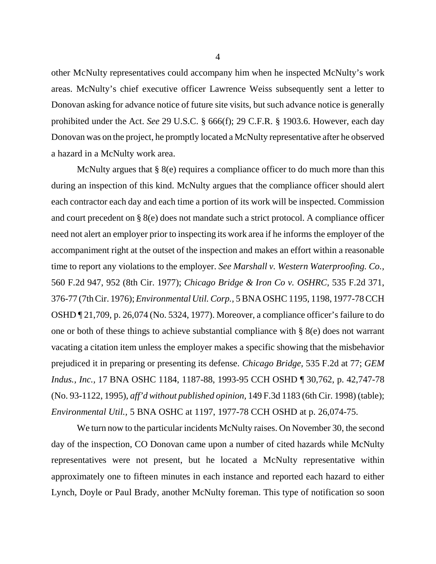other McNulty representatives could accompany him when he inspected McNulty's work areas. McNulty's chief executive officer Lawrence Weiss subsequently sent a letter to Donovan asking for advance notice of future site visits, but such advance notice is generally prohibited under the Act. *See* 29 U.S.C. § 666(f); 29 C.F.R. § 1903.6. However, each day Donovan was on the project, he promptly located a McNulty representative after he observed a hazard in a McNulty work area.

McNulty argues that § 8(e) requires a compliance officer to do much more than this during an inspection of this kind. McNulty argues that the compliance officer should alert each contractor each day and each time a portion of its work will be inspected. Commission and court precedent on § 8(e) does not mandate such a strict protocol. A compliance officer need not alert an employer prior to inspecting its work area if he informs the employer of the accompaniment right at the outset of the inspection and makes an effort within a reasonable time to report any violations to the employer. *See Marshall v. Western Waterproofing. Co.,* 560 F.2d 947, 952 (8th Cir. 1977); *Chicago Bridge & Iron Co v. OSHRC,* 535 F.2d 371, 376-77 (7th Cir. 1976); *Environmental Util. Corp.,* 5 BNA OSHC 1195, 1198, 1977-78 CCH OSHD ¶ 21,709, p. 26,074 (No. 5324, 1977). Moreover, a compliance officer's failure to do one or both of these things to achieve substantial compliance with § 8(e) does not warrant vacating a citation item unless the employer makes a specific showing that the misbehavior prejudiced it in preparing or presenting its defense. *Chicago Bridge,* 535 F.2d at 77; *GEM Indus., Inc.,* 17 BNA OSHC 1184, 1187-88, 1993-95 CCH OSHD ¶ 30,762, p. 42,747-78 (No. 93-1122, 1995), *aff'd without published opinion,* 149 F.3d 1183 (6th Cir. 1998) (table); *Environmental Util.,* 5 BNA OSHC at 1197, 1977-78 CCH OSHD at p. 26,074-75.

We turn now to the particular incidents McNulty raises. On November 30, the second day of the inspection, CO Donovan came upon a number of cited hazards while McNulty representatives were not present, but he located a McNulty representative within approximately one to fifteen minutes in each instance and reported each hazard to either Lynch, Doyle or Paul Brady, another McNulty foreman. This type of notification so soon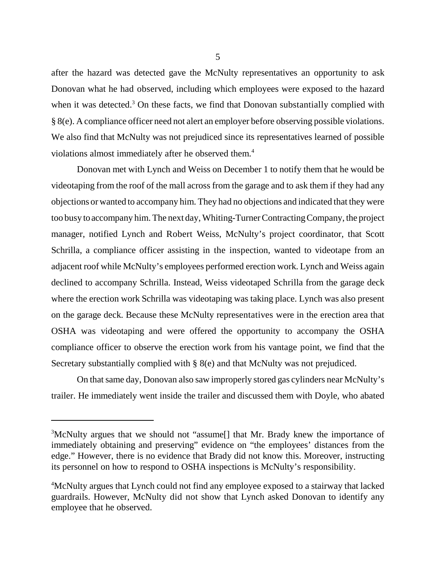after the hazard was detected gave the McNulty representatives an opportunity to ask Donovan what he had observed, including which employees were exposed to the hazard when it was detected. $3$  On these facts, we find that Donovan substantially complied with § 8(e). A compliance officer need not alert an employer before observing possible violations. We also find that McNulty was not prejudiced since its representatives learned of possible violations almost immediately after he observed them.4

Donovan met with Lynch and Weiss on December 1 to notify them that he would be videotaping from the roof of the mall across from the garage and to ask them if they had any objections or wanted to accompany him. They had no objections and indicated that they were too busy to accompany him. The next day, Whiting-Turner Contracting Company, the project manager, notified Lynch and Robert Weiss, McNulty's project coordinator, that Scott Schrilla, a compliance officer assisting in the inspection, wanted to videotape from an adjacent roof while McNulty's employees performed erection work. Lynch and Weiss again declined to accompany Schrilla. Instead, Weiss videotaped Schrilla from the garage deck where the erection work Schrilla was videotaping was taking place. Lynch was also present on the garage deck. Because these McNulty representatives were in the erection area that OSHA was videotaping and were offered the opportunity to accompany the OSHA compliance officer to observe the erection work from his vantage point, we find that the Secretary substantially complied with § 8(e) and that McNulty was not prejudiced.

On that same day, Donovan also saw improperly stored gas cylinders near McNulty's trailer. He immediately went inside the trailer and discussed them with Doyle, who abated

<sup>&</sup>lt;sup>3</sup>McNulty argues that we should not "assume[] that Mr. Brady knew the importance of immediately obtaining and preserving" evidence on "the employees' distances from the edge." However, there is no evidence that Brady did not know this. Moreover, instructing its personnel on how to respond to OSHA inspections is McNulty's responsibility.

<sup>4</sup> McNulty argues that Lynch could not find any employee exposed to a stairway that lacked guardrails. However, McNulty did not show that Lynch asked Donovan to identify any employee that he observed.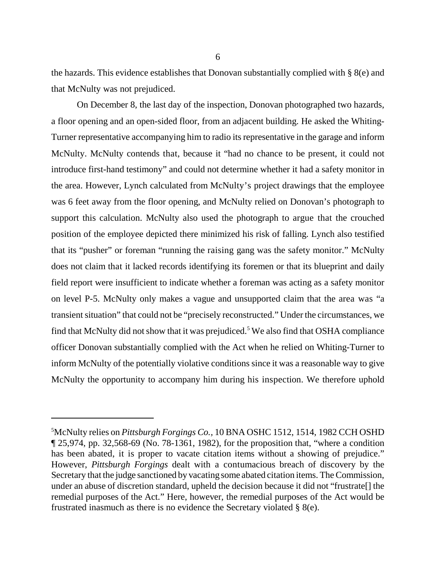the hazards. This evidence establishes that Donovan substantially complied with § 8(e) and that McNulty was not prejudiced.

On December 8, the last day of the inspection, Donovan photographed two hazards, a floor opening and an open-sided floor, from an adjacent building. He asked the Whiting-Turner representative accompanying him to radio its representative in the garage and inform McNulty. McNulty contends that, because it "had no chance to be present, it could not introduce first-hand testimony" and could not determine whether it had a safety monitor in the area. However, Lynch calculated from McNulty's project drawings that the employee was 6 feet away from the floor opening, and McNulty relied on Donovan's photograph to support this calculation. McNulty also used the photograph to argue that the crouched position of the employee depicted there minimized his risk of falling. Lynch also testified that its "pusher" or foreman "running the raising gang was the safety monitor." McNulty does not claim that it lacked records identifying its foremen or that its blueprint and daily field report were insufficient to indicate whether a foreman was acting as a safety monitor on level P-5. McNulty only makes a vague and unsupported claim that the area was "a transient situation" that could not be "precisely reconstructed." Under the circumstances, we find that McNulty did not show that it was prejudiced.<sup>5</sup> We also find that OSHA compliance officer Donovan substantially complied with the Act when he relied on Whiting-Turner to inform McNulty of the potentially violative conditions since it was a reasonable way to give McNulty the opportunity to accompany him during his inspection. We therefore uphold

<sup>5</sup> McNulty relies on *Pittsburgh Forgings Co.,* 10 BNA OSHC 1512, 1514, 1982 CCH OSHD ¶ 25,974, pp. 32,568-69 (No. 78-1361, 1982), for the proposition that, "where a condition has been abated, it is proper to vacate citation items without a showing of prejudice." However, *Pittsburgh Forgings* dealt with a contumacious breach of discovery by the Secretary that the judge sanctioned by vacating some abated citation items. The Commission, under an abuse of discretion standard, upheld the decision because it did not "frustrate[] the remedial purposes of the Act." Here, however, the remedial purposes of the Act would be frustrated inasmuch as there is no evidence the Secretary violated § 8(e).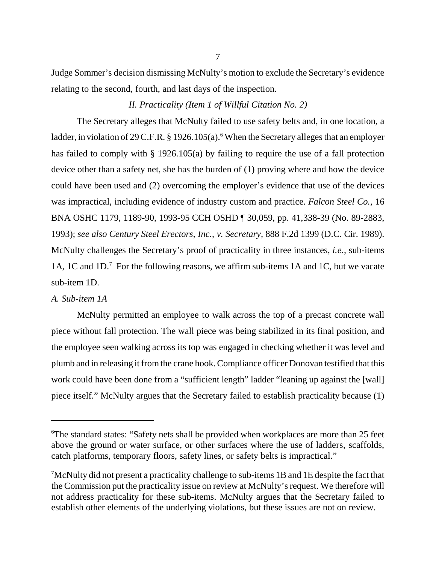Judge Sommer's decision dismissing McNulty's motion to exclude the Secretary's evidence relating to the second, fourth, and last days of the inspection.

# *II. Practicality (Item 1 of Willful Citation No. 2)*

The Secretary alleges that McNulty failed to use safety belts and, in one location, a ladder, in violation of 29 C.F.R. § 1926.105(a).<sup>6</sup> When the Secretary alleges that an employer has failed to comply with § 1926.105(a) by failing to require the use of a fall protection device other than a safety net, she has the burden of (1) proving where and how the device could have been used and (2) overcoming the employer's evidence that use of the devices was impractical, including evidence of industry custom and practice. *Falcon Steel Co.,* 16 BNA OSHC 1179, 1189-90, 1993-95 CCH OSHD ¶ 30,059, pp. 41,338-39 (No. 89-2883, 1993); *see also Century Steel Erectors, Inc., v. Secretary,* 888 F.2d 1399 (D.C. Cir. 1989). McNulty challenges the Secretary's proof of practicality in three instances, *i.e.,* sub-items 1A, 1C and 1D.<sup>7</sup> For the following reasons, we affirm sub-items 1A and 1C, but we vacate sub-item 1D.

# *A. Sub-item 1A*

McNulty permitted an employee to walk across the top of a precast concrete wall piece without fall protection. The wall piece was being stabilized in its final position, and the employee seen walking across its top was engaged in checking whether it was level and plumb and in releasing it from the crane hook. Compliance officer Donovan testified that this work could have been done from a "sufficient length" ladder "leaning up against the [wall] piece itself." McNulty argues that the Secretary failed to establish practicality because (1)

<sup>&</sup>lt;sup>6</sup>The standard states: "Safety nets shall be provided when workplaces are more than 25 feet above the ground or water surface, or other surfaces where the use of ladders, scaffolds, catch platforms, temporary floors, safety lines, or safety belts is impractical."

 $\sqrt{7}$ McNulty did not present a practicality challenge to sub-items 1B and 1E despite the fact that the Commission put the practicality issue on review at McNulty's request. We therefore will not address practicality for these sub-items. McNulty argues that the Secretary failed to establish other elements of the underlying violations, but these issues are not on review.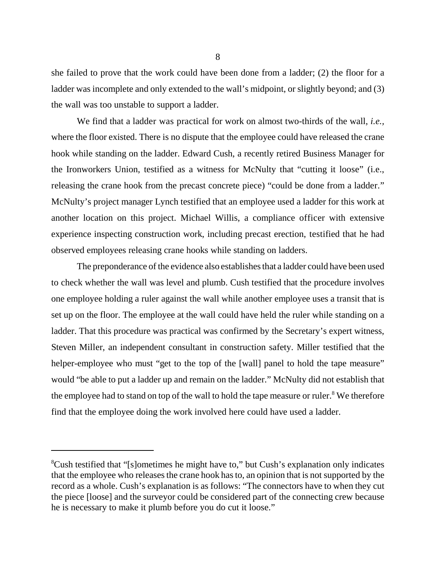she failed to prove that the work could have been done from a ladder; (2) the floor for a ladder was incomplete and only extended to the wall's midpoint, or slightly beyond; and (3) the wall was too unstable to support a ladder.

We find that a ladder was practical for work on almost two-thirds of the wall, *i.e.,* where the floor existed. There is no dispute that the employee could have released the crane hook while standing on the ladder. Edward Cush, a recently retired Business Manager for the Ironworkers Union, testified as a witness for McNulty that "cutting it loose" (i.e., releasing the crane hook from the precast concrete piece) "could be done from a ladder." McNulty's project manager Lynch testified that an employee used a ladder for this work at another location on this project. Michael Willis, a compliance officer with extensive experience inspecting construction work, including precast erection, testified that he had observed employees releasing crane hooks while standing on ladders.

The preponderance of the evidence also establishes that a ladder could have been used to check whether the wall was level and plumb. Cush testified that the procedure involves one employee holding a ruler against the wall while another employee uses a transit that is set up on the floor. The employee at the wall could have held the ruler while standing on a ladder. That this procedure was practical was confirmed by the Secretary's expert witness, Steven Miller, an independent consultant in construction safety. Miller testified that the helper-employee who must "get to the top of the [wall] panel to hold the tape measure" would "be able to put a ladder up and remain on the ladder." McNulty did not establish that the employee had to stand on top of the wall to hold the tape measure or ruler.<sup>8</sup> We therefore find that the employee doing the work involved here could have used a ladder.

<sup>&</sup>lt;sup>8</sup>Cush testified that "[s]ometimes he might have to," but Cush's explanation only indicates that the employee who releases the crane hook has to, an opinion that is not supported by the record as a whole. Cush's explanation is as follows: "The connectors have to when they cut the piece [loose] and the surveyor could be considered part of the connecting crew because he is necessary to make it plumb before you do cut it loose."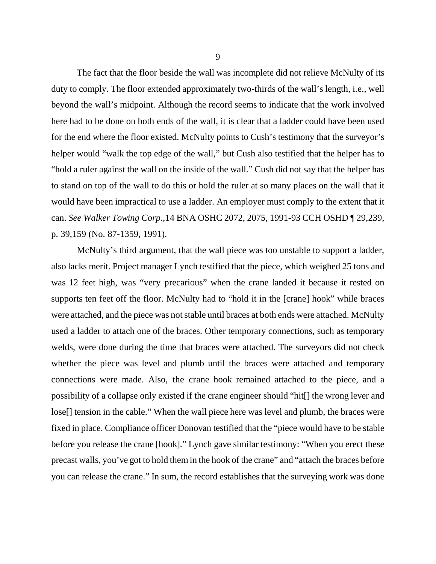The fact that the floor beside the wall was incomplete did not relieve McNulty of its duty to comply. The floor extended approximately two-thirds of the wall's length, i.e., well beyond the wall's midpoint. Although the record seems to indicate that the work involved here had to be done on both ends of the wall, it is clear that a ladder could have been used for the end where the floor existed. McNulty points to Cush's testimony that the surveyor's helper would "walk the top edge of the wall," but Cush also testified that the helper has to "hold a ruler against the wall on the inside of the wall." Cush did not say that the helper has to stand on top of the wall to do this or hold the ruler at so many places on the wall that it would have been impractical to use a ladder. An employer must comply to the extent that it can. *See Walker Towing Corp.,*14 BNA OSHC 2072, 2075, 1991-93 CCH OSHD ¶ 29,239, p. 39,159 (No. 87-1359, 1991).

McNulty's third argument, that the wall piece was too unstable to support a ladder, also lacks merit. Project manager Lynch testified that the piece, which weighed 25 tons and was 12 feet high, was "very precarious" when the crane landed it because it rested on supports ten feet off the floor. McNulty had to "hold it in the [crane] hook" while braces were attached, and the piece was not stable until braces at both ends were attached. McNulty used a ladder to attach one of the braces. Other temporary connections, such as temporary welds, were done during the time that braces were attached. The surveyors did not check whether the piece was level and plumb until the braces were attached and temporary connections were made. Also, the crane hook remained attached to the piece, and a possibility of a collapse only existed if the crane engineer should "hit[] the wrong lever and lose[] tension in the cable." When the wall piece here was level and plumb, the braces were fixed in place. Compliance officer Donovan testified that the "piece would have to be stable before you release the crane [hook]." Lynch gave similar testimony: "When you erect these precast walls, you've got to hold them in the hook of the crane" and "attach the braces before you can release the crane." In sum, the record establishes that the surveying work was done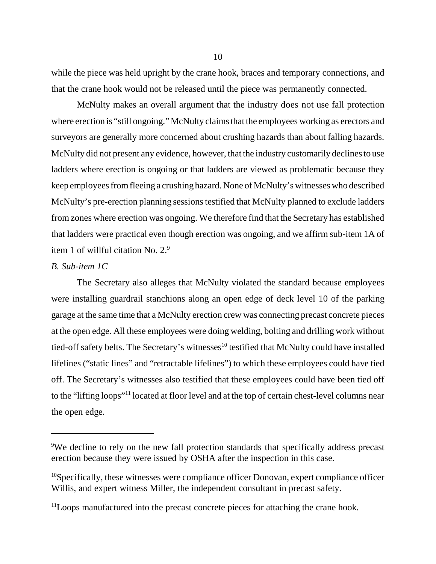while the piece was held upright by the crane hook, braces and temporary connections, and that the crane hook would not be released until the piece was permanently connected.

McNulty makes an overall argument that the industry does not use fall protection where erection is "still ongoing." McNulty claims that the employees working as erectors and surveyors are generally more concerned about crushing hazards than about falling hazards. McNulty did not present any evidence, however, that the industry customarily declines to use ladders where erection is ongoing or that ladders are viewed as problematic because they keep employees from fleeing a crushing hazard. None of McNulty's witnesses who described McNulty's pre-erection planning sessions testified that McNulty planned to exclude ladders from zones where erection was ongoing. We therefore find that the Secretary has established that ladders were practical even though erection was ongoing, and we affirm sub-item 1A of item 1 of willful citation No.  $2.9<sup>9</sup>$ 

## *B. Sub-item 1C*

The Secretary also alleges that McNulty violated the standard because employees were installing guardrail stanchions along an open edge of deck level 10 of the parking garage at the same time that a McNulty erection crew was connecting precast concrete pieces at the open edge. All these employees were doing welding, bolting and drilling work without tied-off safety belts. The Secretary's witnesses<sup>10</sup> testified that McNulty could have installed lifelines ("static lines" and "retractable lifelines") to which these employees could have tied off. The Secretary's witnesses also testified that these employees could have been tied off to the "lifting loops"11 located at floor level and at the top of certain chest-level columns near the open edge.

<sup>&</sup>lt;sup>9</sup>We decline to rely on the new fall protection standards that specifically address precast erection because they were issued by OSHA after the inspection in this case.

<sup>&</sup>lt;sup>10</sup>Specifically, these witnesses were compliance officer Donovan, expert compliance officer Willis, and expert witness Miller, the independent consultant in precast safety.

<sup>&</sup>lt;sup>11</sup>Loops manufactured into the precast concrete pieces for attaching the crane hook.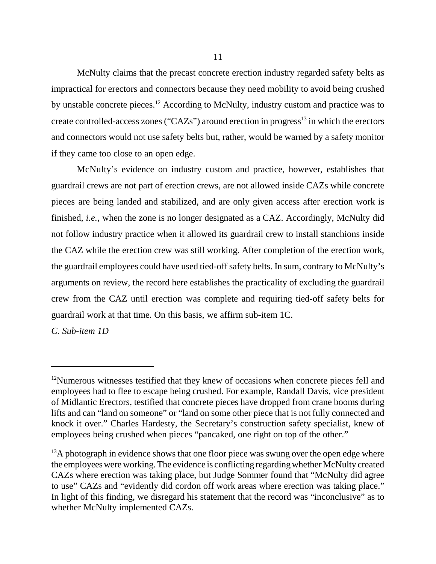McNulty claims that the precast concrete erection industry regarded safety belts as impractical for erectors and connectors because they need mobility to avoid being crushed by unstable concrete pieces.12 According to McNulty, industry custom and practice was to create controlled-access zones ("CAZs") around erection in progress<sup>13</sup> in which the erectors and connectors would not use safety belts but, rather, would be warned by a safety monitor if they came too close to an open edge.

McNulty's evidence on industry custom and practice, however, establishes that guardrail crews are not part of erection crews, are not allowed inside CAZs while concrete pieces are being landed and stabilized, and are only given access after erection work is finished, *i.e.,* when the zone is no longer designated as a CAZ. Accordingly, McNulty did not follow industry practice when it allowed its guardrail crew to install stanchions inside the CAZ while the erection crew was still working. After completion of the erection work, the guardrail employees could have used tied-off safety belts. In sum, contrary to McNulty's arguments on review, the record here establishes the practicality of excluding the guardrail crew from the CAZ until erection was complete and requiring tied-off safety belts for guardrail work at that time. On this basis, we affirm sub-item 1C.

*C. Sub-item 1D*

<sup>&</sup>lt;sup>12</sup>Numerous witnesses testified that they knew of occasions when concrete pieces fell and employees had to flee to escape being crushed. For example, Randall Davis, vice president of Midlantic Erectors, testified that concrete pieces have dropped from crane booms during lifts and can "land on someone" or "land on some other piece that is not fully connected and knock it over." Charles Hardesty, the Secretary's construction safety specialist, knew of employees being crushed when pieces "pancaked, one right on top of the other."

 $13A$  photograph in evidence shows that one floor piece was swung over the open edge where the employees were working. The evidence is conflicting regarding whether McNulty created CAZs where erection was taking place, but Judge Sommer found that "McNulty did agree to use" CAZs and "evidently did cordon off work areas where erection was taking place." In light of this finding, we disregard his statement that the record was "inconclusive" as to whether McNulty implemented CAZs.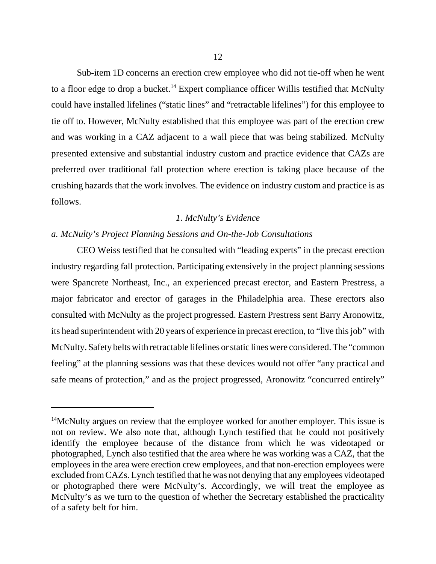Sub-item 1D concerns an erection crew employee who did not tie-off when he went to a floor edge to drop a bucket.<sup>14</sup> Expert compliance officer Willis testified that McNulty could have installed lifelines ("static lines" and "retractable lifelines") for this employee to tie off to. However, McNulty established that this employee was part of the erection crew and was working in a CAZ adjacent to a wall piece that was being stabilized. McNulty presented extensive and substantial industry custom and practice evidence that CAZs are preferred over traditional fall protection where erection is taking place because of the crushing hazards that the work involves. The evidence on industry custom and practice is as follows.

#### *1. McNulty's Evidence*

#### *a. McNulty's Project Planning Sessions and On-the-Job Consultations*

CEO Weiss testified that he consulted with "leading experts" in the precast erection industry regarding fall protection. Participating extensively in the project planning sessions were Spancrete Northeast, Inc., an experienced precast erector, and Eastern Prestress, a major fabricator and erector of garages in the Philadelphia area. These erectors also consulted with McNulty as the project progressed. Eastern Prestress sent Barry Aronowitz, its head superintendent with 20 years of experience in precast erection, to "live this job" with McNulty. Safety belts with retractable lifelines or static lines were considered. The "common feeling" at the planning sessions was that these devices would not offer "any practical and safe means of protection," and as the project progressed, Aronowitz "concurred entirely"

<sup>&</sup>lt;sup>14</sup>McNulty argues on review that the employee worked for another employer. This issue is not on review. We also note that, although Lynch testified that he could not positively identify the employee because of the distance from which he was videotaped or photographed, Lynch also testified that the area where he was working was a CAZ, that the employees in the area were erection crew employees, and that non-erection employees were excluded from CAZs. Lynch testified that he was not denying that any employees videotaped or photographed there were McNulty's. Accordingly, we will treat the employee as McNulty's as we turn to the question of whether the Secretary established the practicality of a safety belt for him.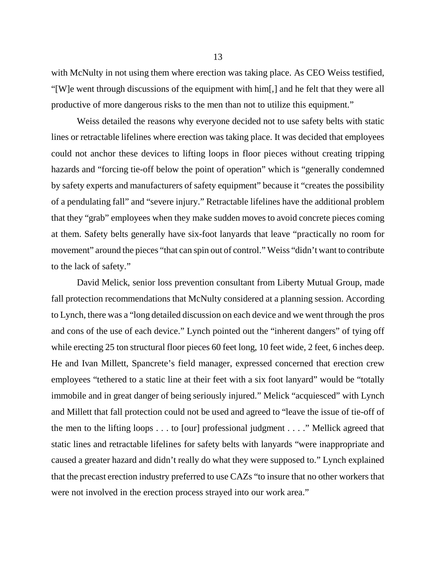with McNulty in not using them where erection was taking place. As CEO Weiss testified, "[W]e went through discussions of the equipment with him[,] and he felt that they were all productive of more dangerous risks to the men than not to utilize this equipment."

Weiss detailed the reasons why everyone decided not to use safety belts with static lines or retractable lifelines where erection was taking place. It was decided that employees could not anchor these devices to lifting loops in floor pieces without creating tripping hazards and "forcing tie-off below the point of operation" which is "generally condemned by safety experts and manufacturers of safety equipment" because it "creates the possibility of a pendulating fall" and "severe injury." Retractable lifelines have the additional problem that they "grab" employees when they make sudden moves to avoid concrete pieces coming at them. Safety belts generally have six-foot lanyards that leave "practically no room for movement" around the pieces "that can spin out of control." Weiss "didn't want to contribute to the lack of safety."

David Melick, senior loss prevention consultant from Liberty Mutual Group, made fall protection recommendations that McNulty considered at a planning session. According to Lynch, there was a "long detailed discussion on each device and we went through the pros and cons of the use of each device." Lynch pointed out the "inherent dangers" of tying off while erecting 25 ton structural floor pieces 60 feet long, 10 feet wide, 2 feet, 6 inches deep. He and Ivan Millett, Spancrete's field manager, expressed concerned that erection crew employees "tethered to a static line at their feet with a six foot lanyard" would be "totally immobile and in great danger of being seriously injured." Melick "acquiesced" with Lynch and Millett that fall protection could not be used and agreed to "leave the issue of tie-off of the men to the lifting loops . . . to [our] professional judgment . . . ." Mellick agreed that static lines and retractable lifelines for safety belts with lanyards "were inappropriate and caused a greater hazard and didn't really do what they were supposed to." Lynch explained that the precast erection industry preferred to use CAZs "to insure that no other workers that were not involved in the erection process strayed into our work area."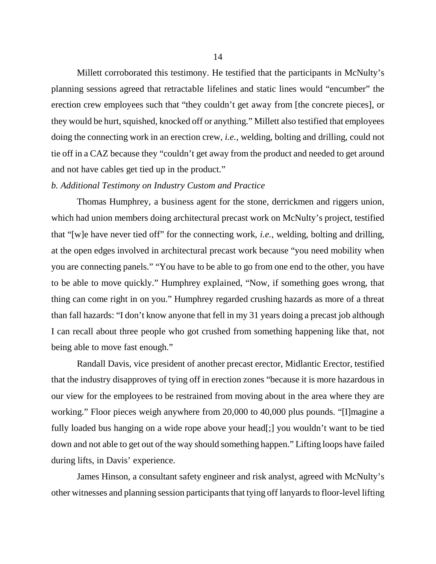Millett corroborated this testimony. He testified that the participants in McNulty's planning sessions agreed that retractable lifelines and static lines would "encumber" the erection crew employees such that "they couldn't get away from [the concrete pieces], or they would be hurt, squished, knocked off or anything." Millett also testified that employees doing the connecting work in an erection crew, *i.e.,* welding, bolting and drilling, could not tie off in a CAZ because they "couldn't get away from the product and needed to get around and not have cables get tied up in the product."

## *b. Additional Testimony on Industry Custom and Practice*

Thomas Humphrey, a business agent for the stone, derrickmen and riggers union, which had union members doing architectural precast work on McNulty's project, testified that "[w]e have never tied off" for the connecting work, *i.e.,* welding, bolting and drilling, at the open edges involved in architectural precast work because "you need mobility when you are connecting panels." "You have to be able to go from one end to the other, you have to be able to move quickly." Humphrey explained, "Now, if something goes wrong, that thing can come right in on you." Humphrey regarded crushing hazards as more of a threat than fall hazards: "I don't know anyone that fell in my 31 years doing a precast job although I can recall about three people who got crushed from something happening like that, not being able to move fast enough."

Randall Davis, vice president of another precast erector, Midlantic Erector, testified that the industry disapproves of tying off in erection zones "because it is more hazardous in our view for the employees to be restrained from moving about in the area where they are working." Floor pieces weigh anywhere from 20,000 to 40,000 plus pounds. "[I]magine a fully loaded bus hanging on a wide rope above your head[;] you wouldn't want to be tied down and not able to get out of the way should something happen." Lifting loops have failed during lifts, in Davis' experience.

James Hinson, a consultant safety engineer and risk analyst, agreed with McNulty's other witnesses and planning session participants that tying off lanyards to floor-level lifting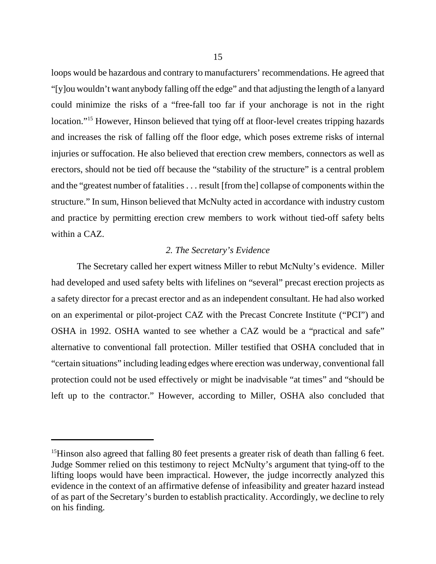loops would be hazardous and contrary to manufacturers' recommendations. He agreed that "[y]ou wouldn't want anybody falling off the edge" and that adjusting the length of a lanyard could minimize the risks of a "free-fall too far if your anchorage is not in the right location."<sup>15</sup> However, Hinson believed that tying off at floor-level creates tripping hazards and increases the risk of falling off the floor edge, which poses extreme risks of internal injuries or suffocation. He also believed that erection crew members, connectors as well as erectors, should not be tied off because the "stability of the structure" is a central problem and the "greatest number of fatalities . . . result [from the] collapse of components within the structure." In sum, Hinson believed that McNulty acted in accordance with industry custom and practice by permitting erection crew members to work without tied-off safety belts within a CAZ.

## *2. The Secretary's Evidence*

The Secretary called her expert witness Miller to rebut McNulty's evidence. Miller had developed and used safety belts with lifelines on "several" precast erection projects as a safety director for a precast erector and as an independent consultant. He had also worked on an experimental or pilot-project CAZ with the Precast Concrete Institute ("PCI") and OSHA in 1992. OSHA wanted to see whether a CAZ would be a "practical and safe" alternative to conventional fall protection. Miller testified that OSHA concluded that in "certain situations" including leading edges where erection was underway, conventional fall protection could not be used effectively or might be inadvisable "at times" and "should be left up to the contractor." However, according to Miller, OSHA also concluded that

<sup>&</sup>lt;sup>15</sup>Hinson also agreed that falling 80 feet presents a greater risk of death than falling 6 feet. Judge Sommer relied on this testimony to reject McNulty's argument that tying-off to the lifting loops would have been impractical. However, the judge incorrectly analyzed this evidence in the context of an affirmative defense of infeasibility and greater hazard instead of as part of the Secretary's burden to establish practicality. Accordingly, we decline to rely on his finding.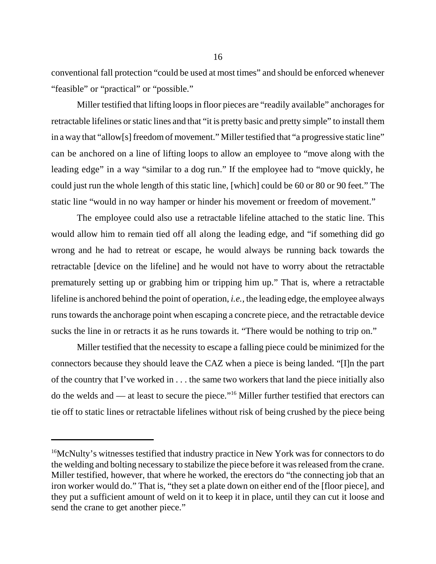conventional fall protection "could be used at most times" and should be enforced whenever "feasible" or "practical" or "possible."

Miller testified that lifting loops in floor pieces are "readily available" anchorages for retractable lifelines or static lines and that "it is pretty basic and pretty simple" to install them in a way that "allow[s] freedom of movement." Miller testified that "a progressive static line" can be anchored on a line of lifting loops to allow an employee to "move along with the leading edge" in a way "similar to a dog run." If the employee had to "move quickly, he could just run the whole length of this static line, [which] could be 60 or 80 or 90 feet." The static line "would in no way hamper or hinder his movement or freedom of movement."

The employee could also use a retractable lifeline attached to the static line. This would allow him to remain tied off all along the leading edge, and "if something did go wrong and he had to retreat or escape, he would always be running back towards the retractable [device on the lifeline] and he would not have to worry about the retractable prematurely setting up or grabbing him or tripping him up." That is, where a retractable lifeline is anchored behind the point of operation, *i.e.,* the leading edge, the employee always runs towards the anchorage point when escaping a concrete piece, and the retractable device sucks the line in or retracts it as he runs towards it. "There would be nothing to trip on."

Miller testified that the necessity to escape a falling piece could be minimized for the connectors because they should leave the CAZ when a piece is being landed. "[I]n the part of the country that I've worked in . . . the same two workers that land the piece initially also do the welds and — at least to secure the piece."16 Miller further testified that erectors can tie off to static lines or retractable lifelines without risk of being crushed by the piece being

<sup>&</sup>lt;sup>16</sup>McNulty's witnesses testified that industry practice in New York was for connectors to do the welding and bolting necessary to stabilize the piece before it was released from the crane. Miller testified, however, that where he worked, the erectors do "the connecting job that an iron worker would do." That is, "they set a plate down on either end of the [floor piece], and they put a sufficient amount of weld on it to keep it in place, until they can cut it loose and send the crane to get another piece."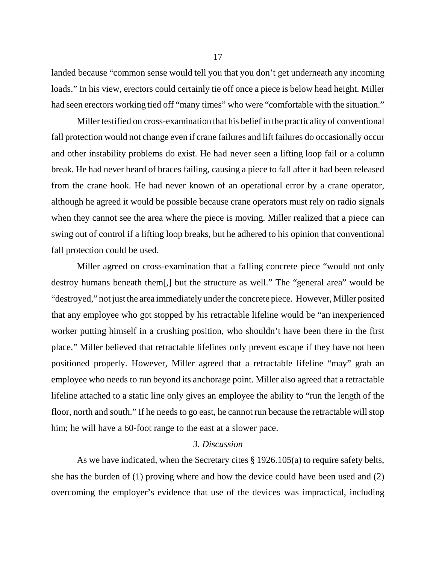landed because "common sense would tell you that you don't get underneath any incoming loads." In his view, erectors could certainly tie off once a piece is below head height. Miller had seen erectors working tied off "many times" who were "comfortable with the situation."

Miller testified on cross-examination that his belief in the practicality of conventional fall protection would not change even if crane failures and lift failures do occasionally occur and other instability problems do exist. He had never seen a lifting loop fail or a column break. He had never heard of braces failing, causing a piece to fall after it had been released from the crane hook. He had never known of an operational error by a crane operator, although he agreed it would be possible because crane operators must rely on radio signals when they cannot see the area where the piece is moving. Miller realized that a piece can swing out of control if a lifting loop breaks, but he adhered to his opinion that conventional fall protection could be used.

Miller agreed on cross-examination that a falling concrete piece "would not only destroy humans beneath them[,] but the structure as well." The "general area" would be "destroyed," not just the area immediately under the concrete piece. However, Miller posited that any employee who got stopped by his retractable lifeline would be "an inexperienced worker putting himself in a crushing position, who shouldn't have been there in the first place." Miller believed that retractable lifelines only prevent escape if they have not been positioned properly. However, Miller agreed that a retractable lifeline "may" grab an employee who needs to run beyond its anchorage point. Miller also agreed that a retractable lifeline attached to a static line only gives an employee the ability to "run the length of the floor, north and south." If he needs to go east, he cannot run because the retractable will stop him; he will have a 60-foot range to the east at a slower pace.

#### *3. Discussion*

As we have indicated, when the Secretary cites § 1926.105(a) to require safety belts, she has the burden of (1) proving where and how the device could have been used and (2) overcoming the employer's evidence that use of the devices was impractical, including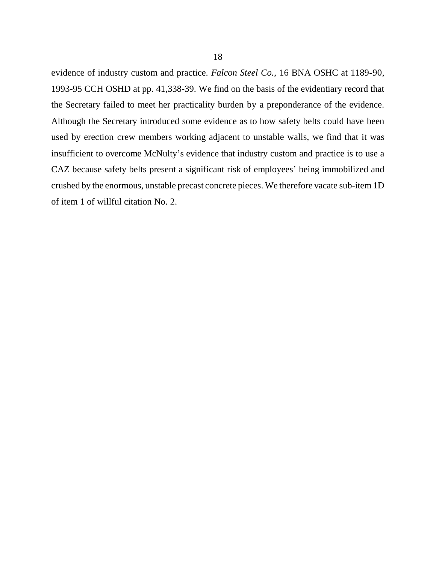evidence of industry custom and practice. *Falcon Steel Co.,* 16 BNA OSHC at 1189-90, 1993-95 CCH OSHD at pp. 41,338-39. We find on the basis of the evidentiary record that the Secretary failed to meet her practicality burden by a preponderance of the evidence. Although the Secretary introduced some evidence as to how safety belts could have been used by erection crew members working adjacent to unstable walls, we find that it was insufficient to overcome McNulty's evidence that industry custom and practice is to use a CAZ because safety belts present a significant risk of employees' being immobilized and crushed by the enormous, unstable precast concrete pieces. We therefore vacate sub-item 1D of item 1 of willful citation No. 2.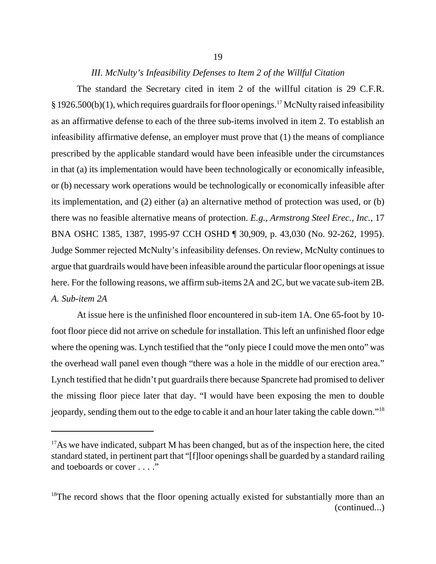#### *III. McNulty's Infeasibility Defenses to Item 2 of the Willful Citation*

The standard the Secretary cited in item 2 of the willful citation is 29 C.F.R.  $§$  1926.500(b)(1), which requires guardrails for floor openings.<sup>17</sup> McNulty raised infeasibility as an affirmative defense to each of the three sub-items involved in item 2. To establish an infeasibility affirmative defense, an employer must prove that (1) the means of compliance prescribed by the applicable standard would have been infeasible under the circumstances in that (a) its implementation would have been technologically or economically infeasible, or (b) necessary work operations would be technologically or economically infeasible after its implementation, and (2) either (a) an alternative method of protection was used, or (b) there was no feasible alternative means of protection. *E.g., Armstrong Steel Erec., Inc.,* 17 BNA OSHC 1385, 1387, 1995-97 CCH OSHD ¶ 30,909, p. 43,030 (No. 92-262, 1995). Judge Sommer rejected McNulty's infeasibility defenses. On review, McNulty continues to argue that guardrails would have been infeasible around the particular floor openings at issue here. For the following reasons, we affirm sub-items 2A and 2C, but we vacate sub-item 2B. *A. Sub-item 2A*

At issue here is the unfinished floor encountered in sub-item 1A. One 65-foot by 10 foot floor piece did not arrive on schedule for installation. This left an unfinished floor edge where the opening was. Lynch testified that the "only piece I could move the men onto" was the overhead wall panel even though "there was a hole in the middle of our erection area." Lynch testified that he didn't put guardrails there because Spancrete had promised to deliver the missing floor piece later that day. "I would have been exposing the men to double jeopardy, sending them out to the edge to cable it and an hour later taking the cable down."18

 $17\text{As}$  we have indicated, subpart M has been changed, but as of the inspection here, the cited standard stated, in pertinent part that "[f]loor openings shall be guarded by a standard railing and toeboards or cover . . . ."

 $18$ The record shows that the floor opening actually existed for substantially more than an (continued...)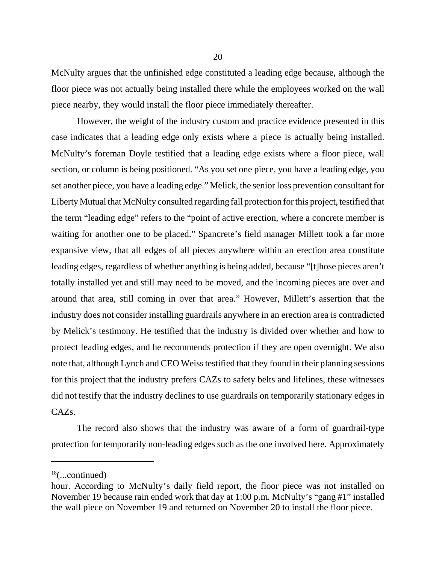McNulty argues that the unfinished edge constituted a leading edge because, although the floor piece was not actually being installed there while the employees worked on the wall piece nearby, they would install the floor piece immediately thereafter.

However, the weight of the industry custom and practice evidence presented in this case indicates that a leading edge only exists where a piece is actually being installed. McNulty's foreman Doyle testified that a leading edge exists where a floor piece, wall section, or column is being positioned. "As you set one piece, you have a leading edge, you set another piece, you have a leading edge." Melick, the senior loss prevention consultant for Liberty Mutual that McNulty consulted regarding fall protection for this project, testified that the term "leading edge" refers to the "point of active erection, where a concrete member is waiting for another one to be placed." Spancrete's field manager Millett took a far more expansive view, that all edges of all pieces anywhere within an erection area constitute leading edges, regardless of whether anything is being added, because "[t]hose pieces aren't totally installed yet and still may need to be moved, and the incoming pieces are over and around that area, still coming in over that area." However, Millett's assertion that the industry does not consider installing guardrails anywhere in an erection area is contradicted by Melick's testimony. He testified that the industry is divided over whether and how to protect leading edges, and he recommends protection if they are open overnight. We also note that, although Lynch and CEO Weiss testified that they found in their planning sessions for this project that the industry prefers CAZs to safety belts and lifelines, these witnesses did not testify that the industry declines to use guardrails on temporarily stationary edges in CAZs.

The record also shows that the industry was aware of a form of guardrail-type protection for temporarily non-leading edges such as the one involved here. Approximately

 $18$ (...continued)

hour. According to McNulty's daily field report, the floor piece was not installed on November 19 because rain ended work that day at 1:00 p.m. McNulty's "gang #1" installed the wall piece on November 19 and returned on November 20 to install the floor piece.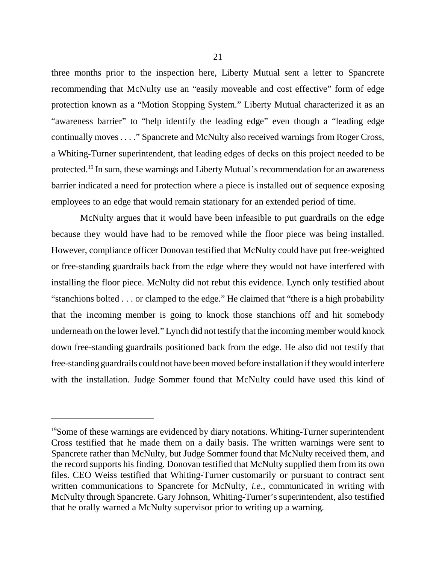three months prior to the inspection here, Liberty Mutual sent a letter to Spancrete recommending that McNulty use an "easily moveable and cost effective" form of edge protection known as a "Motion Stopping System." Liberty Mutual characterized it as an "awareness barrier" to "help identify the leading edge" even though a "leading edge continually moves . . . ." Spancrete and McNulty also received warnings from Roger Cross, a Whiting-Turner superintendent, that leading edges of decks on this project needed to be protected.19 In sum, these warnings and Liberty Mutual's recommendation for an awareness barrier indicated a need for protection where a piece is installed out of sequence exposing employees to an edge that would remain stationary for an extended period of time.

 McNulty argues that it would have been infeasible to put guardrails on the edge because they would have had to be removed while the floor piece was being installed. However, compliance officer Donovan testified that McNulty could have put free-weighted or free-standing guardrails back from the edge where they would not have interfered with installing the floor piece. McNulty did not rebut this evidence. Lynch only testified about "stanchions bolted . . . or clamped to the edge." He claimed that "there is a high probability that the incoming member is going to knock those stanchions off and hit somebody underneath on the lower level." Lynch did not testify that the incoming member would knock down free-standing guardrails positioned back from the edge. He also did not testify that free-standing guardrails could not have been moved before installation if they would interfere with the installation. Judge Sommer found that McNulty could have used this kind of

<sup>&</sup>lt;sup>19</sup>Some of these warnings are evidenced by diary notations. Whiting-Turner superintendent Cross testified that he made them on a daily basis. The written warnings were sent to Spancrete rather than McNulty, but Judge Sommer found that McNulty received them, and the record supports his finding. Donovan testified that McNulty supplied them from its own files. CEO Weiss testified that Whiting-Turner customarily or pursuant to contract sent written communications to Spancrete for McNulty, *i.e.,* communicated in writing with McNulty through Spancrete. Gary Johnson, Whiting-Turner's superintendent, also testified that he orally warned a McNulty supervisor prior to writing up a warning.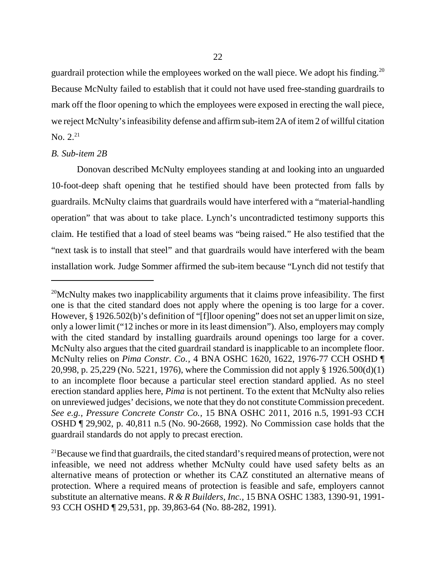guardrail protection while the employees worked on the wall piece. We adopt his finding.<sup>20</sup> Because McNulty failed to establish that it could not have used free-standing guardrails to mark off the floor opening to which the employees were exposed in erecting the wall piece, we reject McNulty's infeasibility defense and affirm sub-item 2A of item 2 of willful citation No.  $2^{21}$ 

#### *B. Sub-item 2B*

Donovan described McNulty employees standing at and looking into an unguarded 10-foot-deep shaft opening that he testified should have been protected from falls by guardrails. McNulty claims that guardrails would have interfered with a "material-handling operation" that was about to take place. Lynch's uncontradicted testimony supports this claim. He testified that a load of steel beams was "being raised." He also testified that the "next task is to install that steel" and that guardrails would have interfered with the beam installation work. Judge Sommer affirmed the sub-item because "Lynch did not testify that

 $20$ McNulty makes two inapplicability arguments that it claims prove infeasibility. The first one is that the cited standard does not apply where the opening is too large for a cover. However, § 1926.502(b)'s definition of "[f]loor opening" does not set an upper limit on size, only a lower limit ("12 inches or more in its least dimension"). Also, employers may comply with the cited standard by installing guardrails around openings too large for a cover. McNulty also argues that the cited guardrail standard is inapplicable to an incomplete floor. McNulty relies on *Pima Constr. Co.,* 4 BNA OSHC 1620, 1622, 1976-77 CCH OSHD ¶ 20,998, p. 25,229 (No. 5221, 1976), where the Commission did not apply § 1926.500(d)(1) to an incomplete floor because a particular steel erection standard applied. As no steel erection standard applies here, *Pima* is not pertinent. To the extent that McNulty also relies on unreviewed judges' decisions, we note that they do not constitute Commission precedent. *See e.g., Pressure Concrete Constr Co.,* 15 BNA OSHC 2011, 2016 n.5, 1991-93 CCH OSHD ¶ 29,902, p. 40,811 n.5 (No. 90-2668, 1992). No Commission case holds that the guardrail standards do not apply to precast erection.

 $^{21}$ Because we find that guardrails, the cited standard's required means of protection, were not infeasible, we need not address whether McNulty could have used safety belts as an alternative means of protection or whether its CAZ constituted an alternative means of protection. Where a required means of protection is feasible and safe, employers cannot substitute an alternative means. *R & R Builders, Inc.,* 15 BNA OSHC 1383, 1390-91, 1991- 93 CCH OSHD ¶ 29,531, pp. 39,863-64 (No. 88-282, 1991).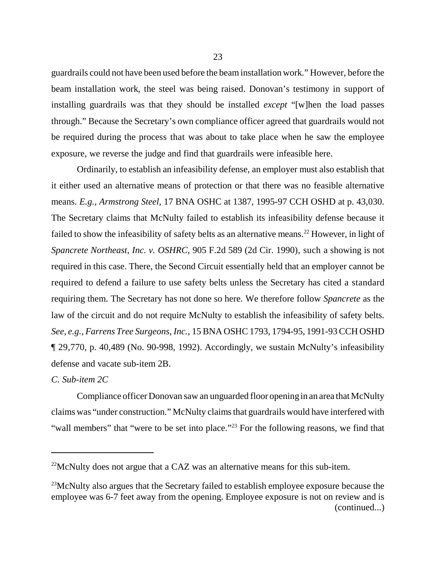guardrails could not have been used before the beam installation work." However, before the beam installation work, the steel was being raised. Donovan's testimony in support of installing guardrails was that they should be installed *except* "[w]hen the load passes through." Because the Secretary's own compliance officer agreed that guardrails would not be required during the process that was about to take place when he saw the employee exposure, we reverse the judge and find that guardrails were infeasible here.

Ordinarily, to establish an infeasibility defense, an employer must also establish that it either used an alternative means of protection or that there was no feasible alternative means. *E.g., Armstrong Steel,* 17 BNA OSHC at 1387, 1995-97 CCH OSHD at p. 43,030. The Secretary claims that McNulty failed to establish its infeasibility defense because it failed to show the infeasibility of safety belts as an alternative means.<sup>22</sup> However, in light of *Spancrete Northeast, Inc. v. OSHRC,* 905 F.2d 589 (2d Cir. 1990), such a showing is not required in this case. There, the Second Circuit essentially held that an employer cannot be required to defend a failure to use safety belts unless the Secretary has cited a standard requiring them. The Secretary has not done so here. We therefore follow *Spancrete* as the law of the circuit and do not require McNulty to establish the infeasibility of safety belts. *See*, *e.g., Farrens Tree Surgeons, Inc.,* 15 BNA OSHC 1793, 1794-95, 1991-93 CCH OSHD ¶ 29,770, p. 40,489 (No. 90-998, 1992). Accordingly, we sustain McNulty's infeasibility defense and vacate sub-item 2B.

## *C. Sub-item 2C*

Compliance officer Donovan saw an unguarded floor opening in an area that McNulty claims was "under construction." McNulty claims that guardrails would have interfered with "wall members" that "were to be set into place."<sup>23</sup> For the following reasons, we find that

 $22$ McNulty does not argue that a CAZ was an alternative means for this sub-item.

 $^{23}$ McNulty also argues that the Secretary failed to establish employee exposure because the employee was 6-7 feet away from the opening. Employee exposure is not on review and is (continued...)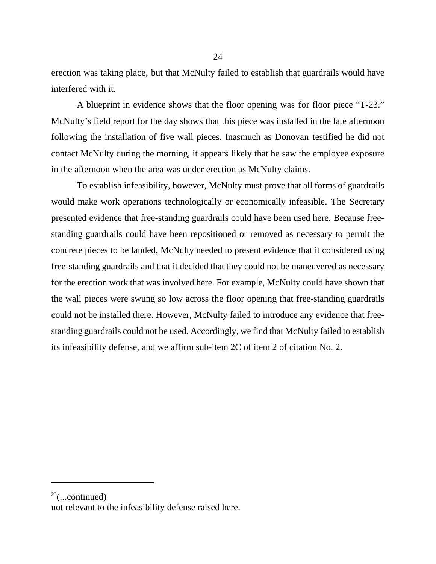erection was taking place, but that McNulty failed to establish that guardrails would have interfered with it.

A blueprint in evidence shows that the floor opening was for floor piece "T-23." McNulty's field report for the day shows that this piece was installed in the late afternoon following the installation of five wall pieces. Inasmuch as Donovan testified he did not contact McNulty during the morning, it appears likely that he saw the employee exposure in the afternoon when the area was under erection as McNulty claims.

To establish infeasibility, however, McNulty must prove that all forms of guardrails would make work operations technologically or economically infeasible. The Secretary presented evidence that free-standing guardrails could have been used here. Because freestanding guardrails could have been repositioned or removed as necessary to permit the concrete pieces to be landed, McNulty needed to present evidence that it considered using free-standing guardrails and that it decided that they could not be maneuvered as necessary for the erection work that was involved here. For example, McNulty could have shown that the wall pieces were swung so low across the floor opening that free-standing guardrails could not be installed there. However, McNulty failed to introduce any evidence that freestanding guardrails could not be used. Accordingly, we find that McNulty failed to establish its infeasibility defense, and we affirm sub-item 2C of item 2 of citation No. 2.

 $23$ (...continued)

not relevant to the infeasibility defense raised here.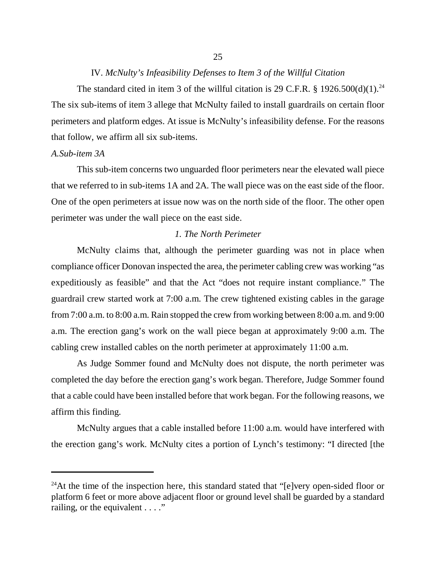## IV. *McNulty's Infeasibility Defenses to Item 3 of the Willful Citation*

The standard cited in item 3 of the willful citation is 29 C.F.R. § 1926.500(d)(1).<sup>24</sup> The six sub-items of item 3 allege that McNulty failed to install guardrails on certain floor perimeters and platform edges. At issue is McNulty's infeasibility defense. For the reasons that follow, we affirm all six sub-items.

## *A.Sub-item 3A*

This sub-item concerns two unguarded floor perimeters near the elevated wall piece that we referred to in sub-items 1A and 2A. The wall piece was on the east side of the floor. One of the open perimeters at issue now was on the north side of the floor. The other open perimeter was under the wall piece on the east side.

## *1. The North Perimeter*

McNulty claims that, although the perimeter guarding was not in place when compliance officer Donovan inspected the area, the perimeter cabling crew was working "as expeditiously as feasible" and that the Act "does not require instant compliance." The guardrail crew started work at 7:00 a.m. The crew tightened existing cables in the garage from 7:00 a.m. to 8:00 a.m. Rain stopped the crew from working between 8:00 a.m. and 9:00 a.m. The erection gang's work on the wall piece began at approximately 9:00 a.m. The cabling crew installed cables on the north perimeter at approximately 11:00 a.m.

As Judge Sommer found and McNulty does not dispute, the north perimeter was completed the day before the erection gang's work began. Therefore, Judge Sommer found that a cable could have been installed before that work began. For the following reasons, we affirm this finding.

McNulty argues that a cable installed before 11:00 a.m. would have interfered with the erection gang's work. McNulty cites a portion of Lynch's testimony: "I directed [the

<sup>&</sup>lt;sup>24</sup>At the time of the inspection here, this standard stated that " $[e]$ very open-sided floor or platform 6 feet or more above adjacent floor or ground level shall be guarded by a standard railing, or the equivalent . . . ."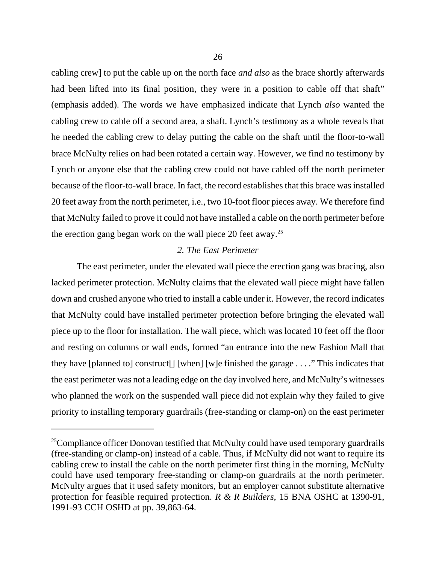cabling crew] to put the cable up on the north face *and also* as the brace shortly afterwards had been lifted into its final position, they were in a position to cable off that shaft" (emphasis added). The words we have emphasized indicate that Lynch *also* wanted the cabling crew to cable off a second area, a shaft. Lynch's testimony as a whole reveals that he needed the cabling crew to delay putting the cable on the shaft until the floor-to-wall brace McNulty relies on had been rotated a certain way. However, we find no testimony by Lynch or anyone else that the cabling crew could not have cabled off the north perimeter because of the floor-to-wall brace. In fact, the record establishes that this brace was installed 20 feet away from the north perimeter, i.e., two 10-foot floor pieces away. We therefore find that McNulty failed to prove it could not have installed a cable on the north perimeter before the erection gang began work on the wall piece 20 feet away.<sup>25</sup>

## *2. The East Perimeter*

The east perimeter, under the elevated wall piece the erection gang was bracing, also lacked perimeter protection. McNulty claims that the elevated wall piece might have fallen down and crushed anyone who tried to install a cable under it. However, the record indicates that McNulty could have installed perimeter protection before bringing the elevated wall piece up to the floor for installation. The wall piece, which was located 10 feet off the floor and resting on columns or wall ends, formed "an entrance into the new Fashion Mall that they have [planned to] construct[] [when] [w]e finished the garage . . . ." This indicates that the east perimeter was not a leading edge on the day involved here, and McNulty's witnesses who planned the work on the suspended wall piece did not explain why they failed to give priority to installing temporary guardrails (free-standing or clamp-on) on the east perimeter

 $25$ Compliance officer Donovan testified that McNulty could have used temporary guardrails (free-standing or clamp-on) instead of a cable. Thus, if McNulty did not want to require its cabling crew to install the cable on the north perimeter first thing in the morning, McNulty could have used temporary free-standing or clamp-on guardrails at the north perimeter. McNulty argues that it used safety monitors, but an employer cannot substitute alternative protection for feasible required protection. *R & R Builders,* 15 BNA OSHC at 1390-91, 1991-93 CCH OSHD at pp. 39,863-64.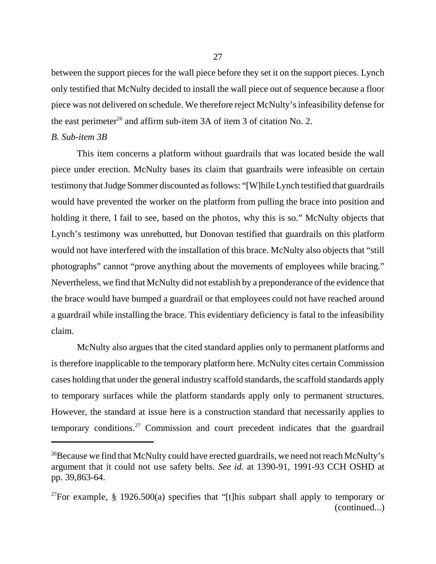between the support pieces for the wall piece before they set it on the support pieces. Lynch only testified that McNulty decided to install the wall piece out of sequence because a floor piece was not delivered on schedule. We therefore reject McNulty's infeasibility defense for the east perimeter<sup>26</sup> and affirm sub-item  $3A$  of item  $3$  of citation No. 2.

# *B. Sub-item 3B*

This item concerns a platform without guardrails that was located beside the wall piece under erection. McNulty bases its claim that guardrails were infeasible on certain testimony that Judge Sommer discounted as follows: "[W]hile Lynch testified that guardrails would have prevented the worker on the platform from pulling the brace into position and holding it there, I fail to see, based on the photos, why this is so." McNulty objects that Lynch's testimony was unrebutted, but Donovan testified that guardrails on this platform would not have interfered with the installation of this brace. McNulty also objects that "still photographs" cannot "prove anything about the movements of employees while bracing." Nevertheless, we find that McNulty did not establish by a preponderance of the evidence that the brace would have bumped a guardrail or that employees could not have reached around a guardrail while installing the brace. This evidentiary deficiency is fatal to the infeasibility claim.

McNulty also argues that the cited standard applies only to permanent platforms and is therefore inapplicable to the temporary platform here. McNulty cites certain Commission cases holding that under the general industry scaffold standards, the scaffold standards apply to temporary surfaces while the platform standards apply only to permanent structures. However, the standard at issue here is a construction standard that necessarily applies to temporary conditions.27 Commission and court precedent indicates that the guardrail

<sup>&</sup>lt;sup>26</sup>Because we find that McNulty could have erected guardrails, we need not reach McNulty's argument that it could not use safety belts. *See id.* at 1390-91, 1991-93 CCH OSHD at pp. 39,863-64.

<sup>&</sup>lt;sup>27</sup>For example, § 1926.500(a) specifies that "[t]his subpart shall apply to temporary or (continued...)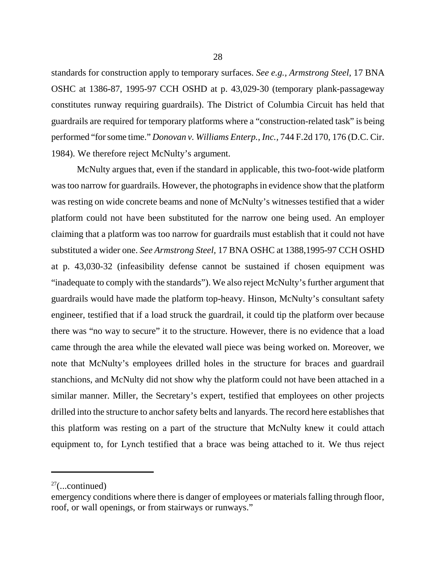standards for construction apply to temporary surfaces. *See e.g., Armstrong Steel,* 17 BNA OSHC at 1386-87, 1995-97 CCH OSHD at p. 43,029-30 (temporary plank-passageway constitutes runway requiring guardrails). The District of Columbia Circuit has held that guardrails are required for temporary platforms where a "construction-related task" is being performed "for some time." *Donovan v. Williams Enterp., Inc.,* 744 F.2d 170, 176 (D.C. Cir. 1984). We therefore reject McNulty's argument.

McNulty argues that, even if the standard in applicable, this two-foot-wide platform was too narrow for guardrails. However, the photographs in evidence show that the platform was resting on wide concrete beams and none of McNulty's witnesses testified that a wider platform could not have been substituted for the narrow one being used. An employer claiming that a platform was too narrow for guardrails must establish that it could not have substituted a wider one. *See Armstrong Steel,* 17 BNA OSHC at 1388,1995-97 CCH OSHD at p. 43,030-32 (infeasibility defense cannot be sustained if chosen equipment was "inadequate to comply with the standards"). We also reject McNulty's further argument that guardrails would have made the platform top-heavy. Hinson, McNulty's consultant safety engineer, testified that if a load struck the guardrail, it could tip the platform over because there was "no way to secure" it to the structure. However, there is no evidence that a load came through the area while the elevated wall piece was being worked on. Moreover, we note that McNulty's employees drilled holes in the structure for braces and guardrail stanchions, and McNulty did not show why the platform could not have been attached in a similar manner. Miller, the Secretary's expert, testified that employees on other projects drilled into the structure to anchor safety belts and lanyards. The record here establishes that this platform was resting on a part of the structure that McNulty knew it could attach equipment to, for Lynch testified that a brace was being attached to it. We thus reject

 $27$ (...continued)

emergency conditions where there is danger of employees or materials falling through floor, roof, or wall openings, or from stairways or runways."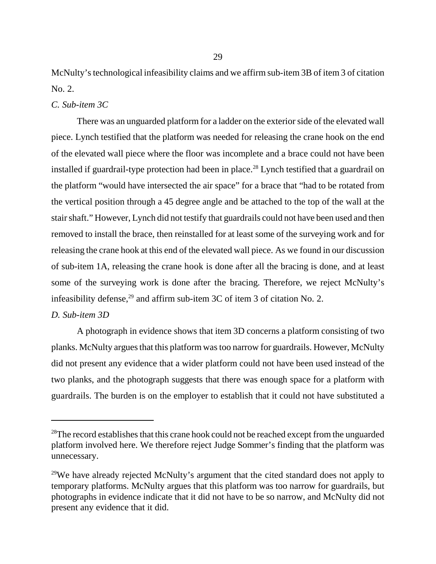McNulty's technological infeasibility claims and we affirm sub-item 3B of item 3 of citation No. 2.

*C. Sub-item 3C*

There was an unguarded platform for a ladder on the exterior side of the elevated wall piece. Lynch testified that the platform was needed for releasing the crane hook on the end of the elevated wall piece where the floor was incomplete and a brace could not have been installed if guardrail-type protection had been in place.<sup>28</sup> Lynch testified that a guardrail on the platform "would have intersected the air space" for a brace that "had to be rotated from the vertical position through a 45 degree angle and be attached to the top of the wall at the stair shaft." However, Lynch did not testify that guardrails could not have been used and then removed to install the brace, then reinstalled for at least some of the surveying work and for releasing the crane hook at this end of the elevated wall piece. As we found in our discussion of sub-item 1A, releasing the crane hook is done after all the bracing is done, and at least some of the surveying work is done after the bracing. Therefore, we reject McNulty's infeasibility defense, $^{29}$  and affirm sub-item 3C of item 3 of citation No. 2.

## *D. Sub-item 3D*

A photograph in evidence shows that item 3D concerns a platform consisting of two planks. McNulty argues that this platform was too narrow for guardrails. However, McNulty did not present any evidence that a wider platform could not have been used instead of the two planks, and the photograph suggests that there was enough space for a platform with guardrails. The burden is on the employer to establish that it could not have substituted a

<sup>&</sup>lt;sup>28</sup>The record establishes that this crane hook could not be reached except from the unguarded platform involved here. We therefore reject Judge Sommer's finding that the platform was unnecessary.

<sup>&</sup>lt;sup>29</sup>We have already rejected McNulty's argument that the cited standard does not apply to temporary platforms. McNulty argues that this platform was too narrow for guardrails, but photographs in evidence indicate that it did not have to be so narrow, and McNulty did not present any evidence that it did.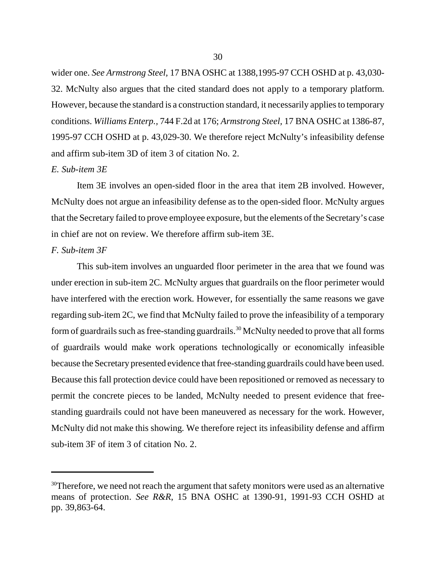wider one. *See Armstrong Steel,* 17 BNA OSHC at 1388,1995-97 CCH OSHD at p. 43,030- 32. McNulty also argues that the cited standard does not apply to a temporary platform. However, because the standard is a construction standard, it necessarily applies to temporary conditions. *Williams Enterp.,* 744 F.2d at 176; *Armstrong Steel,* 17 BNA OSHC at 1386-87, 1995-97 CCH OSHD at p. 43,029-30. We therefore reject McNulty's infeasibility defense and affirm sub-item 3D of item 3 of citation No. 2.

#### *E. Sub-item 3E*

Item 3E involves an open-sided floor in the area that item 2B involved. However, McNulty does not argue an infeasibility defense as to the open-sided floor. McNulty argues that the Secretary failed to prove employee exposure, but the elements of the Secretary's case in chief are not on review. We therefore affirm sub-item 3E.

## *F. Sub-item 3F*

This sub-item involves an unguarded floor perimeter in the area that we found was under erection in sub-item 2C. McNulty argues that guardrails on the floor perimeter would have interfered with the erection work. However, for essentially the same reasons we gave regarding sub-item 2C, we find that McNulty failed to prove the infeasibility of a temporary form of guardrails such as free-standing guardrails.<sup>30</sup> McNulty needed to prove that all forms of guardrails would make work operations technologically or economically infeasible because the Secretary presented evidence that free-standing guardrails could have been used. Because this fall protection device could have been repositioned or removed as necessary to permit the concrete pieces to be landed, McNulty needed to present evidence that freestanding guardrails could not have been maneuvered as necessary for the work. However, McNulty did not make this showing. We therefore reject its infeasibility defense and affirm sub-item 3F of item 3 of citation No. 2.

 $30$ Therefore, we need not reach the argument that safety monitors were used as an alternative means of protection. *See R&R*, 15 BNA OSHC at 1390-91, 1991-93 CCH OSHD at pp. 39,863-64.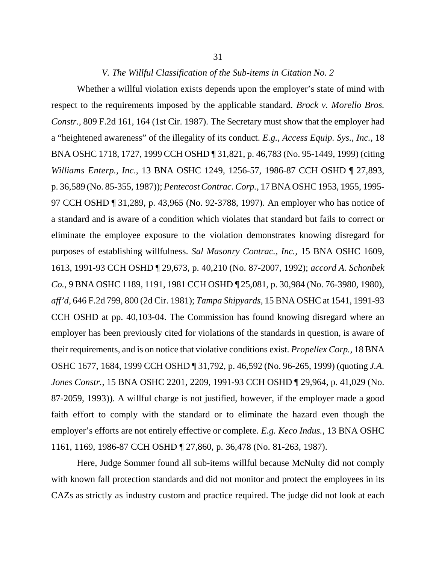#### *V. The Willful Classification of the Sub-items in Citation No. 2*

Whether a willful violation exists depends upon the employer's state of mind with respect to the requirements imposed by the applicable standard. *Brock v. Morello Bros. Constr.,* 809 F.2d 161, 164 (1st Cir. 1987). The Secretary must show that the employer had a "heightened awareness" of the illegality of its conduct. *E.g., Access Equip. Sys., Inc.,* 18 BNA OSHC 1718, 1727, 1999 CCH OSHD ¶ 31,821, p. 46,783 (No. 95-1449, 1999) (citing *Williams Enterp., Inc*., 13 BNA OSHC 1249, 1256-57, 1986-87 CCH OSHD ¶ 27,893, p. 36,589 (No. 85-355, 1987)); *Pentecost Contrac. Corp.,* 17 BNA OSHC 1953, 1955, 1995- 97 CCH OSHD ¶ 31,289, p. 43,965 (No. 92-3788, 1997). An employer who has notice of a standard and is aware of a condition which violates that standard but fails to correct or eliminate the employee exposure to the violation demonstrates knowing disregard for purposes of establishing willfulness. *Sal Masonry Contrac., Inc.,* 15 BNA OSHC 1609, 1613, 1991-93 CCH OSHD ¶ 29,673, p. 40,210 (No. 87-2007, 1992); *accord A. Schonbek Co.*, 9 BNA OSHC 1189, 1191, 1981 CCH OSHD ¶ 25,081, p. 30,984 (No. 76-3980, 1980), *aff'd,* 646 F.2d 799, 800 (2d Cir. 1981); *Tampa Shipyards,* 15 BNA OSHC at 1541, 1991-93 CCH OSHD at pp. 40,103-04. The Commission has found knowing disregard where an employer has been previously cited for violations of the standards in question, is aware of their requirements, and is on notice that violative conditions exist. *Propellex Corp.,* 18 BNA OSHC 1677, 1684, 1999 CCH OSHD ¶ 31,792, p. 46,592 (No. 96-265, 1999) (quoting *J.A. Jones Constr.,* 15 BNA OSHC 2201, 2209, 1991-93 CCH OSHD ¶ 29,964, p. 41,029 (No. 87-2059, 1993)). A willful charge is not justified, however, if the employer made a good faith effort to comply with the standard or to eliminate the hazard even though the employer's efforts are not entirely effective or complete. *E.g. Keco Indus.,* 13 BNA OSHC 1161, 1169, 1986-87 CCH OSHD ¶ 27,860, p. 36,478 (No. 81-263, 1987).

Here, Judge Sommer found all sub-items willful because McNulty did not comply with known fall protection standards and did not monitor and protect the employees in its CAZs as strictly as industry custom and practice required. The judge did not look at each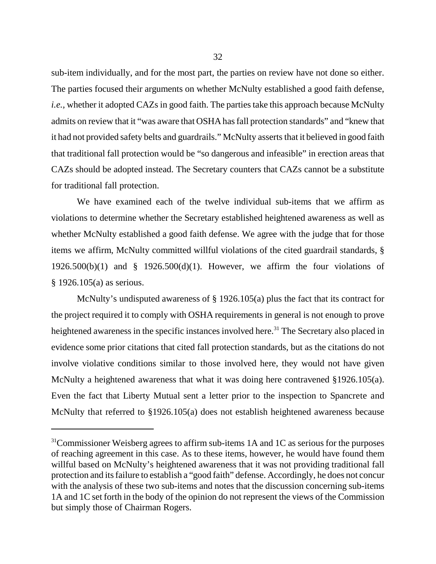sub-item individually, and for the most part, the parties on review have not done so either. The parties focused their arguments on whether McNulty established a good faith defense, *i.e.*, whether it adopted CAZs in good faith. The parties take this approach because McNulty admits on review that it "was aware that OSHA has fall protection standards" and "knew that it had not provided safety belts and guardrails." McNulty asserts that it believed in good faith that traditional fall protection would be "so dangerous and infeasible" in erection areas that CAZs should be adopted instead. The Secretary counters that CAZs cannot be a substitute for traditional fall protection.

We have examined each of the twelve individual sub-items that we affirm as violations to determine whether the Secretary established heightened awareness as well as whether McNulty established a good faith defense. We agree with the judge that for those items we affirm, McNulty committed willful violations of the cited guardrail standards, § 1926.500(b)(1) and  $\S$  1926.500(d)(1). However, we affirm the four violations of § 1926.105(a) as serious.

McNulty's undisputed awareness of § 1926.105(a) plus the fact that its contract for the project required it to comply with OSHA requirements in general is not enough to prove heightened awareness in the specific instances involved here.<sup>31</sup> The Secretary also placed in evidence some prior citations that cited fall protection standards, but as the citations do not involve violative conditions similar to those involved here, they would not have given McNulty a heightened awareness that what it was doing here contravened §1926.105(a). Even the fact that Liberty Mutual sent a letter prior to the inspection to Spancrete and McNulty that referred to §1926.105(a) does not establish heightened awareness because

 $31$ Commissioner Weisberg agrees to affirm sub-items 1A and 1C as serious for the purposes of reaching agreement in this case. As to these items, however, he would have found them willful based on McNulty's heightened awareness that it was not providing traditional fall protection and its failure to establish a "good faith" defense. Accordingly, he does not concur with the analysis of these two sub-items and notes that the discussion concerning sub-items 1A and 1C set forth in the body of the opinion do not represent the views of the Commission but simply those of Chairman Rogers.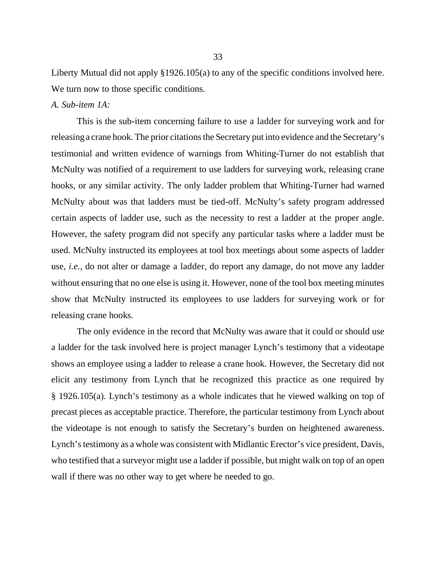Liberty Mutual did not apply §1926.105(a) to any of the specific conditions involved here. We turn now to those specific conditions.

#### *A. Sub-item 1A:*

This is the sub-item concerning failure to use a ladder for surveying work and for releasing a crane hook. The prior citations the Secretary put into evidence and the Secretary's testimonial and written evidence of warnings from Whiting-Turner do not establish that McNulty was notified of a requirement to use ladders for surveying work, releasing crane hooks, or any similar activity. The only ladder problem that Whiting-Turner had warned McNulty about was that ladders must be tied-off. McNulty's safety program addressed certain aspects of ladder use, such as the necessity to rest a ladder at the proper angle. However, the safety program did not specify any particular tasks where a ladder must be used. McNulty instructed its employees at tool box meetings about some aspects of ladder use, *i.e.,* do not alter or damage a ladder, do report any damage, do not move any ladder without ensuring that no one else is using it. However, none of the tool box meeting minutes show that McNulty instructed its employees to use ladders for surveying work or for releasing crane hooks.

The only evidence in the record that McNulty was aware that it could or should use a ladder for the task involved here is project manager Lynch's testimony that a videotape shows an employee using a ladder to release a crane hook. However, the Secretary did not elicit any testimony from Lynch that he recognized this practice as one required by § 1926.105(a). Lynch's testimony as a whole indicates that he viewed walking on top of precast pieces as acceptable practice. Therefore, the particular testimony from Lynch about the videotape is not enough to satisfy the Secretary's burden on heightened awareness. Lynch's testimony as a whole was consistent with Midlantic Erector's vice president, Davis, who testified that a surveyor might use a ladder if possible, but might walk on top of an open wall if there was no other way to get where he needed to go.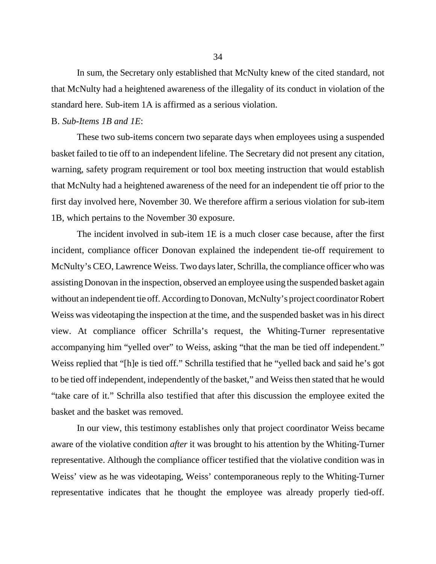In sum, the Secretary only established that McNulty knew of the cited standard, not that McNulty had a heightened awareness of the illegality of its conduct in violation of the standard here. Sub-item 1A is affirmed as a serious violation.

#### B. *Sub-Items 1B and 1E*:

These two sub-items concern two separate days when employees using a suspended basket failed to tie off to an independent lifeline. The Secretary did not present any citation, warning, safety program requirement or tool box meeting instruction that would establish that McNulty had a heightened awareness of the need for an independent tie off prior to the first day involved here, November 30. We therefore affirm a serious violation for sub-item 1B, which pertains to the November 30 exposure.

The incident involved in sub-item 1E is a much closer case because, after the first incident, compliance officer Donovan explained the independent tie-off requirement to McNulty's CEO, Lawrence Weiss. Two days later, Schrilla, the compliance officer who was assisting Donovan in the inspection, observed an employee using the suspended basket again without an independent tie off. According to Donovan, McNulty's project coordinator Robert Weiss was videotaping the inspection at the time, and the suspended basket was in his direct view. At compliance officer Schrilla's request, the Whiting-Turner representative accompanying him "yelled over" to Weiss, asking "that the man be tied off independent." Weiss replied that "[h]e is tied off." Schrilla testified that he "yelled back and said he's got to be tied off independent, independently of the basket," and Weiss then stated that he would "take care of it." Schrilla also testified that after this discussion the employee exited the basket and the basket was removed.

In our view, this testimony establishes only that project coordinator Weiss became aware of the violative condition *after* it was brought to his attention by the Whiting-Turner representative. Although the compliance officer testified that the violative condition was in Weiss' view as he was videotaping, Weiss' contemporaneous reply to the Whiting-Turner representative indicates that he thought the employee was already properly tied-off.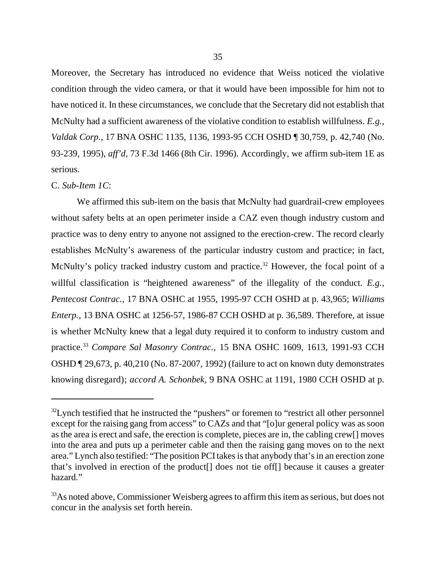Moreover, the Secretary has introduced no evidence that Weiss noticed the violative condition through the video camera, or that it would have been impossible for him not to have noticed it. In these circumstances, we conclude that the Secretary did not establish that McNulty had a sufficient awareness of the violative condition to establish willfulness. *E.g., Valdak Corp*., 17 BNA OSHC 1135, 1136, 1993-95 CCH OSHD ¶ 30,759, p. 42,740 (No. 93-239, 1995), *aff'd*, 73 F.3d 1466 (8th Cir. 1996). Accordingly, we affirm sub-item 1E as serious.

## C. *Sub-Item 1C*:

We affirmed this sub-item on the basis that McNulty had guardrail-crew employees without safety belts at an open perimeter inside a CAZ even though industry custom and practice was to deny entry to anyone not assigned to the erection-crew. The record clearly establishes McNulty's awareness of the particular industry custom and practice; in fact, McNulty's policy tracked industry custom and practice.<sup>32</sup> However, the focal point of a willful classification is "heightened awareness" of the illegality of the conduct. *E.g., Pentecost Contrac.,* 17 BNA OSHC at 1955, 1995-97 CCH OSHD at p. 43,965; *Williams Enterp.,* 13 BNA OSHC at 1256-57, 1986-87 CCH OSHD at p. 36,589. Therefore, at issue is whether McNulty knew that a legal duty required it to conform to industry custom and practice.33 *Compare Sal Masonry Contrac.,* 15 BNA OSHC 1609, 1613, 1991-93 CCH OSHD ¶ 29,673, p. 40,210 (No. 87-2007, 1992) (failure to act on known duty demonstrates knowing disregard); *accord A. Schonbek,* 9 BNA OSHC at 1191, 1980 CCH OSHD at p.

<sup>&</sup>lt;sup>32</sup>Lynch testified that he instructed the "pushers" or foremen to "restrict all other personnel except for the raising gang from access" to CAZs and that "[o]ur general policy was as soon as the area is erect and safe, the erection is complete, pieces are in, the cabling crew[] moves into the area and puts up a perimeter cable and then the raising gang moves on to the next area." Lynch also testified: "The position PCI takes is that anybody that's in an erection zone that's involved in erection of the product[] does not tie off[] because it causes a greater hazard."

<sup>&</sup>lt;sup>33</sup>As noted above, Commissioner Weisberg agrees to affirm this item as serious, but does not concur in the analysis set forth herein.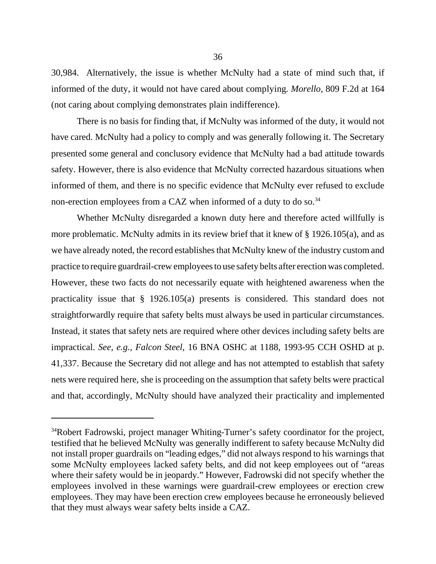30,984. Alternatively, the issue is whether McNulty had a state of mind such that, if informed of the duty, it would not have cared about complying. *Morello,* 809 F.2d at 164 (not caring about complying demonstrates plain indifference).

There is no basis for finding that, if McNulty was informed of the duty, it would not have cared. McNulty had a policy to comply and was generally following it. The Secretary presented some general and conclusory evidence that McNulty had a bad attitude towards safety. However, there is also evidence that McNulty corrected hazardous situations when informed of them, and there is no specific evidence that McNulty ever refused to exclude non-erection employees from a CAZ when informed of a duty to do so.<sup>34</sup>

Whether McNulty disregarded a known duty here and therefore acted willfully is more problematic. McNulty admits in its review brief that it knew of § 1926.105(a), and as we have already noted, the record establishes that McNulty knew of the industry custom and practice to require guardrail-crew employees to use safety belts after erection was completed. However, these two facts do not necessarily equate with heightened awareness when the practicality issue that § 1926.105(a) presents is considered. This standard does not straightforwardly require that safety belts must always be used in particular circumstances. Instead, it states that safety nets are required where other devices including safety belts are impractical. *See, e.g., Falcon Steel,* 16 BNA OSHC at 1188, 1993-95 CCH OSHD at p. 41,337. Because the Secretary did not allege and has not attempted to establish that safety nets were required here, she is proceeding on the assumption that safety belts were practical and that, accordingly, McNulty should have analyzed their practicality and implemented

<sup>&</sup>lt;sup>34</sup>Robert Fadrowski, project manager Whiting-Turner's safety coordinator for the project, testified that he believed McNulty was generally indifferent to safety because McNulty did not install proper guardrails on "leading edges," did not always respond to his warnings that some McNulty employees lacked safety belts, and did not keep employees out of "areas where their safety would be in jeopardy." However, Fadrowski did not specify whether the employees involved in these warnings were guardrail-crew employees or erection crew employees. They may have been erection crew employees because he erroneously believed that they must always wear safety belts inside a CAZ.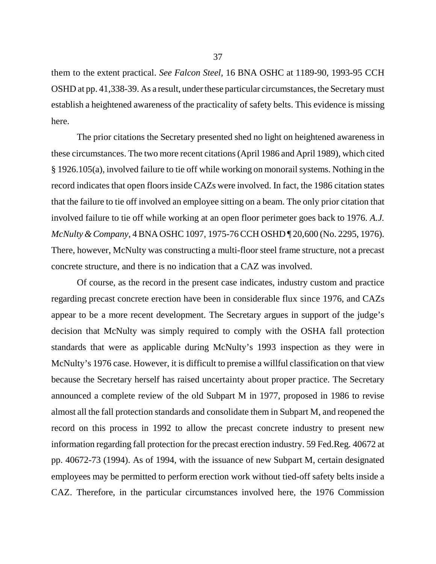them to the extent practical. *See Falcon Steel,* 16 BNA OSHC at 1189-90, 1993-95 CCH OSHD at pp. 41,338-39. As a result, under these particular circumstances, the Secretary must establish a heightened awareness of the practicality of safety belts. This evidence is missing here.

The prior citations the Secretary presented shed no light on heightened awareness in these circumstances. The two more recent citations (April 1986 and April 1989), which cited § 1926.105(a), involved failure to tie off while working on monorail systems. Nothing in the record indicates that open floors inside CAZs were involved. In fact, the 1986 citation states that the failure to tie off involved an employee sitting on a beam. The only prior citation that involved failure to tie off while working at an open floor perimeter goes back to 1976. *A.J. McNulty & Company,* 4 BNA OSHC 1097, 1975-76 CCH OSHD ¶ 20,600 (No. 2295, 1976). There, however, McNulty was constructing a multi-floor steel frame structure, not a precast concrete structure, and there is no indication that a CAZ was involved.

Of course, as the record in the present case indicates, industry custom and practice regarding precast concrete erection have been in considerable flux since 1976, and CAZs appear to be a more recent development. The Secretary argues in support of the judge's decision that McNulty was simply required to comply with the OSHA fall protection standards that were as applicable during McNulty's 1993 inspection as they were in McNulty's 1976 case. However, it is difficult to premise a willful classification on that view because the Secretary herself has raised uncertainty about proper practice. The Secretary announced a complete review of the old Subpart M in 1977, proposed in 1986 to revise almost all the fall protection standards and consolidate them in Subpart M, and reopened the record on this process in 1992 to allow the precast concrete industry to present new information regarding fall protection for the precast erection industry. 59 Fed.Reg. 40672 at pp. 40672-73 (1994). As of 1994, with the issuance of new Subpart M, certain designated employees may be permitted to perform erection work without tied-off safety belts inside a CAZ. Therefore, in the particular circumstances involved here, the 1976 Commission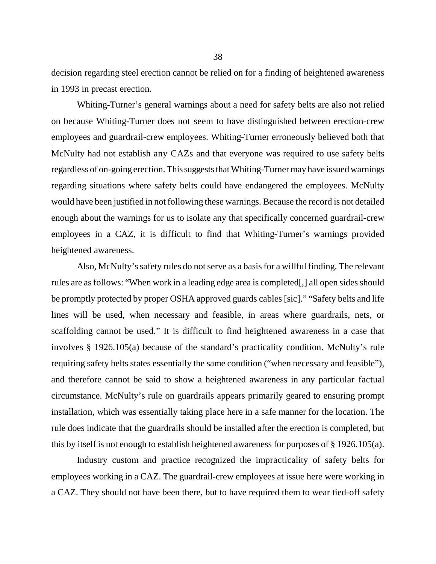decision regarding steel erection cannot be relied on for a finding of heightened awareness in 1993 in precast erection.

Whiting-Turner's general warnings about a need for safety belts are also not relied on because Whiting-Turner does not seem to have distinguished between erection-crew employees and guardrail-crew employees. Whiting-Turner erroneously believed both that McNulty had not establish any CAZs and that everyone was required to use safety belts regardless of on-going erection. This suggests that Whiting-Turner may have issued warnings regarding situations where safety belts could have endangered the employees. McNulty would have been justified in not following these warnings. Because the record is not detailed enough about the warnings for us to isolate any that specifically concerned guardrail-crew employees in a CAZ, it is difficult to find that Whiting-Turner's warnings provided heightened awareness.

Also, McNulty's safety rules do not serve as a basis for a willful finding. The relevant rules are as follows: "When work in a leading edge area is completed[,] all open sides should be promptly protected by proper OSHA approved guards cables [sic]." "Safety belts and life lines will be used, when necessary and feasible, in areas where guardrails, nets, or scaffolding cannot be used." It is difficult to find heightened awareness in a case that involves § 1926.105(a) because of the standard's practicality condition. McNulty's rule requiring safety belts states essentially the same condition ("when necessary and feasible"), and therefore cannot be said to show a heightened awareness in any particular factual circumstance. McNulty's rule on guardrails appears primarily geared to ensuring prompt installation, which was essentially taking place here in a safe manner for the location. The rule does indicate that the guardrails should be installed after the erection is completed, but this by itself is not enough to establish heightened awareness for purposes of § 1926.105(a).

Industry custom and practice recognized the impracticality of safety belts for employees working in a CAZ. The guardrail-crew employees at issue here were working in a CAZ. They should not have been there, but to have required them to wear tied-off safety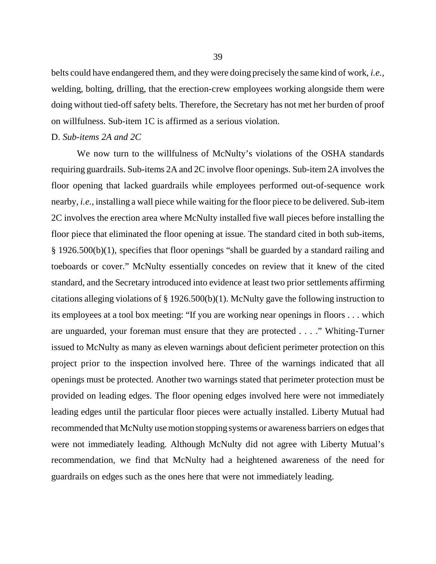belts could have endangered them, and they were doing precisely the same kind of work, *i.e.,* welding, bolting, drilling, that the erection-crew employees working alongside them were doing without tied-off safety belts. Therefore, the Secretary has not met her burden of proof on willfulness. Sub-item 1C is affirmed as a serious violation.

#### D. *Sub-items 2A and 2C*

We now turn to the willfulness of McNulty's violations of the OSHA standards requiring guardrails. Sub-items 2A and 2C involve floor openings. Sub-item 2A involves the floor opening that lacked guardrails while employees performed out-of-sequence work nearby, *i.e.,* installing a wall piece while waiting for the floor piece to be delivered. Sub-item 2C involves the erection area where McNulty installed five wall pieces before installing the floor piece that eliminated the floor opening at issue. The standard cited in both sub-items, § 1926.500(b)(1), specifies that floor openings "shall be guarded by a standard railing and toeboards or cover." McNulty essentially concedes on review that it knew of the cited standard, and the Secretary introduced into evidence at least two prior settlements affirming citations alleging violations of § 1926.500(b)(1). McNulty gave the following instruction to its employees at a tool box meeting: "If you are working near openings in floors . . . which are unguarded, your foreman must ensure that they are protected . . . ." Whiting-Turner issued to McNulty as many as eleven warnings about deficient perimeter protection on this project prior to the inspection involved here. Three of the warnings indicated that all openings must be protected. Another two warnings stated that perimeter protection must be provided on leading edges. The floor opening edges involved here were not immediately leading edges until the particular floor pieces were actually installed. Liberty Mutual had recommended that McNulty use motion stopping systems or awareness barriers on edges that were not immediately leading. Although McNulty did not agree with Liberty Mutual's recommendation, we find that McNulty had a heightened awareness of the need for guardrails on edges such as the ones here that were not immediately leading.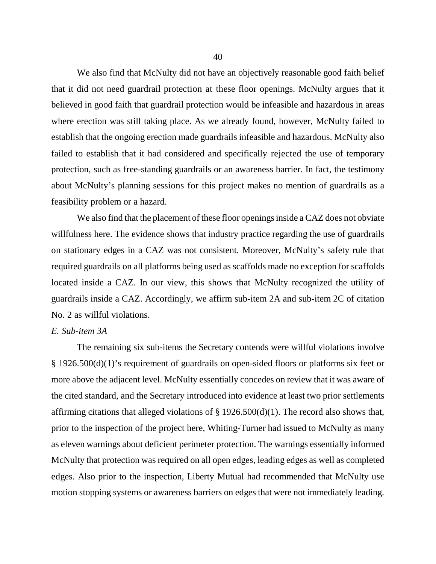We also find that McNulty did not have an objectively reasonable good faith belief that it did not need guardrail protection at these floor openings. McNulty argues that it believed in good faith that guardrail protection would be infeasible and hazardous in areas where erection was still taking place. As we already found, however, McNulty failed to establish that the ongoing erection made guardrails infeasible and hazardous. McNulty also failed to establish that it had considered and specifically rejected the use of temporary protection, such as free-standing guardrails or an awareness barrier. In fact, the testimony about McNulty's planning sessions for this project makes no mention of guardrails as a feasibility problem or a hazard.

We also find that the placement of these floor openings inside a CAZ does not obviate willfulness here. The evidence shows that industry practice regarding the use of guardrails on stationary edges in a CAZ was not consistent. Moreover, McNulty's safety rule that required guardrails on all platforms being used as scaffolds made no exception for scaffolds located inside a CAZ. In our view, this shows that McNulty recognized the utility of guardrails inside a CAZ. Accordingly, we affirm sub-item 2A and sub-item 2C of citation No. 2 as willful violations.

### *E. Sub-item 3A*

The remaining six sub-items the Secretary contends were willful violations involve § 1926.500(d)(1)'s requirement of guardrails on open-sided floors or platforms six feet or more above the adjacent level. McNulty essentially concedes on review that it was aware of the cited standard, and the Secretary introduced into evidence at least two prior settlements affirming citations that alleged violations of  $\S$  1926.500(d)(1). The record also shows that, prior to the inspection of the project here, Whiting-Turner had issued to McNulty as many as eleven warnings about deficient perimeter protection. The warnings essentially informed McNulty that protection was required on all open edges, leading edges as well as completed edges. Also prior to the inspection, Liberty Mutual had recommended that McNulty use motion stopping systems or awareness barriers on edges that were not immediately leading.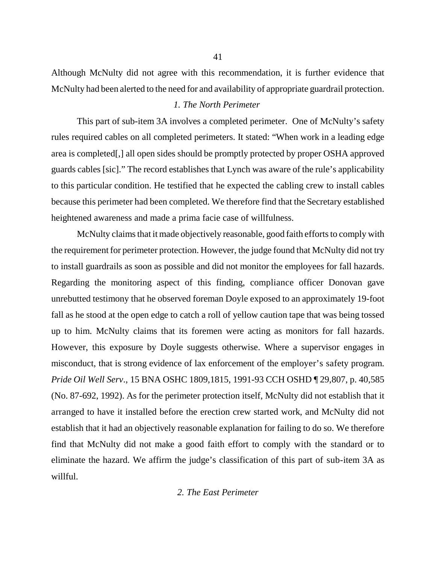Although McNulty did not agree with this recommendation, it is further evidence that McNulty had been alerted to the need for and availability of appropriate guardrail protection.

## *1. The North Perimeter*

This part of sub-item 3A involves a completed perimeter. One of McNulty's safety rules required cables on all completed perimeters. It stated: "When work in a leading edge area is completed[,] all open sides should be promptly protected by proper OSHA approved guards cables [sic]." The record establishes that Lynch was aware of the rule's applicability to this particular condition. He testified that he expected the cabling crew to install cables because this perimeter had been completed. We therefore find that the Secretary established heightened awareness and made a prima facie case of willfulness.

McNulty claims that it made objectively reasonable, good faith efforts to comply with the requirement for perimeter protection. However, the judge found that McNulty did not try to install guardrails as soon as possible and did not monitor the employees for fall hazards. Regarding the monitoring aspect of this finding, compliance officer Donovan gave unrebutted testimony that he observed foreman Doyle exposed to an approximately 19-foot fall as he stood at the open edge to catch a roll of yellow caution tape that was being tossed up to him. McNulty claims that its foremen were acting as monitors for fall hazards. However, this exposure by Doyle suggests otherwise. Where a supervisor engages in misconduct, that is strong evidence of lax enforcement of the employer's safety program. *Pride Oil Well Serv*., 15 BNA OSHC 1809,1815, 1991-93 CCH OSHD ¶ 29,807, p. 40,585 (No. 87-692, 1992). As for the perimeter protection itself, McNulty did not establish that it arranged to have it installed before the erection crew started work, and McNulty did not establish that it had an objectively reasonable explanation for failing to do so. We therefore find that McNulty did not make a good faith effort to comply with the standard or to eliminate the hazard. We affirm the judge's classification of this part of sub-item 3A as willful.

### *2. The East Perimeter*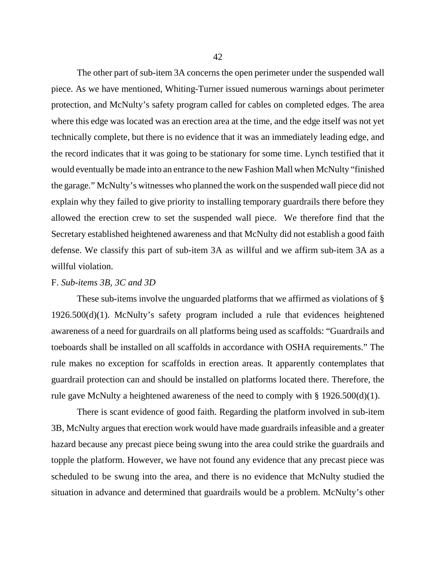The other part of sub-item 3A concerns the open perimeter under the suspended wall piece. As we have mentioned, Whiting-Turner issued numerous warnings about perimeter protection, and McNulty's safety program called for cables on completed edges. The area where this edge was located was an erection area at the time, and the edge itself was not yet technically complete, but there is no evidence that it was an immediately leading edge, and the record indicates that it was going to be stationary for some time. Lynch testified that it would eventually be made into an entrance to the new Fashion Mall when McNulty "finished the garage." McNulty's witnesses who planned the work on the suspended wall piece did not explain why they failed to give priority to installing temporary guardrails there before they allowed the erection crew to set the suspended wall piece. We therefore find that the Secretary established heightened awareness and that McNulty did not establish a good faith defense. We classify this part of sub-item 3A as willful and we affirm sub-item 3A as a willful violation.

### F. *Sub-items 3B, 3C and 3D*

These sub-items involve the unguarded platforms that we affirmed as violations of § 1926.500(d)(1). McNulty's safety program included a rule that evidences heightened awareness of a need for guardrails on all platforms being used as scaffolds: "Guardrails and toeboards shall be installed on all scaffolds in accordance with OSHA requirements." The rule makes no exception for scaffolds in erection areas. It apparently contemplates that guardrail protection can and should be installed on platforms located there. Therefore, the rule gave McNulty a heightened awareness of the need to comply with § 1926.500(d)(1).

There is scant evidence of good faith. Regarding the platform involved in sub-item 3B, McNulty argues that erection work would have made guardrails infeasible and a greater hazard because any precast piece being swung into the area could strike the guardrails and topple the platform. However, we have not found any evidence that any precast piece was scheduled to be swung into the area, and there is no evidence that McNulty studied the situation in advance and determined that guardrails would be a problem. McNulty's other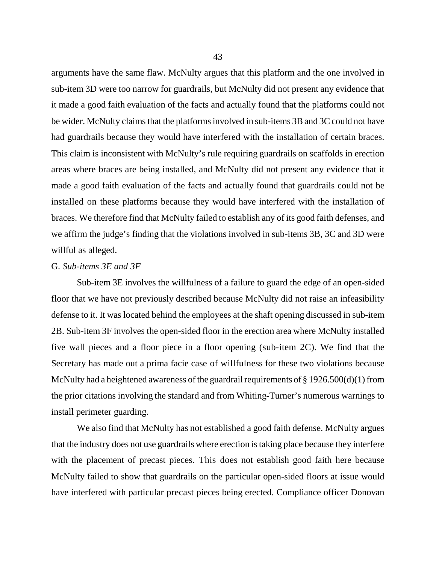arguments have the same flaw. McNulty argues that this platform and the one involved in sub-item 3D were too narrow for guardrails, but McNulty did not present any evidence that it made a good faith evaluation of the facts and actually found that the platforms could not be wider. McNulty claims that the platforms involved in sub-items 3B and 3C could not have had guardrails because they would have interfered with the installation of certain braces. This claim is inconsistent with McNulty's rule requiring guardrails on scaffolds in erection areas where braces are being installed, and McNulty did not present any evidence that it made a good faith evaluation of the facts and actually found that guardrails could not be installed on these platforms because they would have interfered with the installation of braces. We therefore find that McNulty failed to establish any of its good faith defenses, and we affirm the judge's finding that the violations involved in sub-items 3B, 3C and 3D were willful as alleged.

#### G. *Sub-items 3E and 3F*

Sub-item 3E involves the willfulness of a failure to guard the edge of an open-sided floor that we have not previously described because McNulty did not raise an infeasibility defense to it. It was located behind the employees at the shaft opening discussed in sub-item 2B. Sub-item 3F involves the open-sided floor in the erection area where McNulty installed five wall pieces and a floor piece in a floor opening (sub-item 2C). We find that the Secretary has made out a prima facie case of willfulness for these two violations because McNulty had a heightened awareness of the guardrail requirements of § 1926.500(d)(1) from the prior citations involving the standard and from Whiting-Turner's numerous warnings to install perimeter guarding.

We also find that McNulty has not established a good faith defense. McNulty argues that the industry does not use guardrails where erection is taking place because they interfere with the placement of precast pieces. This does not establish good faith here because McNulty failed to show that guardrails on the particular open-sided floors at issue would have interfered with particular precast pieces being erected. Compliance officer Donovan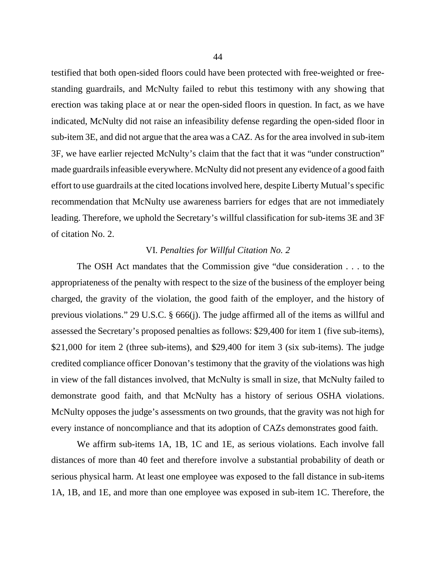testified that both open-sided floors could have been protected with free-weighted or freestanding guardrails, and McNulty failed to rebut this testimony with any showing that erection was taking place at or near the open-sided floors in question. In fact, as we have indicated, McNulty did not raise an infeasibility defense regarding the open-sided floor in sub-item 3E, and did not argue that the area was a CAZ. As for the area involved in sub-item 3F, we have earlier rejected McNulty's claim that the fact that it was "under construction" made guardrails infeasible everywhere. McNulty did not present any evidence of a good faith effort to use guardrails at the cited locations involved here, despite Liberty Mutual's specific recommendation that McNulty use awareness barriers for edges that are not immediately leading. Therefore, we uphold the Secretary's willful classification for sub-items 3E and 3F of citation No. 2.

#### VI. *Penalties for Willful Citation No. 2*

The OSH Act mandates that the Commission give "due consideration . . . to the appropriateness of the penalty with respect to the size of the business of the employer being charged, the gravity of the violation, the good faith of the employer, and the history of previous violations." 29 U.S.C. § 666(j). The judge affirmed all of the items as willful and assessed the Secretary's proposed penalties as follows: \$29,400 for item 1 (five sub-items), \$21,000 for item 2 (three sub-items), and \$29,400 for item 3 (six sub-items). The judge credited compliance officer Donovan's testimony that the gravity of the violations was high in view of the fall distances involved, that McNulty is small in size, that McNulty failed to demonstrate good faith, and that McNulty has a history of serious OSHA violations. McNulty opposes the judge's assessments on two grounds, that the gravity was not high for every instance of noncompliance and that its adoption of CAZs demonstrates good faith.

We affirm sub-items 1A, 1B, 1C and 1E, as serious violations. Each involve fall distances of more than 40 feet and therefore involve a substantial probability of death or serious physical harm. At least one employee was exposed to the fall distance in sub-items 1A, 1B, and 1E, and more than one employee was exposed in sub-item 1C. Therefore, the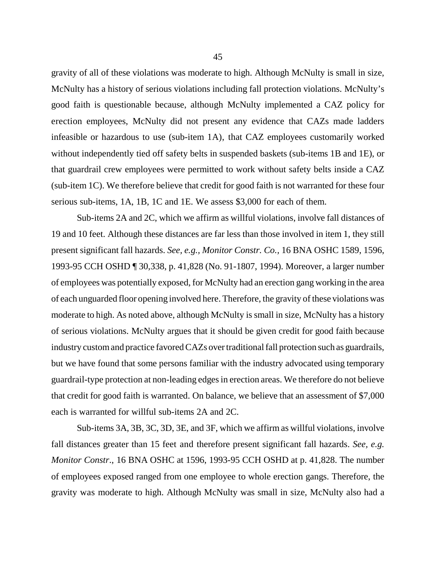gravity of all of these violations was moderate to high. Although McNulty is small in size, McNulty has a history of serious violations including fall protection violations. McNulty's good faith is questionable because, although McNulty implemented a CAZ policy for erection employees, McNulty did not present any evidence that CAZs made ladders infeasible or hazardous to use (sub-item 1A), that CAZ employees customarily worked without independently tied off safety belts in suspended baskets (sub-items 1B and 1E), or that guardrail crew employees were permitted to work without safety belts inside a CAZ (sub-item 1C). We therefore believe that credit for good faith is not warranted for these four serious sub-items, 1A, 1B, 1C and 1E. We assess \$3,000 for each of them.

Sub-items 2A and 2C, which we affirm as willful violations, involve fall distances of 19 and 10 feet. Although these distances are far less than those involved in item 1, they still present significant fall hazards. *See, e.g., Monitor Constr. Co.,* 16 BNA OSHC 1589, 1596, 1993-95 CCH OSHD ¶ 30,338, p. 41,828 (No. 91-1807, 1994). Moreover, a larger number of employees was potentially exposed, for McNulty had an erection gang working in the area of each unguarded floor opening involved here. Therefore, the gravity of these violations was moderate to high. As noted above, although McNulty is small in size, McNulty has a history of serious violations. McNulty argues that it should be given credit for good faith because industry custom and practice favored CAZs over traditional fall protection such as guardrails, but we have found that some persons familiar with the industry advocated using temporary guardrail-type protection at non-leading edges in erection areas. We therefore do not believe that credit for good faith is warranted. On balance, we believe that an assessment of \$7,000 each is warranted for willful sub-items 2A and 2C.

Sub-items 3A, 3B, 3C, 3D, 3E, and 3F, which we affirm as willful violations, involve fall distances greater than 15 feet and therefore present significant fall hazards. *See, e.g. Monitor Constr*., 16 BNA OSHC at 1596, 1993-95 CCH OSHD at p. 41,828. The number of employees exposed ranged from one employee to whole erection gangs. Therefore, the gravity was moderate to high. Although McNulty was small in size, McNulty also had a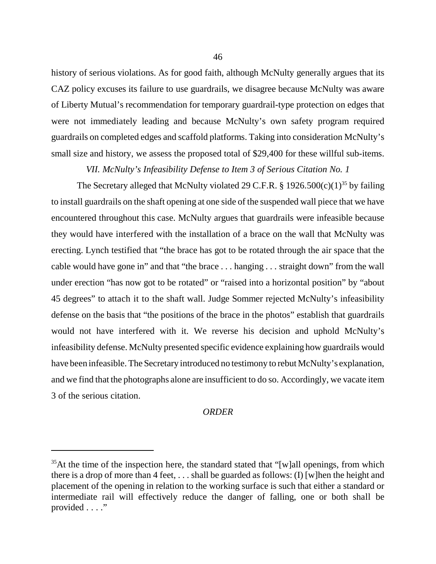history of serious violations. As for good faith, although McNulty generally argues that its CAZ policy excuses its failure to use guardrails, we disagree because McNulty was aware of Liberty Mutual's recommendation for temporary guardrail-type protection on edges that were not immediately leading and because McNulty's own safety program required guardrails on completed edges and scaffold platforms. Taking into consideration McNulty's small size and history, we assess the proposed total of \$29,400 for these willful sub-items.

*VII. McNulty's Infeasibility Defense to Item 3 of Serious Citation No. 1*

The Secretary alleged that McNulty violated 29 C.F.R. § 1926.500(c)(1)<sup>35</sup> by failing to install guardrails on the shaft opening at one side of the suspended wall piece that we have encountered throughout this case. McNulty argues that guardrails were infeasible because they would have interfered with the installation of a brace on the wall that McNulty was erecting. Lynch testified that "the brace has got to be rotated through the air space that the cable would have gone in" and that "the brace . . . hanging . . . straight down" from the wall under erection "has now got to be rotated" or "raised into a horizontal position" by "about 45 degrees" to attach it to the shaft wall. Judge Sommer rejected McNulty's infeasibility defense on the basis that "the positions of the brace in the photos" establish that guardrails would not have interfered with it. We reverse his decision and uphold McNulty's infeasibility defense. McNulty presented specific evidence explaining how guardrails would have been infeasible. The Secretary introduced no testimony to rebut McNulty's explanation, and we find that the photographs alone are insufficient to do so. Accordingly, we vacate item 3 of the serious citation.

#### *ORDER*

 $35$ At the time of the inspection here, the standard stated that "[w]all openings, from which there is a drop of more than 4 feet,  $\dots$  shall be guarded as follows: (I) [w]hen the height and placement of the opening in relation to the working surface is such that either a standard or intermediate rail will effectively reduce the danger of falling, one or both shall be provided . . . ."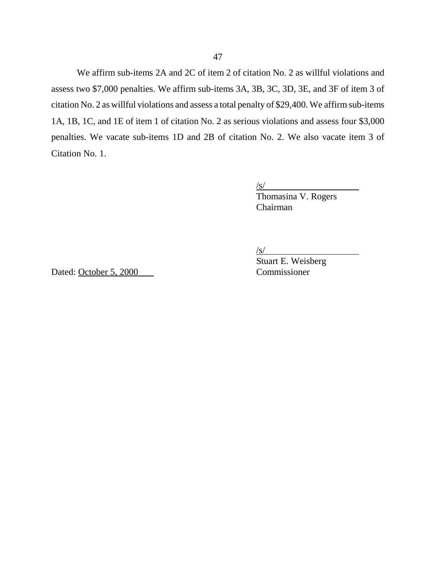We affirm sub-items 2A and 2C of item 2 of citation No. 2 as willful violations and assess two \$7,000 penalties. We affirm sub-items 3A, 3B, 3C, 3D, 3E, and 3F of item 3 of citation No. 2 as willful violations and assess a total penalty of \$29,400. We affirm sub-items 1A, 1B, 1C, and 1E of item 1 of citation No. 2 as serious violations and assess four \$3,000 penalties. We vacate sub-items 1D and 2B of citation No. 2. We also vacate item 3 of Citation No. 1.

 $\sqrt{s}$ /s/

Thomasina V. Rogers Chairman

 $\sqrt{s}$ /

Dated: October 5, 2000 Commissioner

Stuart E. Weisberg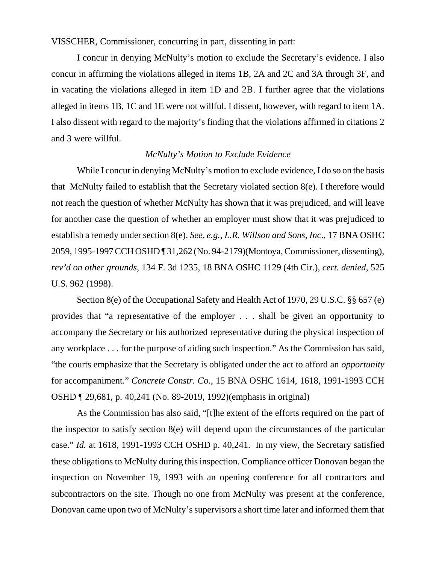VISSCHER, Commissioner, concurring in part, dissenting in part:

I concur in denying McNulty's motion to exclude the Secretary's evidence. I also concur in affirming the violations alleged in items 1B, 2A and 2C and 3A through 3F, and in vacating the violations alleged in item 1D and 2B. I further agree that the violations alleged in items 1B, 1C and 1E were not willful. I dissent, however, with regard to item 1A. I also dissent with regard to the majority's finding that the violations affirmed in citations 2 and 3 were willful.

# *McNulty's Motion to Exclude Evidence*

While I concur in denying McNulty's motion to exclude evidence, I do so on the basis that McNulty failed to establish that the Secretary violated section 8(e). I therefore would not reach the question of whether McNulty has shown that it was prejudiced, and will leave for another case the question of whether an employer must show that it was prejudiced to establish a remedy under section 8(e). *See, e.g., L.R. Willson and Sons, Inc*., 17 BNA OSHC 2059, 1995-1997 CCH OSHD ¶ 31,262 (No. 94-2179)(Montoya, Commissioner, dissenting), *rev'd on other grounds*, 134 F. 3d 1235, 18 BNA OSHC 1129 (4th Cir.), *cert. denied*, 525 U.S. 962 (1998).

Section 8(e) of the Occupational Safety and Health Act of 1970, 29 U.S.C. §§ 657 (e) provides that "a representative of the employer . . . shall be given an opportunity to accompany the Secretary or his authorized representative during the physical inspection of any workplace . . . for the purpose of aiding such inspection." As the Commission has said, "the courts emphasize that the Secretary is obligated under the act to afford an *opportunity* for accompaniment." *Concrete Constr. Co.*, 15 BNA OSHC 1614, 1618, 1991-1993 CCH OSHD ¶ 29,681, p. 40,241 (No. 89-2019, 1992)(emphasis in original)

As the Commission has also said, "[t]he extent of the efforts required on the part of the inspector to satisfy section 8(e) will depend upon the circumstances of the particular case." *Id.* at 1618, 1991-1993 CCH OSHD p. 40,241. In my view, the Secretary satisfied these obligations to McNulty during this inspection. Compliance officer Donovan began the inspection on November 19, 1993 with an opening conference for all contractors and subcontractors on the site. Though no one from McNulty was present at the conference, Donovan came upon two of McNulty's supervisors a short time later and informed them that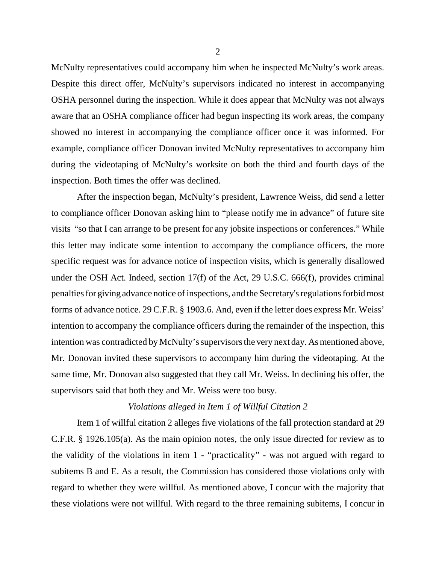McNulty representatives could accompany him when he inspected McNulty's work areas. Despite this direct offer, McNulty's supervisors indicated no interest in accompanying OSHA personnel during the inspection. While it does appear that McNulty was not always aware that an OSHA compliance officer had begun inspecting its work areas, the company showed no interest in accompanying the compliance officer once it was informed. For example, compliance officer Donovan invited McNulty representatives to accompany him during the videotaping of McNulty's worksite on both the third and fourth days of the inspection. Both times the offer was declined.

After the inspection began, McNulty's president, Lawrence Weiss, did send a letter to compliance officer Donovan asking him to "please notify me in advance" of future site visits "so that I can arrange to be present for any jobsite inspections or conferences." While this letter may indicate some intention to accompany the compliance officers, the more specific request was for advance notice of inspection visits, which is generally disallowed under the OSH Act. Indeed, section 17(f) of the Act, 29 U.S.C. 666(f), provides criminal penalties for giving advance notice of inspections, and the Secretary's regulations forbid most forms of advance notice. 29 C.F.R. § 1903.6. And, even if the letter does express Mr. Weiss' intention to accompany the compliance officers during the remainder of the inspection, this intention was contradicted by McNulty's supervisors the very next day. As mentioned above, Mr. Donovan invited these supervisors to accompany him during the videotaping. At the same time, Mr. Donovan also suggested that they call Mr. Weiss. In declining his offer, the supervisors said that both they and Mr. Weiss were too busy.

#### *Violations alleged in Item 1 of Willful Citation 2*

Item 1 of willful citation 2 alleges five violations of the fall protection standard at 29 C.F.R. § 1926.105(a). As the main opinion notes, the only issue directed for review as to the validity of the violations in item 1 - "practicality" - was not argued with regard to subitems B and E. As a result, the Commission has considered those violations only with regard to whether they were willful. As mentioned above, I concur with the majority that these violations were not willful. With regard to the three remaining subitems, I concur in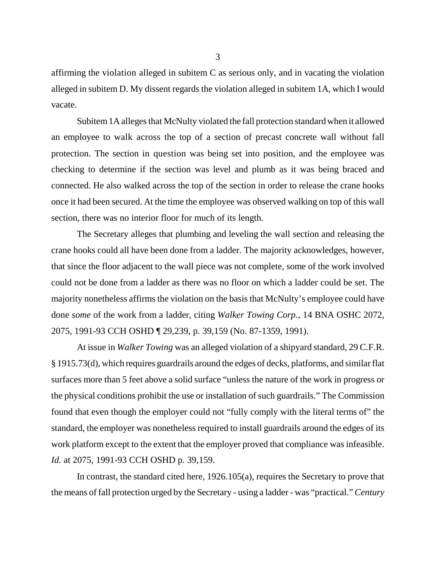affirming the violation alleged in subitem C as serious only, and in vacating the violation alleged in subitem D. My dissent regards the violation alleged in subitem 1A, which I would vacate.

Subitem 1A alleges that McNulty violated the fall protection standard when it allowed an employee to walk across the top of a section of precast concrete wall without fall protection. The section in question was being set into position, and the employee was checking to determine if the section was level and plumb as it was being braced and connected. He also walked across the top of the section in order to release the crane hooks once it had been secured. At the time the employee was observed walking on top of this wall section, there was no interior floor for much of its length.

The Secretary alleges that plumbing and leveling the wall section and releasing the crane hooks could all have been done from a ladder. The majority acknowledges, however, that since the floor adjacent to the wall piece was not complete, some of the work involved could not be done from a ladder as there was no floor on which a ladder could be set. The majority nonetheless affirms the violation on the basis that McNulty's employee could have done *some* of the work from a ladder, citing *Walker Towing Corp.*, 14 BNA OSHC 2072, 2075, 1991-93 CCH OSHD ¶ 29,239, p. 39,159 (No. 87-1359, 1991).

At issue in *Walker Towing* was an alleged violation of a shipyard standard, 29 C.F.R. § 1915.73(d), which requires guardrails around the edges of decks, platforms, and similar flat surfaces more than 5 feet above a solid surface "unless the nature of the work in progress or the physical conditions prohibit the use or installation of such guardrails." The Commission found that even though the employer could not "fully comply with the literal terms of" the standard, the employer was nonetheless required to install guardrails around the edges of its work platform except to the extent that the employer proved that compliance was infeasible. *Id.* at 2075, 1991-93 CCH OSHD p. 39,159.

In contrast, the standard cited here, 1926.105(a), requires the Secretary to prove that the means of fall protection urged by the Secretary - using a ladder - was "practical." *Century*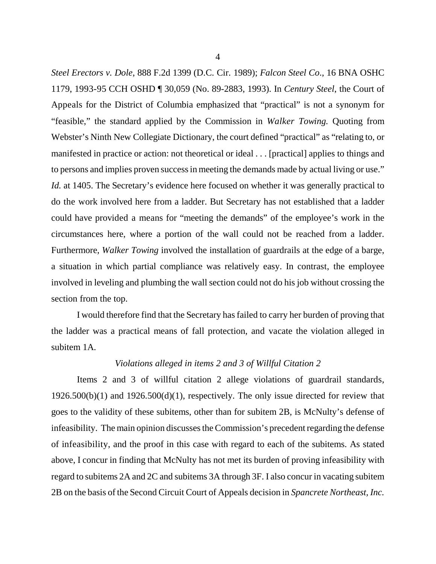*Steel Erectors v. Dole*, 888 F.2d 1399 (D.C. Cir. 1989); *Falcon Steel Co*., 16 BNA OSHC 1179, 1993-95 CCH OSHD ¶ 30,059 (No. 89-2883, 1993). In *Century Steel*, the Court of Appeals for the District of Columbia emphasized that "practical" is not a synonym for "feasible," the standard applied by the Commission in *Walker Towing.* Quoting from Webster's Ninth New Collegiate Dictionary, the court defined "practical" as "relating to, or manifested in practice or action: not theoretical or ideal . . . [practical] applies to things and to persons and implies proven success in meeting the demands made by actual living or use." *Id.* at 1405. The Secretary's evidence here focused on whether it was generally practical to do the work involved here from a ladder. But Secretary has not established that a ladder could have provided a means for "meeting the demands" of the employee's work in the circumstances here, where a portion of the wall could not be reached from a ladder. Furthermore, *Walker Towing* involved the installation of guardrails at the edge of a barge, a situation in which partial compliance was relatively easy. In contrast, the employee involved in leveling and plumbing the wall section could not do his job without crossing the section from the top.

I would therefore find that the Secretary has failed to carry her burden of proving that the ladder was a practical means of fall protection, and vacate the violation alleged in subitem 1A.

#### *Violations alleged in items 2 and 3 of Willful Citation 2*

Items 2 and 3 of willful citation 2 allege violations of guardrail standards,  $1926.500(b)(1)$  and  $1926.500(d)(1)$ , respectively. The only issue directed for review that goes to the validity of these subitems, other than for subitem 2B, is McNulty's defense of infeasibility. The main opinion discusses the Commission's precedent regarding the defense of infeasibility, and the proof in this case with regard to each of the subitems. As stated above, I concur in finding that McNulty has not met its burden of proving infeasibility with regard to subitems 2A and 2C and subitems 3A through 3F. I also concur in vacating subitem 2B on the basis of the Second Circuit Court of Appeals decision in *Spancrete Northeast, Inc.*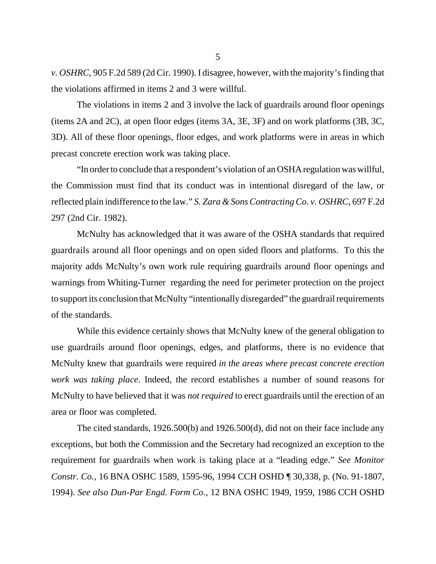*v. OSHRC*, 905 F.2d 589 (2d Cir. 1990). I disagree, however, with the majority's finding that the violations affirmed in items 2 and 3 were willful.

The violations in items 2 and 3 involve the lack of guardrails around floor openings (items 2A and 2C), at open floor edges (items 3A, 3E, 3F) and on work platforms (3B, 3C, 3D). All of these floor openings, floor edges, and work platforms were in areas in which precast concrete erection work was taking place.

"In order to conclude that a respondent's violation of an OSHA regulation was willful, the Commission must find that its conduct was in intentional disregard of the law, or reflected plain indifference to the law." *S. Zara & Sons Contracting Co. v. OSHRC*, 697 F.2d 297 (2nd Cir. 1982).

McNulty has acknowledged that it was aware of the OSHA standards that required guardrails around all floor openings and on open sided floors and platforms. To this the majority adds McNulty's own work rule requiring guardrails around floor openings and warnings from Whiting-Turner regarding the need for perimeter protection on the project to support its conclusion that McNulty "intentionally disregarded" the guardrail requirements of the standards.

While this evidence certainly shows that McNulty knew of the general obligation to use guardrails around floor openings, edges, and platforms, there is no evidence that McNulty knew that guardrails were required *in the areas where precast concrete erection work was taking place.* Indeed, the record establishes a number of sound reasons for McNulty to have believed that it was *not required* to erect guardrails until the erection of an area or floor was completed.

The cited standards, 1926.500(b) and 1926.500(d), did not on their face include any exceptions, but both the Commission and the Secretary had recognized an exception to the requirement for guardrails when work is taking place at a "leading edge." *See Monitor Constr. Co.*, 16 BNA OSHC 1589, 1595-96, 1994 CCH OSHD ¶ 30,338, p. (No. 91-1807, 1994). *See also Dun-Par Engd. Form Co*., 12 BNA OSHC 1949, 1959, 1986 CCH OSHD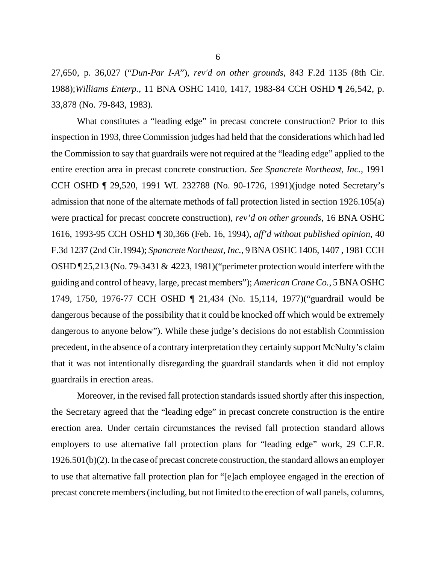27,650, p. 36,027 ("*Dun-Par I-A*"), *rev'd on other grounds*, 843 F.2d 1135 (8th Cir. 1988);*Williams Enterp.*, 11 BNA OSHC 1410, 1417, 1983-84 CCH OSHD ¶ 26,542, p. 33,878 (No. 79-843, 1983)*.*

What constitutes a "leading edge" in precast concrete construction? Prior to this inspection in 1993, three Commission judges had held that the considerations which had led the Commission to say that guardrails were not required at the "leading edge" applied to the entire erection area in precast concrete construction. *See Spancrete Northeast, Inc.*, 1991 CCH OSHD ¶ 29,520, 1991 WL 232788 (No. 90-1726, 1991)(judge noted Secretary's admission that none of the alternate methods of fall protection listed in section 1926.105(a) were practical for precast concrete construction), *rev'd on other grounds*, 16 BNA OSHC 1616, 1993-95 CCH OSHD ¶ 30,366 (Feb. 16, 1994), *aff'd without published opinion*, 40 F.3d 1237 (2nd Cir.1994); *Spancrete Northeast, Inc.*, 9 BNA OSHC 1406, 1407 , 1981 CCH OSHD ¶ 25,213 (No. 79-3431 & 4223, 1981)("perimeter protection would interfere with the guiding and control of heavy, large, precast members"); *American Crane Co.*, 5 BNA OSHC 1749, 1750, 1976-77 CCH OSHD ¶ 21,434 (No. 15,114, 1977)("guardrail would be dangerous because of the possibility that it could be knocked off which would be extremely dangerous to anyone below"). While these judge's decisions do not establish Commission precedent, in the absence of a contrary interpretation they certainly support McNulty's claim that it was not intentionally disregarding the guardrail standards when it did not employ guardrails in erection areas.

Moreover, in the revised fall protection standards issued shortly after this inspection, the Secretary agreed that the "leading edge" in precast concrete construction is the entire erection area. Under certain circumstances the revised fall protection standard allows employers to use alternative fall protection plans for "leading edge" work, 29 C.F.R. 1926.501(b)(2). In the case of precast concrete construction, the standard allows an employer to use that alternative fall protection plan for "[e]ach employee engaged in the erection of precast concrete members (including, but not limited to the erection of wall panels, columns,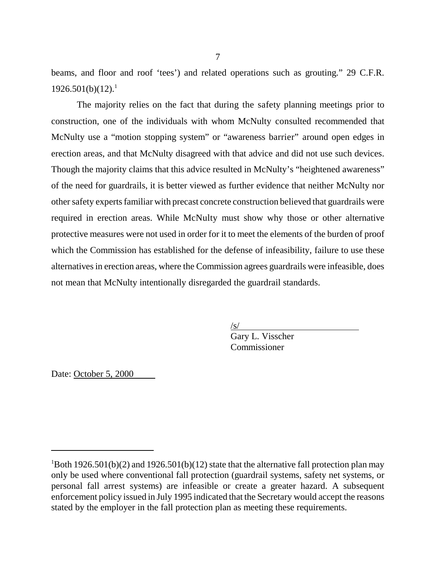beams, and floor and roof 'tees') and related operations such as grouting." 29 C.F.R.  $1926.501(b)(12).<sup>1</sup>$ 

The majority relies on the fact that during the safety planning meetings prior to construction, one of the individuals with whom McNulty consulted recommended that McNulty use a "motion stopping system" or "awareness barrier" around open edges in erection areas, and that McNulty disagreed with that advice and did not use such devices. Though the majority claims that this advice resulted in McNulty's "heightened awareness" of the need for guardrails, it is better viewed as further evidence that neither McNulty nor other safety experts familiar with precast concrete construction believed that guardrails were required in erection areas. While McNulty must show why those or other alternative protective measures were not used in order for it to meet the elements of the burden of proof which the Commission has established for the defense of infeasibility, failure to use these alternatives in erection areas, where the Commission agrees guardrails were infeasible, does not mean that McNulty intentionally disregarded the guardrail standards.

 $\sqrt{s}$ /

Gary L. Visscher Commissioner

Date: October 5, 2000

 $1$ Both 1926.501(b)(2) and 1926.501(b)(12) state that the alternative fall protection plan may only be used where conventional fall protection (guardrail systems, safety net systems, or personal fall arrest systems) are infeasible or create a greater hazard. A subsequent enforcement policy issued in July 1995 indicated that the Secretary would accept the reasons stated by the employer in the fall protection plan as meeting these requirements.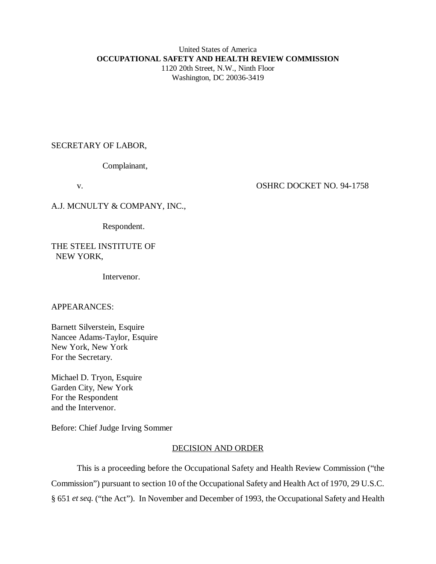# United States of America **OCCUPATIONAL SAFETY AND HEALTH REVIEW COMMISSION** 1120 20th Street, N.W., Ninth Floor

Washington, DC 20036-3419

# SECRETARY OF LABOR,

Complainant,

# v. CONFINENT OSHRC DOCKET NO. 94-1758

A.J. MCNULTY & COMPANY, INC.,

Respondent.

## THE STEEL INSTITUTE OF NEW YORK,

Intervenor.

# APPEARANCES:

Barnett Silverstein, Esquire Nancee Adams-Taylor, Esquire New York, New York For the Secretary.

Michael D. Tryon, Esquire Garden City, New York For the Respondent and the Intervenor.

Before: Chief Judge Irving Sommer

# DECISION AND ORDER

This is a proceeding before the Occupational Safety and Health Review Commission ("the Commission") pursuant to section 10 of the Occupational Safety and Health Act of 1970, 29 U.S.C. § 651 *et seq.* ("the Act"). In November and December of 1993, the Occupational Safety and Health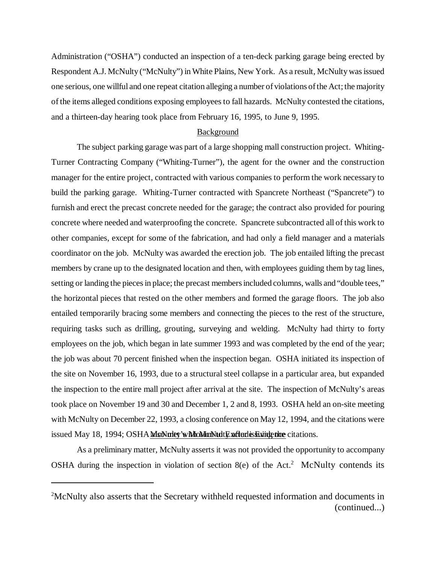Administration ("OSHA") conducted an inspection of a ten-deck parking garage being erected by Respondent A.J. McNulty ("McNulty") in White Plains, New York. As a result, McNulty was issued one serious, one willful and one repeat citation alleging a number of violations of the Act; the majority of the items alleged conditions exposing employees to fall hazards. McNulty contested the citations, and a thirteen-day hearing took place from February 16, 1995, to June 9, 1995.

#### Background

The subject parking garage was part of a large shopping mall construction project. Whiting-Turner Contracting Company ("Whiting-Turner"), the agent for the owner and the construction manager for the entire project, contracted with various companies to perform the work necessary to build the parking garage. Whiting-Turner contracted with Spancrete Northeast ("Spancrete") to furnish and erect the precast concrete needed for the garage; the contract also provided for pouring concrete where needed and waterproofing the concrete. Spancrete subcontracted all of this work to other companies, except for some of the fabrication, and had only a field manager and a materials coordinator on the job. McNulty was awarded the erection job. The job entailed lifting the precast members by crane up to the designated location and then, with employees guiding them by tag lines, setting or landing the pieces in place; the precast members included columns, walls and "double tees," the horizontal pieces that rested on the other members and formed the garage floors. The job also entailed temporarily bracing some members and connecting the pieces to the rest of the structure, requiring tasks such as drilling, grouting, surveying and welding. McNulty had thirty to forty employees on the job, which began in late summer 1993 and was completed by the end of the year; the job was about 70 percent finished when the inspection began. OSHA initiated its inspection of the site on November 16, 1993, due to a structural steel collapse in a particular area, but expanded the inspection to the entire mall project after arrival at the site. The inspection of McNulty's areas took place on November 19 and 30 and December 1, 2 and 8, 1993. OSHA held an on-site meeting with McNulty on December 22, 1993, a closing conference on May 12, 1994, and the citations were issued May 18, 1994; OSHA MsNulty's McMultiplature after is suing the citations.

As a preliminary matter, McNulty asserts it was not provided the opportunity to accompany OSHA during the inspection in violation of section  $8(e)$  of the Act.<sup>2</sup> McNulty contends its

<sup>&</sup>lt;sup>2</sup>McNulty also asserts that the Secretary withheld requested information and documents in (continued...)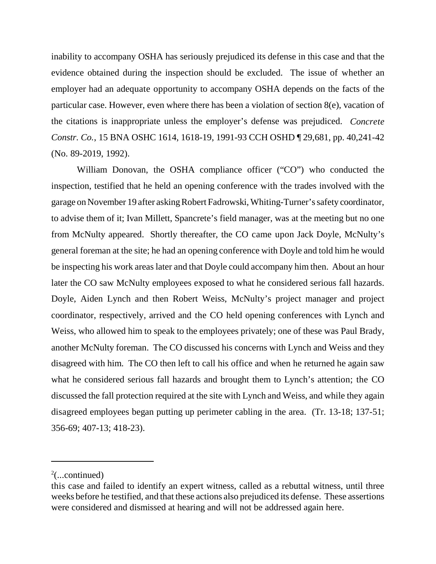inability to accompany OSHA has seriously prejudiced its defense in this case and that the evidence obtained during the inspection should be excluded. The issue of whether an employer had an adequate opportunity to accompany OSHA depends on the facts of the particular case. However, even where there has been a violation of section 8(e), vacation of the citations is inappropriate unless the employer's defense was prejudiced. *Concrete Constr. Co.*, 15 BNA OSHC 1614, 1618-19, 1991-93 CCH OSHD ¶ 29,681, pp. 40,241-42 (No. 89-2019, 1992).

William Donovan, the OSHA compliance officer ("CO") who conducted the inspection, testified that he held an opening conference with the trades involved with the garage on November 19 after asking Robert Fadrowski, Whiting-Turner's safety coordinator, to advise them of it; Ivan Millett, Spancrete's field manager, was at the meeting but no one from McNulty appeared. Shortly thereafter, the CO came upon Jack Doyle, McNulty's general foreman at the site; he had an opening conference with Doyle and told him he would be inspecting his work areas later and that Doyle could accompany him then. About an hour later the CO saw McNulty employees exposed to what he considered serious fall hazards. Doyle, Aiden Lynch and then Robert Weiss, McNulty's project manager and project coordinator, respectively, arrived and the CO held opening conferences with Lynch and Weiss, who allowed him to speak to the employees privately; one of these was Paul Brady, another McNulty foreman. The CO discussed his concerns with Lynch and Weiss and they disagreed with him. The CO then left to call his office and when he returned he again saw what he considered serious fall hazards and brought them to Lynch's attention; the CO discussed the fall protection required at the site with Lynch and Weiss, and while they again disagreed employees began putting up perimeter cabling in the area. (Tr. 13-18; 137-51; 356-69; 407-13; 418-23).

 $2$ (...continued)

this case and failed to identify an expert witness, called as a rebuttal witness, until three weeks before he testified, and that these actions also prejudiced its defense. These assertions were considered and dismissed at hearing and will not be addressed again here.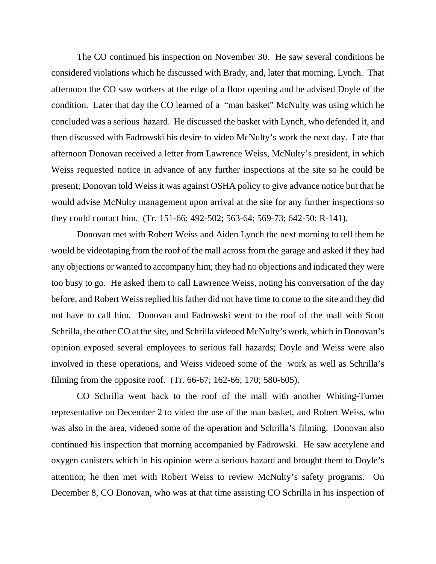The CO continued his inspection on November 30. He saw several conditions he considered violations which he discussed with Brady, and, later that morning, Lynch. That afternoon the CO saw workers at the edge of a floor opening and he advised Doyle of the condition. Later that day the CO learned of a "man basket" McNulty was using which he concluded was a serious hazard. He discussed the basket with Lynch, who defended it, and then discussed with Fadrowski his desire to video McNulty's work the next day. Late that afternoon Donovan received a letter from Lawrence Weiss, McNulty's president, in which Weiss requested notice in advance of any further inspections at the site so he could be present; Donovan told Weiss it was against OSHA policy to give advance notice but that he would advise McNulty management upon arrival at the site for any further inspections so they could contact him. (Tr. 151-66; 492-502; 563-64; 569-73; 642-50; R-141).

Donovan met with Robert Weiss and Aiden Lynch the next morning to tell them he would be videotaping from the roof of the mall across from the garage and asked if they had any objections or wanted to accompany him; they had no objections and indicated they were too busy to go. He asked them to call Lawrence Weiss, noting his conversation of the day before, and Robert Weiss replied his father did not have time to come to the site and they did not have to call him. Donovan and Fadrowski went to the roof of the mall with Scott Schrilla, the other CO at the site, and Schrilla videoed McNulty's work, which in Donovan's opinion exposed several employees to serious fall hazards; Doyle and Weiss were also involved in these operations, and Weiss videoed some of the work as well as Schrilla's filming from the opposite roof. (Tr. 66-67; 162-66; 170; 580-605).

CO Schrilla went back to the roof of the mall with another Whiting-Turner representative on December 2 to video the use of the man basket, and Robert Weiss, who was also in the area, videoed some of the operation and Schrilla's filming. Donovan also continued his inspection that morning accompanied by Fadrowski. He saw acetylene and oxygen canisters which in his opinion were a serious hazard and brought them to Doyle's attention; he then met with Robert Weiss to review McNulty's safety programs. On December 8, CO Donovan, who was at that time assisting CO Schrilla in his inspection of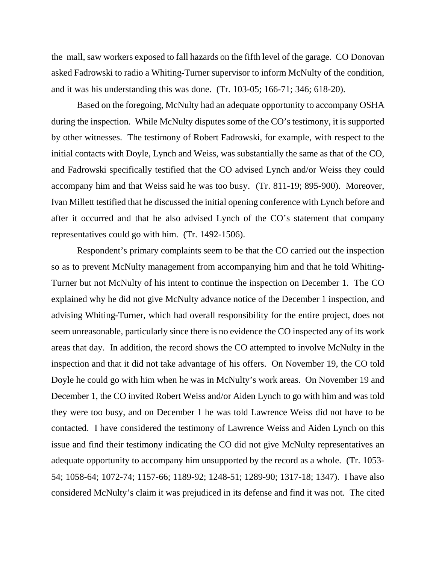the mall, saw workers exposed to fall hazards on the fifth level of the garage. CO Donovan asked Fadrowski to radio a Whiting-Turner supervisor to inform McNulty of the condition, and it was his understanding this was done. (Tr. 103-05; 166-71; 346; 618-20).

Based on the foregoing, McNulty had an adequate opportunity to accompany OSHA during the inspection. While McNulty disputes some of the CO's testimony, it is supported by other witnesses. The testimony of Robert Fadrowski, for example, with respect to the initial contacts with Doyle, Lynch and Weiss, was substantially the same as that of the CO, and Fadrowski specifically testified that the CO advised Lynch and/or Weiss they could accompany him and that Weiss said he was too busy. (Tr. 811-19; 895-900). Moreover, Ivan Millett testified that he discussed the initial opening conference with Lynch before and after it occurred and that he also advised Lynch of the CO's statement that company representatives could go with him. (Tr. 1492-1506).

Respondent's primary complaints seem to be that the CO carried out the inspection so as to prevent McNulty management from accompanying him and that he told Whiting-Turner but not McNulty of his intent to continue the inspection on December 1. The CO explained why he did not give McNulty advance notice of the December 1 inspection, and advising Whiting-Turner, which had overall responsibility for the entire project, does not seem unreasonable, particularly since there is no evidence the CO inspected any of its work areas that day. In addition, the record shows the CO attempted to involve McNulty in the inspection and that it did not take advantage of his offers. On November 19, the CO told Doyle he could go with him when he was in McNulty's work areas. On November 19 and December 1, the CO invited Robert Weiss and/or Aiden Lynch to go with him and was told they were too busy, and on December 1 he was told Lawrence Weiss did not have to be contacted. I have considered the testimony of Lawrence Weiss and Aiden Lynch on this issue and find their testimony indicating the CO did not give McNulty representatives an adequate opportunity to accompany him unsupported by the record as a whole. (Tr. 1053- 54; 1058-64; 1072-74; 1157-66; 1189-92; 1248-51; 1289-90; 1317-18; 1347). I have also considered McNulty's claim it was prejudiced in its defense and find it was not. The cited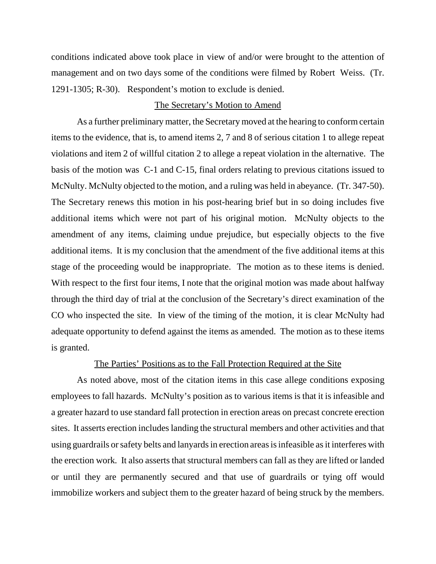conditions indicated above took place in view of and/or were brought to the attention of management and on two days some of the conditions were filmed by Robert Weiss. (Tr. 1291-1305; R-30). Respondent's motion to exclude is denied.

### The Secretary's Motion to Amend

As a further preliminary matter, the Secretary moved at the hearing to conform certain items to the evidence, that is, to amend items 2, 7 and 8 of serious citation 1 to allege repeat violations and item 2 of willful citation 2 to allege a repeat violation in the alternative. The basis of the motion was C-1 and C-15, final orders relating to previous citations issued to McNulty. McNulty objected to the motion, and a ruling was held in abeyance. (Tr. 347-50). The Secretary renews this motion in his post-hearing brief but in so doing includes five additional items which were not part of his original motion. McNulty objects to the amendment of any items, claiming undue prejudice, but especially objects to the five additional items. It is my conclusion that the amendment of the five additional items at this stage of the proceeding would be inappropriate. The motion as to these items is denied. With respect to the first four items, I note that the original motion was made about halfway through the third day of trial at the conclusion of the Secretary's direct examination of the CO who inspected the site. In view of the timing of the motion, it is clear McNulty had adequate opportunity to defend against the items as amended. The motion as to these items is granted.

### The Parties' Positions as to the Fall Protection Required at the Site

As noted above, most of the citation items in this case allege conditions exposing employees to fall hazards. McNulty's position as to various items is that it is infeasible and a greater hazard to use standard fall protection in erection areas on precast concrete erection sites. It asserts erection includes landing the structural members and other activities and that using guardrails or safety belts and lanyards in erection areas is infeasible as it interferes with the erection work. It also asserts that structural members can fall as they are lifted or landed or until they are permanently secured and that use of guardrails or tying off would immobilize workers and subject them to the greater hazard of being struck by the members.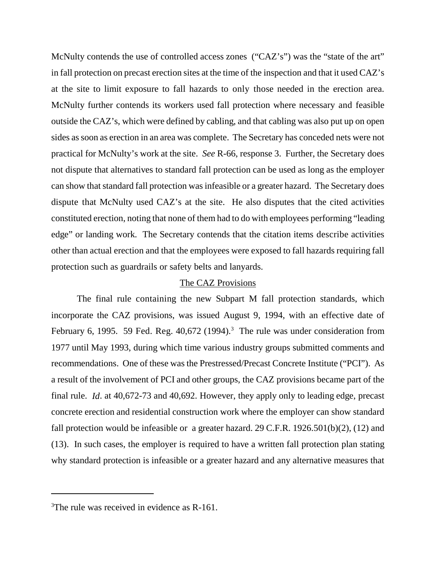McNulty contends the use of controlled access zones ("CAZ's") was the "state of the art" in fall protection on precast erection sites at the time of the inspection and that it used CAZ's at the site to limit exposure to fall hazards to only those needed in the erection area. McNulty further contends its workers used fall protection where necessary and feasible outside the CAZ's, which were defined by cabling, and that cabling was also put up on open sides as soon as erection in an area was complete. The Secretary has conceded nets were not practical for McNulty's work at the site. *See* R-66, response 3. Further, the Secretary does not dispute that alternatives to standard fall protection can be used as long as the employer can show that standard fall protection was infeasible or a greater hazard. The Secretary does dispute that McNulty used CAZ's at the site. He also disputes that the cited activities constituted erection, noting that none of them had to do with employees performing "leading edge" or landing work. The Secretary contends that the citation items describe activities other than actual erection and that the employees were exposed to fall hazards requiring fall protection such as guardrails or safety belts and lanyards.

## The CAZ Provisions

The final rule containing the new Subpart M fall protection standards, which incorporate the CAZ provisions, was issued August 9, 1994, with an effective date of February 6, 1995. 59 Fed. Reg.  $40,672$  (1994).<sup>3</sup> The rule was under consideration from 1977 until May 1993, during which time various industry groups submitted comments and recommendations. One of these was the Prestressed/Precast Concrete Institute ("PCI"). As a result of the involvement of PCI and other groups, the CAZ provisions became part of the final rule. *Id*. at 40,672-73 and 40,692. However, they apply only to leading edge, precast concrete erection and residential construction work where the employer can show standard fall protection would be infeasible or a greater hazard.  $29$  C.F.R.  $1926.501(b)(2)$ ,  $(12)$  and (13). In such cases, the employer is required to have a written fall protection plan stating why standard protection is infeasible or a greater hazard and any alternative measures that

<sup>&</sup>lt;sup>3</sup>The rule was received in evidence as R-161.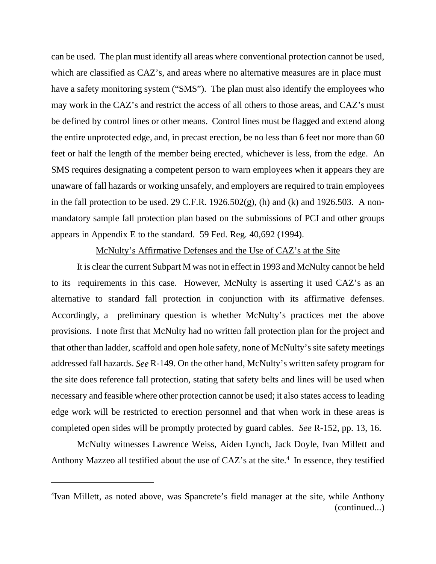can be used. The plan must identify all areas where conventional protection cannot be used, which are classified as CAZ's, and areas where no alternative measures are in place must have a safety monitoring system ("SMS"). The plan must also identify the employees who may work in the CAZ's and restrict the access of all others to those areas, and CAZ's must be defined by control lines or other means. Control lines must be flagged and extend along the entire unprotected edge, and, in precast erection, be no less than 6 feet nor more than 60 feet or half the length of the member being erected, whichever is less, from the edge. An SMS requires designating a competent person to warn employees when it appears they are unaware of fall hazards or working unsafely, and employers are required to train employees in the fall protection to be used. 29 C.F.R. 1926.502 $(g)$ , (h) and (k) and 1926.503. A nonmandatory sample fall protection plan based on the submissions of PCI and other groups appears in Appendix E to the standard. 59 Fed. Reg. 40,692 (1994).

# McNulty's Affirmative Defenses and the Use of CAZ's at the Site

It is clear the current Subpart M was not in effect in 1993 and McNulty cannot be held to its requirements in this case. However, McNulty is asserting it used CAZ's as an alternative to standard fall protection in conjunction with its affirmative defenses. Accordingly, a preliminary question is whether McNulty's practices met the above provisions. I note first that McNulty had no written fall protection plan for the project and that other than ladder, scaffold and open hole safety, none of McNulty's site safety meetings addressed fall hazards. *See* R-149. On the other hand, McNulty's written safety program for the site does reference fall protection, stating that safety belts and lines will be used when necessary and feasible where other protection cannot be used; it also states access to leading edge work will be restricted to erection personnel and that when work in these areas is completed open sides will be promptly protected by guard cables. *See* R-152, pp. 13, 16.

McNulty witnesses Lawrence Weiss, Aiden Lynch, Jack Doyle, Ivan Millett and Anthony Mazzeo all testified about the use of  $CAZ$ 's at the site.<sup>4</sup> In essence, they testified

<sup>4</sup> Ivan Millett, as noted above, was Spancrete's field manager at the site, while Anthony (continued...)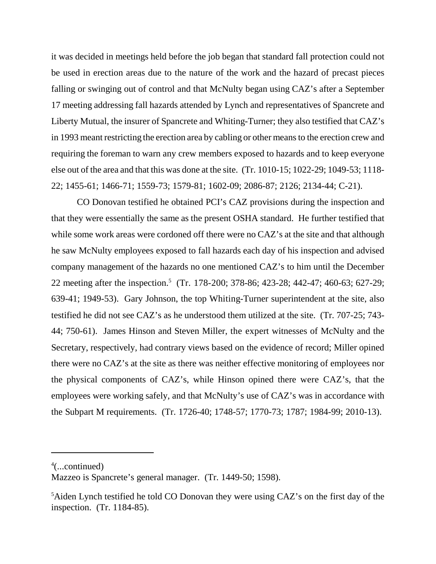it was decided in meetings held before the job began that standard fall protection could not be used in erection areas due to the nature of the work and the hazard of precast pieces falling or swinging out of control and that McNulty began using CAZ's after a September 17 meeting addressing fall hazards attended by Lynch and representatives of Spancrete and Liberty Mutual, the insurer of Spancrete and Whiting-Turner; they also testified that CAZ's in 1993 meant restricting the erection area by cabling or other means to the erection crew and requiring the foreman to warn any crew members exposed to hazards and to keep everyone else out of the area and that this was done at the site. (Tr. 1010-15; 1022-29; 1049-53; 1118- 22; 1455-61; 1466-71; 1559-73; 1579-81; 1602-09; 2086-87; 2126; 2134-44; C-21).

CO Donovan testified he obtained PCI's CAZ provisions during the inspection and that they were essentially the same as the present OSHA standard. He further testified that while some work areas were cordoned off there were no CAZ's at the site and that although he saw McNulty employees exposed to fall hazards each day of his inspection and advised company management of the hazards no one mentioned CAZ's to him until the December 22 meeting after the inspection.<sup>5</sup> (Tr. 178-200; 378-86; 423-28; 442-47; 460-63; 627-29; 639-41; 1949-53). Gary Johnson, the top Whiting-Turner superintendent at the site, also testified he did not see CAZ's as he understood them utilized at the site. (Tr. 707-25; 743- 44; 750-61). James Hinson and Steven Miller, the expert witnesses of McNulty and the Secretary, respectively, had contrary views based on the evidence of record; Miller opined there were no CAZ's at the site as there was neither effective monitoring of employees nor the physical components of CAZ's, while Hinson opined there were CAZ's, that the employees were working safely, and that McNulty's use of CAZ's was in accordance with the Subpart M requirements. (Tr. 1726-40; 1748-57; 1770-73; 1787; 1984-99; 2010-13).

<sup>4</sup> (...continued)

Mazzeo is Spancrete's general manager. (Tr. 1449-50; 1598).

<sup>&</sup>lt;sup>5</sup>Aiden Lynch testified he told CO Donovan they were using CAZ's on the first day of the inspection. (Tr. 1184-85).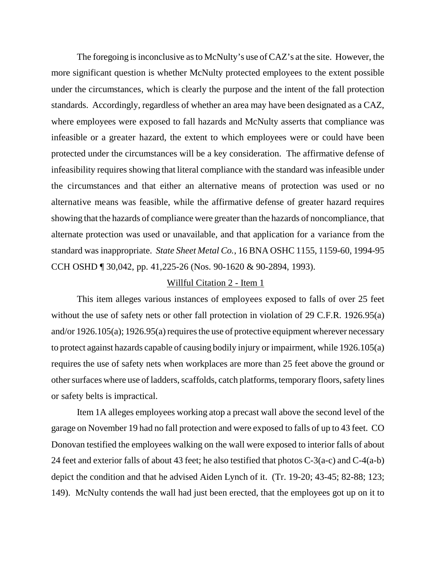The foregoing is inconclusive as to McNulty's use of CAZ's at the site. However, the more significant question is whether McNulty protected employees to the extent possible under the circumstances, which is clearly the purpose and the intent of the fall protection standards. Accordingly, regardless of whether an area may have been designated as a CAZ, where employees were exposed to fall hazards and McNulty asserts that compliance was infeasible or a greater hazard, the extent to which employees were or could have been protected under the circumstances will be a key consideration. The affirmative defense of infeasibility requires showing that literal compliance with the standard was infeasible under the circumstances and that either an alternative means of protection was used or no alternative means was feasible, while the affirmative defense of greater hazard requires showing that the hazards of compliance were greater than the hazards of noncompliance, that alternate protection was used or unavailable, and that application for a variance from the standard was inappropriate. *State Sheet Metal Co.*, 16 BNA OSHC 1155, 1159-60, 1994-95 CCH OSHD ¶ 30,042, pp. 41,225-26 (Nos. 90-1620 & 90-2894, 1993).

## Willful Citation 2 - Item 1

This item alleges various instances of employees exposed to falls of over 25 feet without the use of safety nets or other fall protection in violation of 29 C.F.R. 1926.95(a) and/or 1926.105(a); 1926.95(a) requires the use of protective equipment wherever necessary to protect against hazards capable of causing bodily injury or impairment, while 1926.105(a) requires the use of safety nets when workplaces are more than 25 feet above the ground or other surfaces where use of ladders, scaffolds, catch platforms, temporary floors, safety lines or safety belts is impractical.

Item 1A alleges employees working atop a precast wall above the second level of the garage on November 19 had no fall protection and were exposed to falls of up to 43 feet. CO Donovan testified the employees walking on the wall were exposed to interior falls of about 24 feet and exterior falls of about 43 feet; he also testified that photos C-3(a-c) and C-4(a-b) depict the condition and that he advised Aiden Lynch of it. (Tr. 19-20; 43-45; 82-88; 123; 149). McNulty contends the wall had just been erected, that the employees got up on it to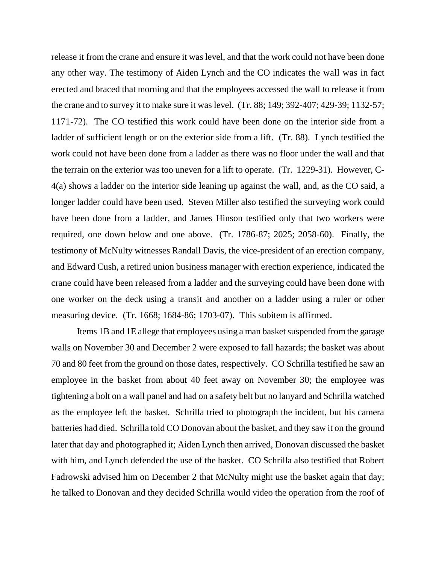release it from the crane and ensure it was level, and that the work could not have been done any other way. The testimony of Aiden Lynch and the CO indicates the wall was in fact erected and braced that morning and that the employees accessed the wall to release it from the crane and to survey it to make sure it was level. (Tr. 88; 149; 392-407; 429-39; 1132-57; 1171-72). The CO testified this work could have been done on the interior side from a ladder of sufficient length or on the exterior side from a lift. (Tr. 88). Lynch testified the work could not have been done from a ladder as there was no floor under the wall and that the terrain on the exterior was too uneven for a lift to operate. (Tr. 1229-31). However, C-4(a) shows a ladder on the interior side leaning up against the wall, and, as the CO said, a longer ladder could have been used. Steven Miller also testified the surveying work could have been done from a ladder, and James Hinson testified only that two workers were required, one down below and one above. (Tr. 1786-87; 2025; 2058-60). Finally, the testimony of McNulty witnesses Randall Davis, the vice-president of an erection company, and Edward Cush, a retired union business manager with erection experience, indicated the crane could have been released from a ladder and the surveying could have been done with one worker on the deck using a transit and another on a ladder using a ruler or other measuring device. (Tr. 1668; 1684-86; 1703-07). This subitem is affirmed.

Items 1B and 1E allege that employees using a man basket suspended from the garage walls on November 30 and December 2 were exposed to fall hazards; the basket was about 70 and 80 feet from the ground on those dates, respectively. CO Schrilla testified he saw an employee in the basket from about 40 feet away on November 30; the employee was tightening a bolt on a wall panel and had on a safety belt but no lanyard and Schrilla watched as the employee left the basket. Schrilla tried to photograph the incident, but his camera batteries had died. Schrilla told CO Donovan about the basket, and they saw it on the ground later that day and photographed it; Aiden Lynch then arrived, Donovan discussed the basket with him, and Lynch defended the use of the basket. CO Schrilla also testified that Robert Fadrowski advised him on December 2 that McNulty might use the basket again that day; he talked to Donovan and they decided Schrilla would video the operation from the roof of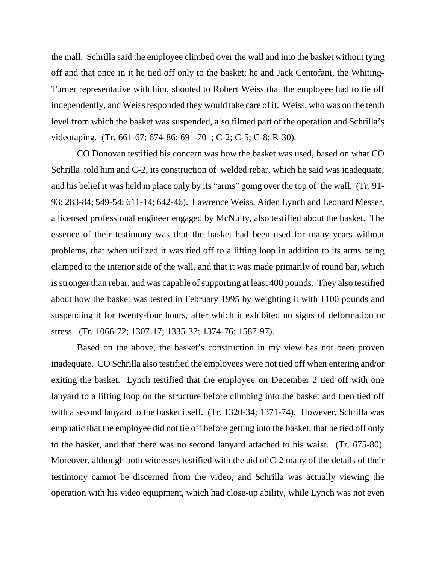the mall. Schrilla said the employee climbed over the wall and into the basket without tying off and that once in it he tied off only to the basket; he and Jack Centofani, the Whiting-Turner representative with him, shouted to Robert Weiss that the employee had to tie off independently, and Weiss responded they would take care of it. Weiss, who was on the tenth level from which the basket was suspended, also filmed part of the operation and Schrilla's videotaping. (Tr. 661-67; 674-86; 691-701; C-2; C-5; C-8; R-30).

CO Donovan testified his concern was how the basket was used, based on what CO Schrilla told him and C-2, its construction of welded rebar, which he said was inadequate, and his belief it was held in place only by its "arms" going over the top of the wall. (Tr. 91- 93; 283-84; 549-54; 611-14; 642-46). Lawrence Weiss, Aiden Lynch and Leonard Messer, a licensed professional engineer engaged by McNulty, also testified about the basket. The essence of their testimony was that the basket had been used for many years without problems, that when utilized it was tied off to a lifting loop in addition to its arms being clamped to the interior side of the wall, and that it was made primarily of round bar, which is stronger than rebar, and was capable of supporting at least 400 pounds. They also testified about how the basket was tested in February 1995 by weighting it with 1100 pounds and suspending it for twenty-four hours, after which it exhibited no signs of deformation or stress. (Tr. 1066-72; 1307-17; 1335-37; 1374-76; 1587-97).

Based on the above, the basket's construction in my view has not been proven inadequate. CO Schrilla also testified the employees were not tied off when entering and/or exiting the basket. Lynch testified that the employee on December 2 tied off with one lanyard to a lifting loop on the structure before climbing into the basket and then tied off with a second lanyard to the basket itself. (Tr. 1320-34; 1371-74). However, Schrilla was emphatic that the employee did not tie off before getting into the basket, that he tied off only to the basket, and that there was no second lanyard attached to his waist. (Tr. 675-80). Moreover, although both witnesses testified with the aid of C-2 many of the details of their testimony cannot be discerned from the video, and Schrilla was actually viewing the operation with his video equipment, which had close-up ability, while Lynch was not even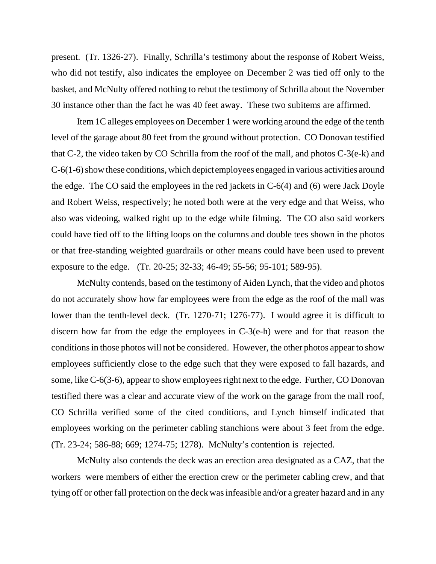present. (Tr. 1326-27). Finally, Schrilla's testimony about the response of Robert Weiss, who did not testify, also indicates the employee on December 2 was tied off only to the basket, and McNulty offered nothing to rebut the testimony of Schrilla about the November 30 instance other than the fact he was 40 feet away. These two subitems are affirmed.

Item 1C alleges employees on December 1 were working around the edge of the tenth level of the garage about 80 feet from the ground without protection. CO Donovan testified that C-2, the video taken by CO Schrilla from the roof of the mall, and photos C-3(e-k) and C-6(1-6) show these conditions, which depict employees engaged in various activities around the edge. The CO said the employees in the red jackets in C-6(4) and (6) were Jack Doyle and Robert Weiss, respectively; he noted both were at the very edge and that Weiss, who also was videoing, walked right up to the edge while filming. The CO also said workers could have tied off to the lifting loops on the columns and double tees shown in the photos or that free-standing weighted guardrails or other means could have been used to prevent exposure to the edge. (Tr. 20-25; 32-33; 46-49; 55-56; 95-101; 589-95).

McNulty contends, based on the testimony of Aiden Lynch, that the video and photos do not accurately show how far employees were from the edge as the roof of the mall was lower than the tenth-level deck. (Tr. 1270-71; 1276-77). I would agree it is difficult to discern how far from the edge the employees in C-3(e-h) were and for that reason the conditions in those photos will not be considered. However, the other photos appear to show employees sufficiently close to the edge such that they were exposed to fall hazards, and some, like C-6(3-6), appear to show employees right next to the edge. Further, CO Donovan testified there was a clear and accurate view of the work on the garage from the mall roof, CO Schrilla verified some of the cited conditions, and Lynch himself indicated that employees working on the perimeter cabling stanchions were about 3 feet from the edge. (Tr. 23-24; 586-88; 669; 1274-75; 1278). McNulty's contention is rejected.

McNulty also contends the deck was an erection area designated as a CAZ, that the workers were members of either the erection crew or the perimeter cabling crew, and that tying off or other fall protection on the deck was infeasible and/or a greater hazard and in any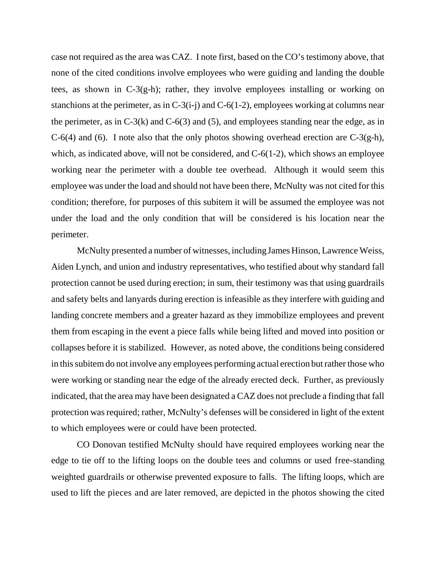case not required as the area was CAZ. I note first, based on the CO's testimony above, that none of the cited conditions involve employees who were guiding and landing the double tees, as shown in C-3(g-h); rather, they involve employees installing or working on stanchions at the perimeter, as in  $C-3(i-j)$  and  $C-6(1-2)$ , employees working at columns near the perimeter, as in  $C-3(k)$  and  $C-6(3)$  and (5), and employees standing near the edge, as in  $C-6(4)$  and (6). I note also that the only photos showing overhead erection are  $C-3(g-h)$ , which, as indicated above, will not be considered, and C-6(1-2), which shows an employee working near the perimeter with a double tee overhead. Although it would seem this employee was under the load and should not have been there, McNulty was not cited for this condition; therefore, for purposes of this subitem it will be assumed the employee was not under the load and the only condition that will be considered is his location near the perimeter.

McNulty presented a number of witnesses, including James Hinson, Lawrence Weiss, Aiden Lynch, and union and industry representatives, who testified about why standard fall protection cannot be used during erection; in sum, their testimony was that using guardrails and safety belts and lanyards during erection is infeasible as they interfere with guiding and landing concrete members and a greater hazard as they immobilize employees and prevent them from escaping in the event a piece falls while being lifted and moved into position or collapses before it is stabilized. However, as noted above, the conditions being considered in this subitem do not involve any employees performing actual erection but rather those who were working or standing near the edge of the already erected deck. Further, as previously indicated, that the area may have been designated a CAZ does not preclude a finding that fall protection was required; rather, McNulty's defenses will be considered in light of the extent to which employees were or could have been protected.

CO Donovan testified McNulty should have required employees working near the edge to tie off to the lifting loops on the double tees and columns or used free-standing weighted guardrails or otherwise prevented exposure to falls. The lifting loops, which are used to lift the pieces and are later removed, are depicted in the photos showing the cited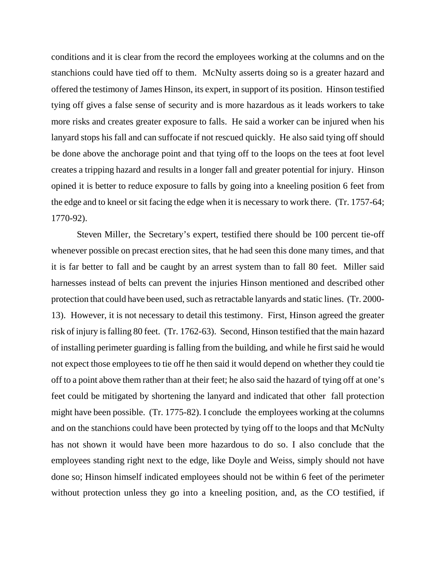conditions and it is clear from the record the employees working at the columns and on the stanchions could have tied off to them. McNulty asserts doing so is a greater hazard and offered the testimony of James Hinson, its expert, in support of its position. Hinson testified tying off gives a false sense of security and is more hazardous as it leads workers to take more risks and creates greater exposure to falls. He said a worker can be injured when his lanyard stops his fall and can suffocate if not rescued quickly. He also said tying off should be done above the anchorage point and that tying off to the loops on the tees at foot level creates a tripping hazard and results in a longer fall and greater potential for injury. Hinson opined it is better to reduce exposure to falls by going into a kneeling position 6 feet from the edge and to kneel or sit facing the edge when it is necessary to work there. (Tr. 1757-64; 1770-92).

Steven Miller, the Secretary's expert, testified there should be 100 percent tie-off whenever possible on precast erection sites, that he had seen this done many times, and that it is far better to fall and be caught by an arrest system than to fall 80 feet. Miller said harnesses instead of belts can prevent the injuries Hinson mentioned and described other protection that could have been used, such as retractable lanyards and static lines. (Tr. 2000- 13). However, it is not necessary to detail this testimony. First, Hinson agreed the greater risk of injury is falling 80 feet. (Tr. 1762-63). Second, Hinson testified that the main hazard of installing perimeter guarding is falling from the building, and while he first said he would not expect those employees to tie off he then said it would depend on whether they could tie off to a point above them rather than at their feet; he also said the hazard of tying off at one's feet could be mitigated by shortening the lanyard and indicated that other fall protection might have been possible. (Tr. 1775-82). I conclude the employees working at the columns and on the stanchions could have been protected by tying off to the loops and that McNulty has not shown it would have been more hazardous to do so. I also conclude that the employees standing right next to the edge, like Doyle and Weiss, simply should not have done so; Hinson himself indicated employees should not be within 6 feet of the perimeter without protection unless they go into a kneeling position, and, as the CO testified, if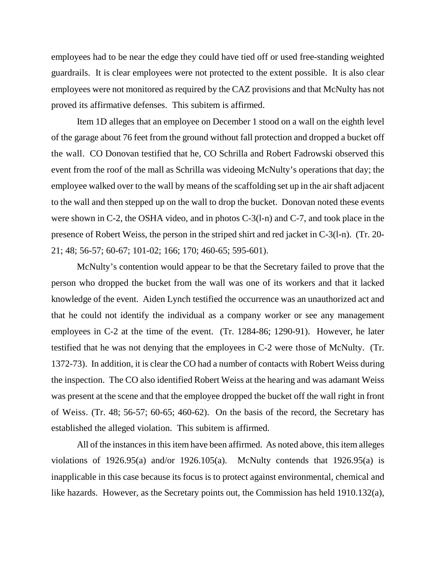employees had to be near the edge they could have tied off or used free-standing weighted guardrails. It is clear employees were not protected to the extent possible. It is also clear employees were not monitored as required by the CAZ provisions and that McNulty has not proved its affirmative defenses. This subitem is affirmed.

Item 1D alleges that an employee on December 1 stood on a wall on the eighth level of the garage about 76 feet from the ground without fall protection and dropped a bucket off the wall. CO Donovan testified that he, CO Schrilla and Robert Fadrowski observed this event from the roof of the mall as Schrilla was videoing McNulty's operations that day; the employee walked over to the wall by means of the scaffolding set up in the air shaft adjacent to the wall and then stepped up on the wall to drop the bucket. Donovan noted these events were shown in C-2, the OSHA video, and in photos C-3(l-n) and C-7, and took place in the presence of Robert Weiss, the person in the striped shirt and red jacket in C-3(l-n). (Tr. 20- 21; 48; 56-57; 60-67; 101-02; 166; 170; 460-65; 595-601).

McNulty's contention would appear to be that the Secretary failed to prove that the person who dropped the bucket from the wall was one of its workers and that it lacked knowledge of the event. Aiden Lynch testified the occurrence was an unauthorized act and that he could not identify the individual as a company worker or see any management employees in C-2 at the time of the event. (Tr. 1284-86; 1290-91). However, he later testified that he was not denying that the employees in C-2 were those of McNulty. (Tr. 1372-73). In addition, it is clear the CO had a number of contacts with Robert Weiss during the inspection. The CO also identified Robert Weiss at the hearing and was adamant Weiss was present at the scene and that the employee dropped the bucket off the wall right in front of Weiss. (Tr. 48; 56-57; 60-65; 460-62). On the basis of the record, the Secretary has established the alleged violation. This subitem is affirmed.

All of the instances in this item have been affirmed. As noted above, this item alleges violations of  $1926.95(a)$  and/or  $1926.105(a)$ . McNulty contends that  $1926.95(a)$  is inapplicable in this case because its focus is to protect against environmental, chemical and like hazards. However, as the Secretary points out, the Commission has held 1910.132(a),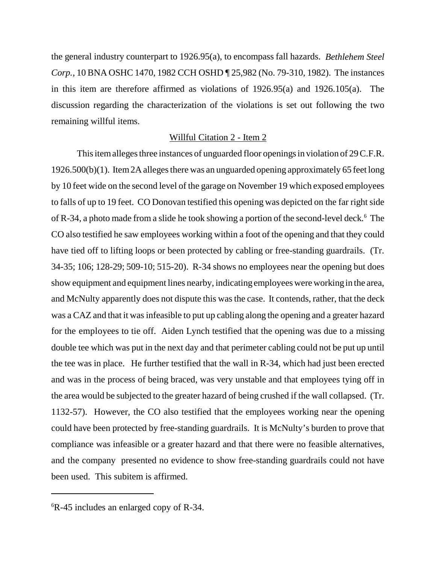the general industry counterpart to 1926.95(a), to encompass fall hazards. *Bethlehem Steel Corp.*, 10 BNA OSHC 1470, 1982 CCH OSHD ¶ 25,982 (No. 79-310, 1982). The instances in this item are therefore affirmed as violations of 1926.95(a) and 1926.105(a). The discussion regarding the characterization of the violations is set out following the two remaining willful items.

### Willful Citation 2 - Item 2

This item alleges three instances of unguarded floor openings in violation of 29 C.F.R. 1926.500(b)(1). Item 2A alleges there was an unguarded opening approximately 65 feet long by 10 feet wide on the second level of the garage on November 19 which exposed employees to falls of up to 19 feet. CO Donovan testified this opening was depicted on the far right side of R-34, a photo made from a slide he took showing a portion of the second-level deck.<sup>6</sup> The CO also testified he saw employees working within a foot of the opening and that they could have tied off to lifting loops or been protected by cabling or free-standing guardrails. (Tr. 34-35; 106; 128-29; 509-10; 515-20). R-34 shows no employees near the opening but does show equipment and equipment lines nearby, indicating employees were working in the area, and McNulty apparently does not dispute this was the case. It contends, rather, that the deck was a CAZ and that it was infeasible to put up cabling along the opening and a greater hazard for the employees to tie off. Aiden Lynch testified that the opening was due to a missing double tee which was put in the next day and that perimeter cabling could not be put up until the tee was in place. He further testified that the wall in R-34, which had just been erected and was in the process of being braced, was very unstable and that employees tying off in the area would be subjected to the greater hazard of being crushed if the wall collapsed. (Tr. 1132-57). However, the CO also testified that the employees working near the opening could have been protected by free-standing guardrails. It is McNulty's burden to prove that compliance was infeasible or a greater hazard and that there were no feasible alternatives, and the company presented no evidence to show free-standing guardrails could not have been used. This subitem is affirmed.

<sup>6</sup> R-45 includes an enlarged copy of R-34.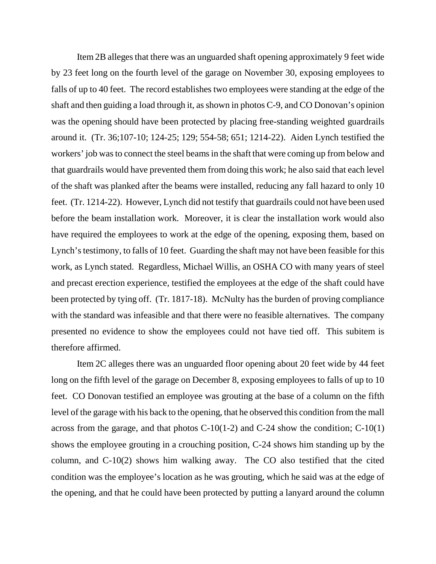Item 2B alleges that there was an unguarded shaft opening approximately 9 feet wide by 23 feet long on the fourth level of the garage on November 30, exposing employees to falls of up to 40 feet. The record establishes two employees were standing at the edge of the shaft and then guiding a load through it, as shown in photos C-9, and CO Donovan's opinion was the opening should have been protected by placing free-standing weighted guardrails around it. (Tr. 36;107-10; 124-25; 129; 554-58; 651; 1214-22). Aiden Lynch testified the workers' job was to connect the steel beams in the shaft that were coming up from below and that guardrails would have prevented them from doing this work; he also said that each level of the shaft was planked after the beams were installed, reducing any fall hazard to only 10 feet. (Tr. 1214-22). However, Lynch did not testify that guardrails could not have been used before the beam installation work. Moreover, it is clear the installation work would also have required the employees to work at the edge of the opening, exposing them, based on Lynch's testimony, to falls of 10 feet. Guarding the shaft may not have been feasible for this work, as Lynch stated. Regardless, Michael Willis, an OSHA CO with many years of steel and precast erection experience, testified the employees at the edge of the shaft could have been protected by tying off. (Tr. 1817-18). McNulty has the burden of proving compliance with the standard was infeasible and that there were no feasible alternatives. The company presented no evidence to show the employees could not have tied off. This subitem is therefore affirmed.

Item 2C alleges there was an unguarded floor opening about 20 feet wide by 44 feet long on the fifth level of the garage on December 8, exposing employees to falls of up to 10 feet. CO Donovan testified an employee was grouting at the base of a column on the fifth level of the garage with his back to the opening, that he observed this condition from the mall across from the garage, and that photos  $C-10(1-2)$  and  $C-24$  show the condition;  $C-10(1)$ shows the employee grouting in a crouching position, C-24 shows him standing up by the column, and C-10(2) shows him walking away. The CO also testified that the cited condition was the employee's location as he was grouting, which he said was at the edge of the opening, and that he could have been protected by putting a lanyard around the column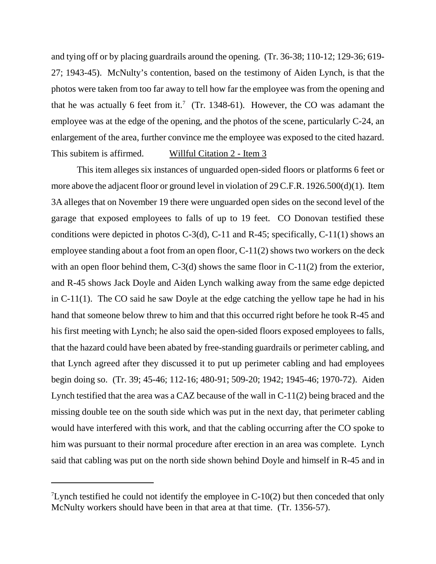and tying off or by placing guardrails around the opening. (Tr. 36-38; 110-12; 129-36; 619- 27; 1943-45). McNulty's contention, based on the testimony of Aiden Lynch, is that the photos were taken from too far away to tell how far the employee was from the opening and that he was actually 6 feet from it.<sup>7</sup> (Tr. 1348-61). However, the CO was adamant the employee was at the edge of the opening, and the photos of the scene, particularly C-24, an enlargement of the area, further convince me the employee was exposed to the cited hazard. This subitem is affirmed. Willful Citation 2 - Item 3

This item alleges six instances of unguarded open-sided floors or platforms 6 feet or more above the adjacent floor or ground level in violation of 29 C.F.R. 1926.500(d)(1). Item 3A alleges that on November 19 there were unguarded open sides on the second level of the garage that exposed employees to falls of up to 19 feet. CO Donovan testified these conditions were depicted in photos  $C-3(d)$ ,  $C-11$  and  $R-45$ ; specifically,  $C-11(1)$  shows an employee standing about a foot from an open floor, C-11(2) shows two workers on the deck with an open floor behind them, C-3(d) shows the same floor in C-11(2) from the exterior, and R-45 shows Jack Doyle and Aiden Lynch walking away from the same edge depicted in C-11(1). The CO said he saw Doyle at the edge catching the yellow tape he had in his hand that someone below threw to him and that this occurred right before he took R-45 and his first meeting with Lynch; he also said the open-sided floors exposed employees to falls, that the hazard could have been abated by free-standing guardrails or perimeter cabling, and that Lynch agreed after they discussed it to put up perimeter cabling and had employees begin doing so. (Tr. 39; 45-46; 112-16; 480-91; 509-20; 1942; 1945-46; 1970-72). Aiden Lynch testified that the area was a CAZ because of the wall in C-11(2) being braced and the missing double tee on the south side which was put in the next day, that perimeter cabling would have interfered with this work, and that the cabling occurring after the CO spoke to him was pursuant to their normal procedure after erection in an area was complete. Lynch said that cabling was put on the north side shown behind Doyle and himself in R-45 and in

<sup>&</sup>lt;sup>7</sup>Lynch testified he could not identify the employee in  $C-10(2)$  but then conceded that only McNulty workers should have been in that area at that time. (Tr. 1356-57).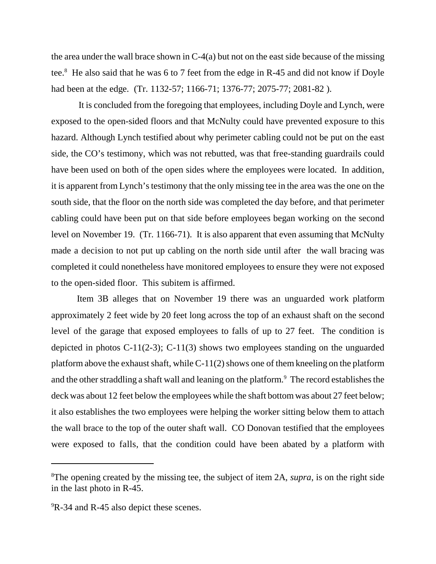the area under the wall brace shown in  $C<sub>4</sub>(a)$  but not on the east side because of the missing tee.<sup>8</sup> He also said that he was 6 to 7 feet from the edge in R-45 and did not know if Doyle had been at the edge. (Tr. 1132-57; 1166-71; 1376-77; 2075-77; 2081-82 ).

 It is concluded from the foregoing that employees, including Doyle and Lynch, were exposed to the open-sided floors and that McNulty could have prevented exposure to this hazard. Although Lynch testified about why perimeter cabling could not be put on the east side, the CO's testimony, which was not rebutted, was that free-standing guardrails could have been used on both of the open sides where the employees were located. In addition, it is apparent from Lynch's testimony that the only missing tee in the area was the one on the south side, that the floor on the north side was completed the day before, and that perimeter cabling could have been put on that side before employees began working on the second level on November 19. (Tr. 1166-71). It is also apparent that even assuming that McNulty made a decision to not put up cabling on the north side until after the wall bracing was completed it could nonetheless have monitored employees to ensure they were not exposed to the open-sided floor. This subitem is affirmed.

Item 3B alleges that on November 19 there was an unguarded work platform approximately 2 feet wide by 20 feet long across the top of an exhaust shaft on the second level of the garage that exposed employees to falls of up to 27 feet. The condition is depicted in photos C-11(2-3); C-11(3) shows two employees standing on the unguarded platform above the exhaust shaft, while C-11(2) shows one of them kneeling on the platform and the other straddling a shaft wall and leaning on the platform.<sup>9</sup> The record establishes the deck was about 12 feet below the employees while the shaft bottom was about 27 feet below; it also establishes the two employees were helping the worker sitting below them to attach the wall brace to the top of the outer shaft wall. CO Donovan testified that the employees were exposed to falls, that the condition could have been abated by a platform with

<sup>8</sup> The opening created by the missing tee, the subject of item 2A, *supra*, is on the right side in the last photo in R-45.

<sup>&</sup>lt;sup>9</sup>R-34 and R-45 also depict these scenes.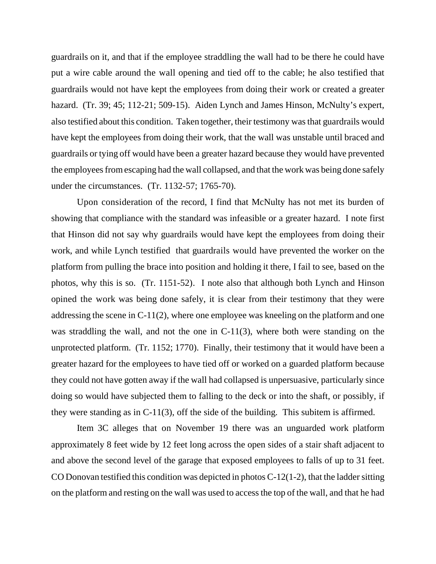guardrails on it, and that if the employee straddling the wall had to be there he could have put a wire cable around the wall opening and tied off to the cable; he also testified that guardrails would not have kept the employees from doing their work or created a greater hazard. (Tr. 39; 45; 112-21; 509-15). Aiden Lynch and James Hinson, McNulty's expert, also testified about this condition. Taken together, their testimony was that guardrails would have kept the employees from doing their work, that the wall was unstable until braced and guardrails or tying off would have been a greater hazard because they would have prevented the employees from escaping had the wall collapsed, and that the work was being done safely under the circumstances. (Tr. 1132-57; 1765-70).

Upon consideration of the record, I find that McNulty has not met its burden of showing that compliance with the standard was infeasible or a greater hazard. I note first that Hinson did not say why guardrails would have kept the employees from doing their work, and while Lynch testified that guardrails would have prevented the worker on the platform from pulling the brace into position and holding it there, I fail to see, based on the photos, why this is so. (Tr. 1151-52). I note also that although both Lynch and Hinson opined the work was being done safely, it is clear from their testimony that they were addressing the scene in C-11(2), where one employee was kneeling on the platform and one was straddling the wall, and not the one in C-11(3), where both were standing on the unprotected platform. (Tr. 1152; 1770). Finally, their testimony that it would have been a greater hazard for the employees to have tied off or worked on a guarded platform because they could not have gotten away if the wall had collapsed is unpersuasive, particularly since doing so would have subjected them to falling to the deck or into the shaft, or possibly, if they were standing as in C-11(3), off the side of the building. This subitem is affirmed.

Item 3C alleges that on November 19 there was an unguarded work platform approximately 8 feet wide by 12 feet long across the open sides of a stair shaft adjacent to and above the second level of the garage that exposed employees to falls of up to 31 feet. CO Donovan testified this condition was depicted in photos C-12(1-2), that the ladder sitting on the platform and resting on the wall was used to access the top of the wall, and that he had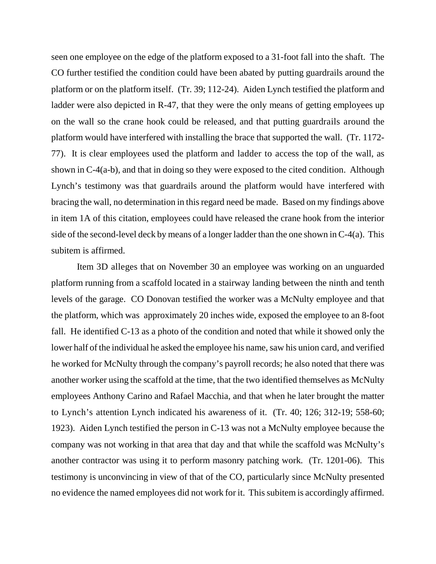seen one employee on the edge of the platform exposed to a 31-foot fall into the shaft. The CO further testified the condition could have been abated by putting guardrails around the platform or on the platform itself. (Tr. 39; 112-24). Aiden Lynch testified the platform and ladder were also depicted in R-47, that they were the only means of getting employees up on the wall so the crane hook could be released, and that putting guardrails around the platform would have interfered with installing the brace that supported the wall. (Tr. 1172- 77). It is clear employees used the platform and ladder to access the top of the wall, as shown in C-4(a-b), and that in doing so they were exposed to the cited condition. Although Lynch's testimony was that guardrails around the platform would have interfered with bracing the wall, no determination in this regard need be made. Based on my findings above in item 1A of this citation, employees could have released the crane hook from the interior side of the second-level deck by means of a longer ladder than the one shown in C-4(a). This subitem is affirmed.

Item 3D alleges that on November 30 an employee was working on an unguarded platform running from a scaffold located in a stairway landing between the ninth and tenth levels of the garage. CO Donovan testified the worker was a McNulty employee and that the platform, which was approximately 20 inches wide, exposed the employee to an 8-foot fall. He identified C-13 as a photo of the condition and noted that while it showed only the lower half of the individual he asked the employee his name, saw his union card, and verified he worked for McNulty through the company's payroll records; he also noted that there was another worker using the scaffold at the time, that the two identified themselves as McNulty employees Anthony Carino and Rafael Macchia, and that when he later brought the matter to Lynch's attention Lynch indicated his awareness of it. (Tr. 40; 126; 312-19; 558-60; 1923). Aiden Lynch testified the person in C-13 was not a McNulty employee because the company was not working in that area that day and that while the scaffold was McNulty's another contractor was using it to perform masonry patching work. (Tr. 1201-06). This testimony is unconvincing in view of that of the CO, particularly since McNulty presented no evidence the named employees did not work for it. This subitem is accordingly affirmed.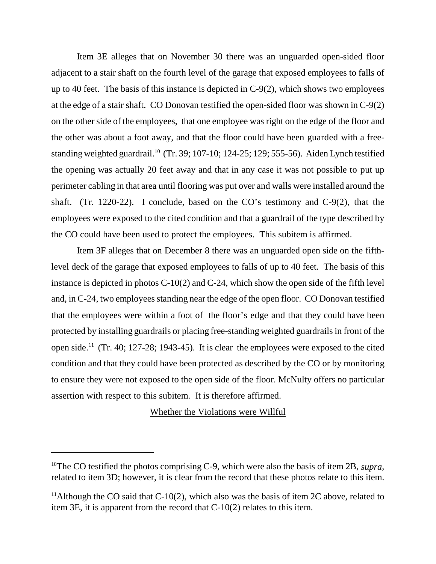Item 3E alleges that on November 30 there was an unguarded open-sided floor adjacent to a stair shaft on the fourth level of the garage that exposed employees to falls of up to 40 feet. The basis of this instance is depicted in C-9(2), which shows two employees at the edge of a stair shaft. CO Donovan testified the open-sided floor was shown in C-9(2) on the other side of the employees, that one employee was right on the edge of the floor and the other was about a foot away, and that the floor could have been guarded with a freestanding weighted guardrail.<sup>10</sup> (Tr. 39; 107-10; 124-25; 129; 555-56). Aiden Lynch testified the opening was actually 20 feet away and that in any case it was not possible to put up perimeter cabling in that area until flooring was put over and walls were installed around the shaft. (Tr. 1220-22). I conclude, based on the CO's testimony and C-9(2), that the employees were exposed to the cited condition and that a guardrail of the type described by the CO could have been used to protect the employees. This subitem is affirmed.

Item 3F alleges that on December 8 there was an unguarded open side on the fifthlevel deck of the garage that exposed employees to falls of up to 40 feet. The basis of this instance is depicted in photos C-10(2) and C-24, which show the open side of the fifth level and, in C-24, two employees standing near the edge of the open floor. CO Donovan testified that the employees were within a foot of the floor's edge and that they could have been protected by installing guardrails or placing free-standing weighted guardrails in front of the open side.<sup>11</sup> (Tr. 40; 127-28; 1943-45). It is clear the employees were exposed to the cited condition and that they could have been protected as described by the CO or by monitoring to ensure they were not exposed to the open side of the floor. McNulty offers no particular assertion with respect to this subitem. It is therefore affirmed.

## Whether the Violations were Willful

<sup>10</sup>The CO testified the photos comprising C-9, which were also the basis of item 2B, *supra*, related to item 3D; however, it is clear from the record that these photos relate to this item.

<sup>&</sup>lt;sup>11</sup>Although the CO said that C-10(2), which also was the basis of item 2C above, related to item 3E, it is apparent from the record that C-10(2) relates to this item.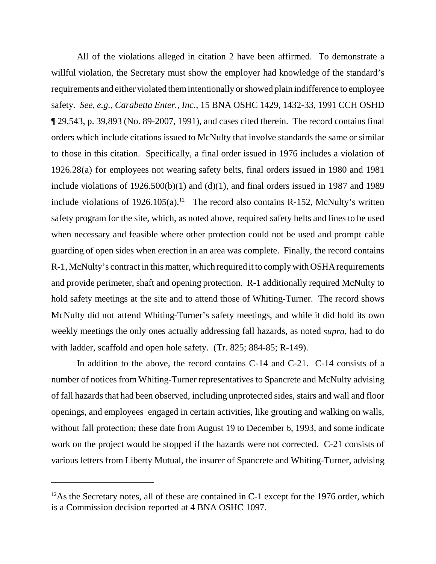All of the violations alleged in citation 2 have been affirmed. To demonstrate a willful violation, the Secretary must show the employer had knowledge of the standard's requirements and either violated them intentionally or showed plain indifference to employee safety. *See, e.g., Carabetta Enter., Inc.*, 15 BNA OSHC 1429, 1432-33, 1991 CCH OSHD ¶ 29,543, p. 39,893 (No. 89-2007, 1991), and cases cited therein. The record contains final orders which include citations issued to McNulty that involve standards the same or similar to those in this citation. Specifically, a final order issued in 1976 includes a violation of 1926.28(a) for employees not wearing safety belts, final orders issued in 1980 and 1981 include violations of  $1926.500(b)(1)$  and  $(d)(1)$ , and final orders issued in 1987 and 1989 include violations of  $1926.105(a)$ .<sup>12</sup> The record also contains R-152, McNulty's written safety program for the site, which, as noted above, required safety belts and lines to be used when necessary and feasible where other protection could not be used and prompt cable guarding of open sides when erection in an area was complete. Finally, the record contains R-1, McNulty's contract in this matter, which required it to comply with OSHA requirements and provide perimeter, shaft and opening protection. R-1 additionally required McNulty to hold safety meetings at the site and to attend those of Whiting-Turner. The record shows McNulty did not attend Whiting-Turner's safety meetings, and while it did hold its own weekly meetings the only ones actually addressing fall hazards, as noted *supra*, had to do with ladder, scaffold and open hole safety. (Tr. 825; 884-85; R-149).

In addition to the above, the record contains C-14 and C-21. C-14 consists of a number of notices from Whiting-Turner representatives to Spancrete and McNulty advising of fall hazards that had been observed, including unprotected sides, stairs and wall and floor openings, and employees engaged in certain activities, like grouting and walking on walls, without fall protection; these date from August 19 to December 6, 1993, and some indicate work on the project would be stopped if the hazards were not corrected. C-21 consists of various letters from Liberty Mutual, the insurer of Spancrete and Whiting-Turner, advising

 $12$ As the Secretary notes, all of these are contained in C-1 except for the 1976 order, which is a Commission decision reported at 4 BNA OSHC 1097.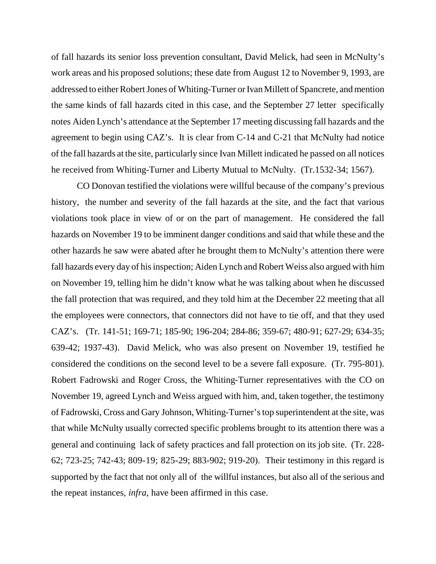of fall hazards its senior loss prevention consultant, David Melick, had seen in McNulty's work areas and his proposed solutions; these date from August 12 to November 9, 1993, are addressed to either Robert Jones of Whiting-Turner or Ivan Millett of Spancrete, and mention the same kinds of fall hazards cited in this case, and the September 27 letter specifically notes Aiden Lynch's attendance at the September 17 meeting discussing fall hazards and the agreement to begin using CAZ's. It is clear from C-14 and C-21 that McNulty had notice of the fall hazards at the site, particularly since Ivan Millett indicated he passed on all notices he received from Whiting-Turner and Liberty Mutual to McNulty. (Tr.1532-34; 1567).

CO Donovan testified the violations were willful because of the company's previous history, the number and severity of the fall hazards at the site, and the fact that various violations took place in view of or on the part of management. He considered the fall hazards on November 19 to be imminent danger conditions and said that while these and the other hazards he saw were abated after he brought them to McNulty's attention there were fall hazards every day of his inspection; Aiden Lynch and Robert Weiss also argued with him on November 19, telling him he didn't know what he was talking about when he discussed the fall protection that was required, and they told him at the December 22 meeting that all the employees were connectors, that connectors did not have to tie off, and that they used CAZ's. (Tr. 141-51; 169-71; 185-90; 196-204; 284-86; 359-67; 480-91; 627-29; 634-35; 639-42; 1937-43). David Melick, who was also present on November 19, testified he considered the conditions on the second level to be a severe fall exposure. (Tr. 795-801). Robert Fadrowski and Roger Cross, the Whiting-Turner representatives with the CO on November 19, agreed Lynch and Weiss argued with him, and, taken together, the testimony of Fadrowski, Cross and Gary Johnson, Whiting-Turner's top superintendent at the site, was that while McNulty usually corrected specific problems brought to its attention there was a general and continuing lack of safety practices and fall protection on its job site. (Tr. 228- 62; 723-25; 742-43; 809-19; 825-29; 883-902; 919-20). Their testimony in this regard is supported by the fact that not only all of the willful instances, but also all of the serious and the repeat instances, *infra*, have been affirmed in this case.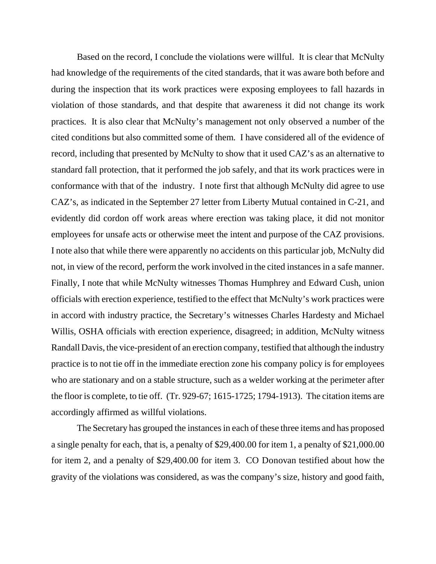Based on the record, I conclude the violations were willful. It is clear that McNulty had knowledge of the requirements of the cited standards, that it was aware both before and during the inspection that its work practices were exposing employees to fall hazards in violation of those standards, and that despite that awareness it did not change its work practices. It is also clear that McNulty's management not only observed a number of the cited conditions but also committed some of them. I have considered all of the evidence of record, including that presented by McNulty to show that it used CAZ's as an alternative to standard fall protection, that it performed the job safely, and that its work practices were in conformance with that of the industry. I note first that although McNulty did agree to use CAZ's, as indicated in the September 27 letter from Liberty Mutual contained in C-21, and evidently did cordon off work areas where erection was taking place, it did not monitor employees for unsafe acts or otherwise meet the intent and purpose of the CAZ provisions. I note also that while there were apparently no accidents on this particular job, McNulty did not, in view of the record, perform the work involved in the cited instances in a safe manner. Finally, I note that while McNulty witnesses Thomas Humphrey and Edward Cush, union officials with erection experience, testified to the effect that McNulty's work practices were in accord with industry practice, the Secretary's witnesses Charles Hardesty and Michael Willis, OSHA officials with erection experience, disagreed; in addition, McNulty witness Randall Davis, the vice-president of an erection company, testified that although the industry practice is to not tie off in the immediate erection zone his company policy is for employees who are stationary and on a stable structure, such as a welder working at the perimeter after the floor is complete, to tie off. (Tr. 929-67; 1615-1725; 1794-1913). The citation items are accordingly affirmed as willful violations.

The Secretary has grouped the instances in each of these three items and has proposed a single penalty for each, that is, a penalty of \$29,400.00 for item 1, a penalty of \$21,000.00 for item 2, and a penalty of \$29,400.00 for item 3. CO Donovan testified about how the gravity of the violations was considered, as was the company's size, history and good faith,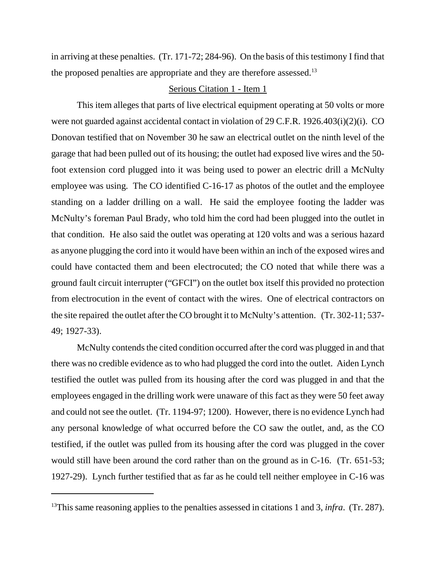in arriving at these penalties. (Tr. 171-72; 284-96). On the basis of this testimony I find that the proposed penalties are appropriate and they are therefore assessed.<sup>13</sup>

## Serious Citation 1 - Item 1

This item alleges that parts of live electrical equipment operating at 50 volts or more were not guarded against accidental contact in violation of 29 C.F.R. 1926.403(i)(2)(i). CO Donovan testified that on November 30 he saw an electrical outlet on the ninth level of the garage that had been pulled out of its housing; the outlet had exposed live wires and the 50 foot extension cord plugged into it was being used to power an electric drill a McNulty employee was using. The CO identified C-16-17 as photos of the outlet and the employee standing on a ladder drilling on a wall. He said the employee footing the ladder was McNulty's foreman Paul Brady, who told him the cord had been plugged into the outlet in that condition. He also said the outlet was operating at 120 volts and was a serious hazard as anyone plugging the cord into it would have been within an inch of the exposed wires and could have contacted them and been electrocuted; the CO noted that while there was a ground fault circuit interrupter ("GFCI") on the outlet box itself this provided no protection from electrocution in the event of contact with the wires. One of electrical contractors on the site repaired the outlet after the CO brought it to McNulty's attention. (Tr. 302-11; 537- 49; 1927-33).

McNulty contends the cited condition occurred after the cord was plugged in and that there was no credible evidence as to who had plugged the cord into the outlet. Aiden Lynch testified the outlet was pulled from its housing after the cord was plugged in and that the employees engaged in the drilling work were unaware of this fact as they were 50 feet away and could not see the outlet. (Tr. 1194-97; 1200). However, there is no evidence Lynch had any personal knowledge of what occurred before the CO saw the outlet, and, as the CO testified, if the outlet was pulled from its housing after the cord was plugged in the cover would still have been around the cord rather than on the ground as in C-16. (Tr. 651-53; 1927-29). Lynch further testified that as far as he could tell neither employee in C-16 was

<sup>&</sup>lt;sup>13</sup>This same reasoning applies to the penalties assessed in citations 1 and 3, *infra*. (Tr. 287).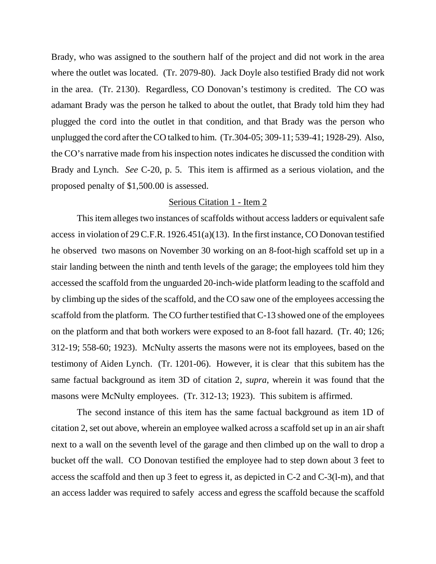Brady, who was assigned to the southern half of the project and did not work in the area where the outlet was located. (Tr. 2079-80). Jack Doyle also testified Brady did not work in the area. (Tr. 2130). Regardless, CO Donovan's testimony is credited. The CO was adamant Brady was the person he talked to about the outlet, that Brady told him they had plugged the cord into the outlet in that condition, and that Brady was the person who unplugged the cord after the CO talked to him. (Tr.304-05; 309-11; 539-41; 1928-29). Also, the CO's narrative made from his inspection notes indicates he discussed the condition with Brady and Lynch. *See* C-20, p. 5. This item is affirmed as a serious violation, and the proposed penalty of \$1,500.00 is assessed.

#### Serious Citation 1 - Item 2

This item alleges two instances of scaffolds without access ladders or equivalent safe access in violation of 29 C.F.R. 1926.451(a)(13). In the first instance, CO Donovan testified he observed two masons on November 30 working on an 8-foot-high scaffold set up in a stair landing between the ninth and tenth levels of the garage; the employees told him they accessed the scaffold from the unguarded 20-inch-wide platform leading to the scaffold and by climbing up the sides of the scaffold, and the CO saw one of the employees accessing the scaffold from the platform. The CO further testified that C-13 showed one of the employees on the platform and that both workers were exposed to an 8-foot fall hazard. (Tr. 40; 126; 312-19; 558-60; 1923). McNulty asserts the masons were not its employees, based on the testimony of Aiden Lynch. (Tr. 1201-06). However, it is clear that this subitem has the same factual background as item 3D of citation 2, *supra*, wherein it was found that the masons were McNulty employees. (Tr. 312-13; 1923). This subitem is affirmed.

The second instance of this item has the same factual background as item 1D of citation 2, set out above, wherein an employee walked across a scaffold set up in an air shaft next to a wall on the seventh level of the garage and then climbed up on the wall to drop a bucket off the wall. CO Donovan testified the employee had to step down about 3 feet to access the scaffold and then up 3 feet to egress it, as depicted in C-2 and C-3(l-m), and that an access ladder was required to safely access and egress the scaffold because the scaffold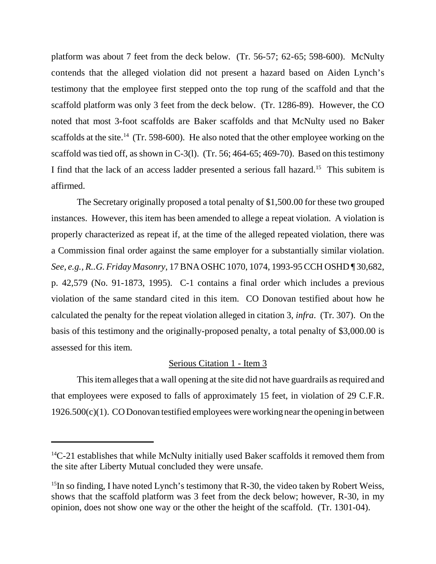platform was about 7 feet from the deck below. (Tr. 56-57; 62-65; 598-600). McNulty contends that the alleged violation did not present a hazard based on Aiden Lynch's testimony that the employee first stepped onto the top rung of the scaffold and that the scaffold platform was only 3 feet from the deck below. (Tr. 1286-89). However, the CO noted that most 3-foot scaffolds are Baker scaffolds and that McNulty used no Baker scaffolds at the site.<sup>14</sup> (Tr. 598-600). He also noted that the other employee working on the scaffold was tied off, as shown in C-3(l). (Tr. 56; 464-65; 469-70). Based on this testimony I find that the lack of an access ladder presented a serious fall hazard.15 This subitem is affirmed.

The Secretary originally proposed a total penalty of \$1,500.00 for these two grouped instances. However, this item has been amended to allege a repeat violation. A violation is properly characterized as repeat if, at the time of the alleged repeated violation, there was a Commission final order against the same employer for a substantially similar violation. *See, e.g., R..G. Friday Masonry*, 17 BNA OSHC 1070, 1074, 1993-95 CCH OSHD ¶ 30,682, p. 42,579 (No. 91-1873, 1995). C-1 contains a final order which includes a previous violation of the same standard cited in this item. CO Donovan testified about how he calculated the penalty for the repeat violation alleged in citation 3, *infra*. (Tr. 307). On the basis of this testimony and the originally-proposed penalty, a total penalty of \$3,000.00 is assessed for this item.

# Serious Citation 1 - Item 3

This item alleges that a wall opening at the site did not have guardrails as required and that employees were exposed to falls of approximately 15 feet, in violation of 29 C.F.R.  $1926.500(c)(1)$ . CO Donovan testified employees were working near the opening in between

 $14C-21$  establishes that while McNulty initially used Baker scaffolds it removed them from the site after Liberty Mutual concluded they were unsafe.

 $^{15}$ In so finding, I have noted Lynch's testimony that R-30, the video taken by Robert Weiss, shows that the scaffold platform was 3 feet from the deck below; however, R-30, in my opinion, does not show one way or the other the height of the scaffold. (Tr. 1301-04).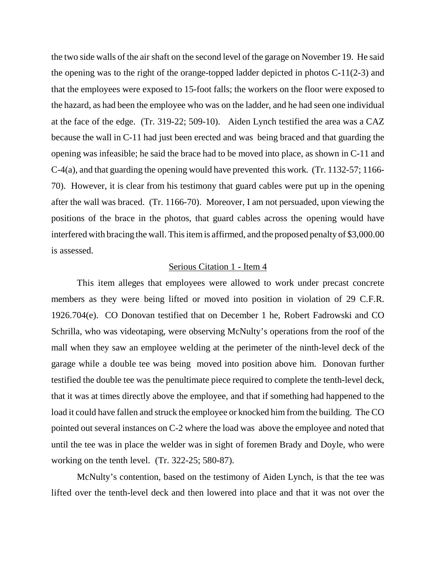the two side walls of the air shaft on the second level of the garage on November 19. He said the opening was to the right of the orange-topped ladder depicted in photos C-11(2-3) and that the employees were exposed to 15-foot falls; the workers on the floor were exposed to the hazard, as had been the employee who was on the ladder, and he had seen one individual at the face of the edge. (Tr. 319-22; 509-10). Aiden Lynch testified the area was a CAZ because the wall in C-11 had just been erected and was being braced and that guarding the opening was infeasible; he said the brace had to be moved into place, as shown in C-11 and C-4(a), and that guarding the opening would have prevented this work. (Tr. 1132-57; 1166- 70). However, it is clear from his testimony that guard cables were put up in the opening after the wall was braced. (Tr. 1166-70). Moreover, I am not persuaded, upon viewing the positions of the brace in the photos, that guard cables across the opening would have interfered with bracing the wall. This item is affirmed, and the proposed penalty of \$3,000.00 is assessed.

## Serious Citation 1 - Item 4

This item alleges that employees were allowed to work under precast concrete members as they were being lifted or moved into position in violation of 29 C.F.R. 1926.704(e). CO Donovan testified that on December 1 he, Robert Fadrowski and CO Schrilla, who was videotaping, were observing McNulty's operations from the roof of the mall when they saw an employee welding at the perimeter of the ninth-level deck of the garage while a double tee was being moved into position above him. Donovan further testified the double tee was the penultimate piece required to complete the tenth-level deck, that it was at times directly above the employee, and that if something had happened to the load it could have fallen and struck the employee or knocked him from the building. The CO pointed out several instances on C-2 where the load was above the employee and noted that until the tee was in place the welder was in sight of foremen Brady and Doyle, who were working on the tenth level. (Tr. 322-25; 580-87).

McNulty's contention, based on the testimony of Aiden Lynch, is that the tee was lifted over the tenth-level deck and then lowered into place and that it was not over the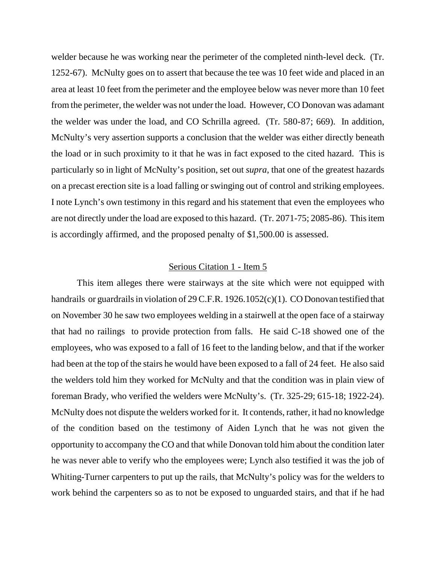welder because he was working near the perimeter of the completed ninth-level deck. (Tr. 1252-67). McNulty goes on to assert that because the tee was 10 feet wide and placed in an area at least 10 feet from the perimeter and the employee below was never more than 10 feet from the perimeter, the welder was not under the load. However, CO Donovan was adamant the welder was under the load, and CO Schrilla agreed. (Tr. 580-87; 669). In addition, McNulty's very assertion supports a conclusion that the welder was either directly beneath the load or in such proximity to it that he was in fact exposed to the cited hazard. This is particularly so in light of McNulty's position, set out *supra*, that one of the greatest hazards on a precast erection site is a load falling or swinging out of control and striking employees. I note Lynch's own testimony in this regard and his statement that even the employees who are not directly under the load are exposed to this hazard. (Tr. 2071-75; 2085-86). This item is accordingly affirmed, and the proposed penalty of \$1,500.00 is assessed.

### Serious Citation 1 - Item 5

This item alleges there were stairways at the site which were not equipped with handrails or guardrails in violation of 29 C.F.R. 1926.1052(c)(1). CO Donovan testified that on November 30 he saw two employees welding in a stairwell at the open face of a stairway that had no railings to provide protection from falls. He said C-18 showed one of the employees, who was exposed to a fall of 16 feet to the landing below, and that if the worker had been at the top of the stairs he would have been exposed to a fall of 24 feet. He also said the welders told him they worked for McNulty and that the condition was in plain view of foreman Brady, who verified the welders were McNulty's. (Tr. 325-29; 615-18; 1922-24). McNulty does not dispute the welders worked for it. It contends, rather, it had no knowledge of the condition based on the testimony of Aiden Lynch that he was not given the opportunity to accompany the CO and that while Donovan told him about the condition later he was never able to verify who the employees were; Lynch also testified it was the job of Whiting-Turner carpenters to put up the rails, that McNulty's policy was for the welders to work behind the carpenters so as to not be exposed to unguarded stairs, and that if he had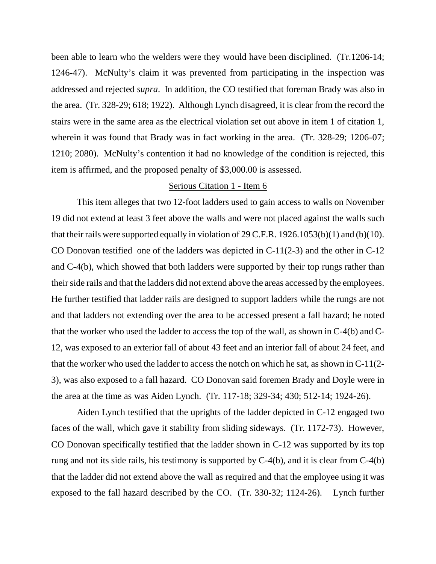been able to learn who the welders were they would have been disciplined. (Tr.1206-14; 1246-47). McNulty's claim it was prevented from participating in the inspection was addressed and rejected *supra*. In addition, the CO testified that foreman Brady was also in the area. (Tr. 328-29; 618; 1922). Although Lynch disagreed, it is clear from the record the stairs were in the same area as the electrical violation set out above in item 1 of citation 1, wherein it was found that Brady was in fact working in the area. (Tr. 328-29; 1206-07; 1210; 2080). McNulty's contention it had no knowledge of the condition is rejected, this item is affirmed, and the proposed penalty of \$3,000.00 is assessed.

## Serious Citation 1 - Item 6

This item alleges that two 12-foot ladders used to gain access to walls on November 19 did not extend at least 3 feet above the walls and were not placed against the walls such that their rails were supported equally in violation of 29 C.F.R. 1926.1053(b)(1) and (b)(10). CO Donovan testified one of the ladders was depicted in C-11(2-3) and the other in C-12 and C-4(b), which showed that both ladders were supported by their top rungs rather than their side rails and that the ladders did not extend above the areas accessed by the employees. He further testified that ladder rails are designed to support ladders while the rungs are not and that ladders not extending over the area to be accessed present a fall hazard; he noted that the worker who used the ladder to access the top of the wall, as shown in C-4(b) and C-12, was exposed to an exterior fall of about 43 feet and an interior fall of about 24 feet, and that the worker who used the ladder to access the notch on which he sat, as shown in C-11(2- 3), was also exposed to a fall hazard. CO Donovan said foremen Brady and Doyle were in the area at the time as was Aiden Lynch. (Tr. 117-18; 329-34; 430; 512-14; 1924-26).

Aiden Lynch testified that the uprights of the ladder depicted in C-12 engaged two faces of the wall, which gave it stability from sliding sideways. (Tr. 1172-73). However, CO Donovan specifically testified that the ladder shown in C-12 was supported by its top rung and not its side rails, his testimony is supported by C-4(b), and it is clear from C-4(b) that the ladder did not extend above the wall as required and that the employee using it was exposed to the fall hazard described by the CO. (Tr. 330-32; 1124-26). Lynch further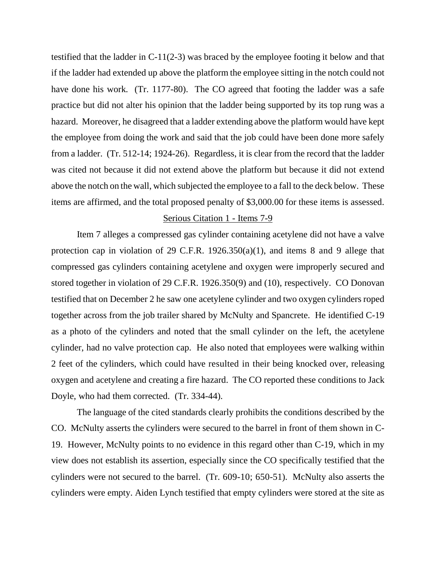testified that the ladder in C-11(2-3) was braced by the employee footing it below and that if the ladder had extended up above the platform the employee sitting in the notch could not have done his work. (Tr. 1177-80). The CO agreed that footing the ladder was a safe practice but did not alter his opinion that the ladder being supported by its top rung was a hazard. Moreover, he disagreed that a ladder extending above the platform would have kept the employee from doing the work and said that the job could have been done more safely from a ladder. (Tr. 512-14; 1924-26). Regardless, it is clear from the record that the ladder was cited not because it did not extend above the platform but because it did not extend above the notch on the wall, which subjected the employee to a fall to the deck below. These items are affirmed, and the total proposed penalty of \$3,000.00 for these items is assessed.

#### Serious Citation 1 - Items 7-9

Item 7 alleges a compressed gas cylinder containing acetylene did not have a valve protection cap in violation of 29 C.F.R. 1926.350(a)(1), and items 8 and 9 allege that compressed gas cylinders containing acetylene and oxygen were improperly secured and stored together in violation of 29 C.F.R. 1926.350(9) and (10), respectively. CO Donovan testified that on December 2 he saw one acetylene cylinder and two oxygen cylinders roped together across from the job trailer shared by McNulty and Spancrete. He identified C-19 as a photo of the cylinders and noted that the small cylinder on the left, the acetylene cylinder, had no valve protection cap. He also noted that employees were walking within 2 feet of the cylinders, which could have resulted in their being knocked over, releasing oxygen and acetylene and creating a fire hazard. The CO reported these conditions to Jack Doyle, who had them corrected. (Tr. 334-44).

The language of the cited standards clearly prohibits the conditions described by the CO. McNulty asserts the cylinders were secured to the barrel in front of them shown in C-19. However, McNulty points to no evidence in this regard other than C-19, which in my view does not establish its assertion, especially since the CO specifically testified that the cylinders were not secured to the barrel. (Tr. 609-10; 650-51). McNulty also asserts the cylinders were empty. Aiden Lynch testified that empty cylinders were stored at the site as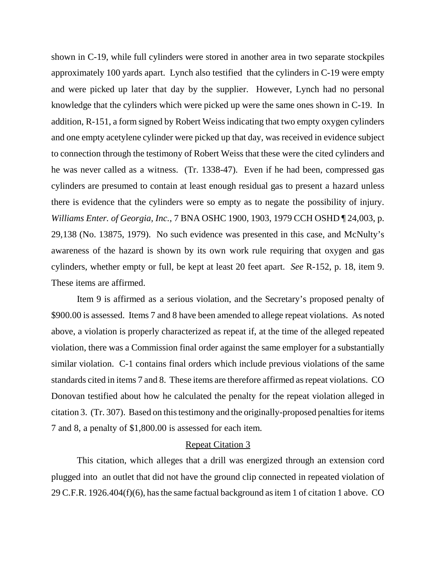shown in C-19, while full cylinders were stored in another area in two separate stockpiles approximately 100 yards apart. Lynch also testified that the cylinders in C-19 were empty and were picked up later that day by the supplier. However, Lynch had no personal knowledge that the cylinders which were picked up were the same ones shown in C-19. In addition, R-151, a form signed by Robert Weiss indicating that two empty oxygen cylinders and one empty acetylene cylinder were picked up that day, was received in evidence subject to connection through the testimony of Robert Weiss that these were the cited cylinders and he was never called as a witness. (Tr. 1338-47). Even if he had been, compressed gas cylinders are presumed to contain at least enough residual gas to present a hazard unless there is evidence that the cylinders were so empty as to negate the possibility of injury. *Williams Enter. of Georgia, Inc.*, 7 BNA OSHC 1900, 1903, 1979 CCH OSHD ¶ 24,003, p. 29,138 (No. 13875, 1979). No such evidence was presented in this case, and McNulty's awareness of the hazard is shown by its own work rule requiring that oxygen and gas cylinders, whether empty or full, be kept at least 20 feet apart. *See* R-152, p. 18, item 9. These items are affirmed.

Item 9 is affirmed as a serious violation, and the Secretary's proposed penalty of \$900.00 is assessed. Items 7 and 8 have been amended to allege repeat violations. As noted above, a violation is properly characterized as repeat if, at the time of the alleged repeated violation, there was a Commission final order against the same employer for a substantially similar violation. C-1 contains final orders which include previous violations of the same standards cited in items 7 and 8. These items are therefore affirmed as repeat violations. CO Donovan testified about how he calculated the penalty for the repeat violation alleged in citation 3. (Tr. 307). Based on this testimony and the originally-proposed penalties for items 7 and 8, a penalty of \$1,800.00 is assessed for each item.

#### Repeat Citation 3

This citation, which alleges that a drill was energized through an extension cord plugged into an outlet that did not have the ground clip connected in repeated violation of 29 C.F.R. 1926.404(f)(6), has the same factual background as item 1 of citation 1 above. CO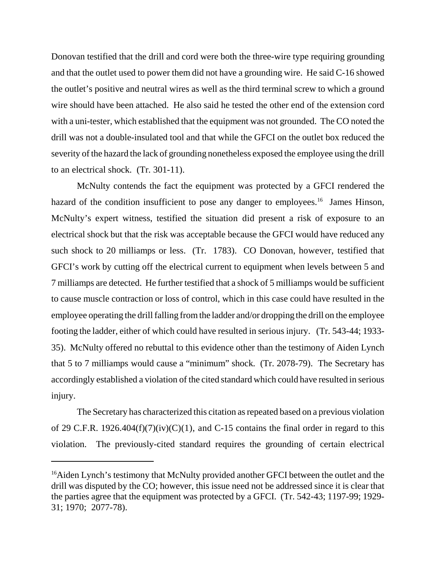Donovan testified that the drill and cord were both the three-wire type requiring grounding and that the outlet used to power them did not have a grounding wire. He said C-16 showed the outlet's positive and neutral wires as well as the third terminal screw to which a ground wire should have been attached. He also said he tested the other end of the extension cord with a uni-tester, which established that the equipment was not grounded. The CO noted the drill was not a double-insulated tool and that while the GFCI on the outlet box reduced the severity of the hazard the lack of grounding nonetheless exposed the employee using the drill to an electrical shock. (Tr. 301-11).

McNulty contends the fact the equipment was protected by a GFCI rendered the hazard of the condition insufficient to pose any danger to employees.<sup>16</sup> James Hinson, McNulty's expert witness, testified the situation did present a risk of exposure to an electrical shock but that the risk was acceptable because the GFCI would have reduced any such shock to 20 milliamps or less. (Tr. 1783). CO Donovan, however, testified that GFCI's work by cutting off the electrical current to equipment when levels between 5 and 7 milliamps are detected. He further testified that a shock of 5 milliamps would be sufficient to cause muscle contraction or loss of control, which in this case could have resulted in the employee operating the drill falling from the ladder and/or dropping the drill on the employee footing the ladder, either of which could have resulted in serious injury. (Tr. 543-44; 1933- 35). McNulty offered no rebuttal to this evidence other than the testimony of Aiden Lynch that 5 to 7 milliamps would cause a "minimum" shock. (Tr. 2078-79). The Secretary has accordingly established a violation of the cited standard which could have resulted in serious injury.

The Secretary has characterized this citation as repeated based on a previous violation of 29 C.F.R. 1926.404(f)(7)(iv)(C)(1), and C-15 contains the final order in regard to this violation. The previously-cited standard requires the grounding of certain electrical

<sup>&</sup>lt;sup>16</sup>Aiden Lynch's testimony that McNulty provided another GFCI between the outlet and the drill was disputed by the CO; however, this issue need not be addressed since it is clear that the parties agree that the equipment was protected by a GFCI. (Tr. 542-43; 1197-99; 1929- 31; 1970; 2077-78).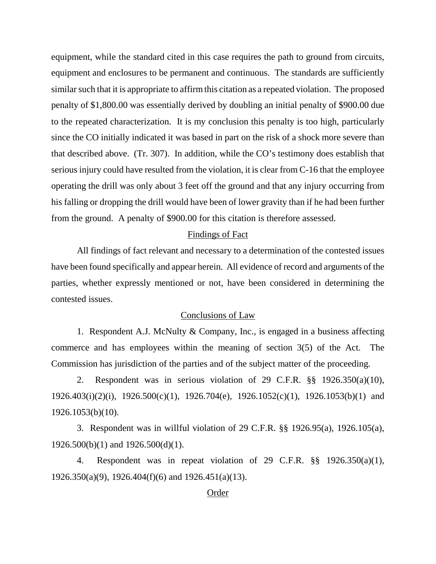equipment, while the standard cited in this case requires the path to ground from circuits, equipment and enclosures to be permanent and continuous. The standards are sufficiently similar such that it is appropriate to affirm this citation as a repeated violation. The proposed penalty of \$1,800.00 was essentially derived by doubling an initial penalty of \$900.00 due to the repeated characterization. It is my conclusion this penalty is too high, particularly since the CO initially indicated it was based in part on the risk of a shock more severe than that described above. (Tr. 307). In addition, while the CO's testimony does establish that serious injury could have resulted from the violation, it is clear from C-16 that the employee operating the drill was only about 3 feet off the ground and that any injury occurring from his falling or dropping the drill would have been of lower gravity than if he had been further from the ground. A penalty of \$900.00 for this citation is therefore assessed.

#### Findings of Fact

All findings of fact relevant and necessary to a determination of the contested issues have been found specifically and appear herein. All evidence of record and arguments of the parties, whether expressly mentioned or not, have been considered in determining the contested issues.

# Conclusions of Law

1. Respondent A.J. McNulty & Company, Inc., is engaged in a business affecting commerce and has employees within the meaning of section 3(5) of the Act. The Commission has jurisdiction of the parties and of the subject matter of the proceeding.

2. Respondent was in serious violation of 29 C.F.R. §§ 1926.350(a)(10), 1926.403(i)(2)(i), 1926.500(c)(1), 1926.704(e), 1926.1052(c)(1), 1926.1053(b)(1) and 1926.1053(b)(10).

3. Respondent was in willful violation of 29 C.F.R. §§ 1926.95(a), 1926.105(a), 1926.500(b)(1) and 1926.500(d)(1).

4. Respondent was in repeat violation of 29 C.F.R. §§ 1926.350(a)(1), 1926.350(a)(9), 1926.404(f)(6) and 1926.451(a)(13).

## Order